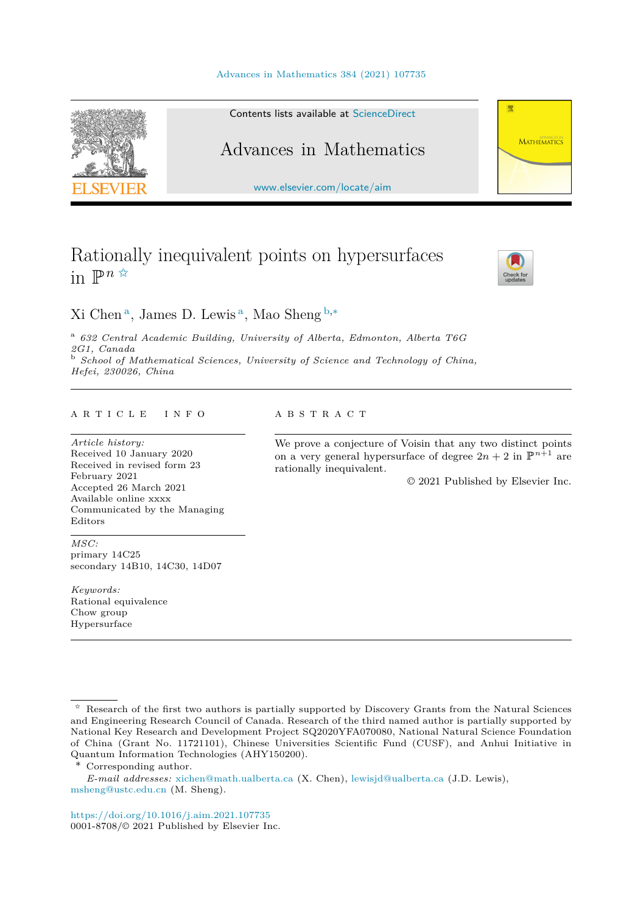#### [Advances in Mathematics 384 \(2021\) 107735](https://doi.org/10.1016/j.aim.2021.107735)



#### Contents lists available at [ScienceDirect](http://www.ScienceDirect.com/)

# Advances in Mathematics

[www.elsevier.com/locate/aim](http://www.elsevier.com/locate/aim)

# Rationally inequivalent points on hypersurfaces in  $\mathbb{P}^{n \times}$



带

**MATHEMATICS** 

Xi Chen <sup>a</sup>, James D. Lewis <sup>a</sup>, Mao Sheng <sup>b</sup>*,*<sup>∗</sup>

<sup>a</sup> *632 Central Academic Building, University of Alberta, Edmonton, Alberta T6G 2G1, Canada* <sup>b</sup> *School of Mathematical Sciences, University of Science and Technology of China, Hefei, 230026, China*

#### A R T I C L E I N F O A B S T R A C T

*Article history:* Received 10 January 2020 Received in revised form 23 February 2021 Accepted 26 March 2021 Available online xxxx Communicated by the Managing Editors

We prove a conjecture of Voisin that any two distinct points on a very general hypersurface of degree  $2n + 2$  in  $\mathbb{P}^{n+1}$  are rationally inequivalent.

© 2021 Published by Elsevier Inc.

*MSC:* primary 14C25 secondary 14B10, 14C30, 14D07

*Keywords:* Rational equivalence Chow group Hypersurface

Corresponding author.

*E-mail addresses:* [xichen@math.ualberta.ca](mailto:xichen@math.ualberta.ca) (X. Chen), [lewisjd@ualberta.ca](mailto:lewisjd@ualberta.ca) (J.D. Lewis), [msheng@ustc.edu.cn](mailto:msheng@ustc.edu.cn) (M. Sheng).

<https://doi.org/10.1016/j.aim.2021.107735> 0001-8708/© 2021 Published by Elsevier Inc.

<sup>✩</sup> Research of the first two authors is partially supported by Discovery Grants from the Natural Sciences and Engineering Research Council of Canada. Research of the third named author is partially supported by National Key Research and Development Project SQ2020YFA070080, National Natural Science Foundation of China (Grant No. 11721101), Chinese Universities Scientific Fund (CUSF), and Anhui Initiative in Quantum Information Technologies (AHY150200).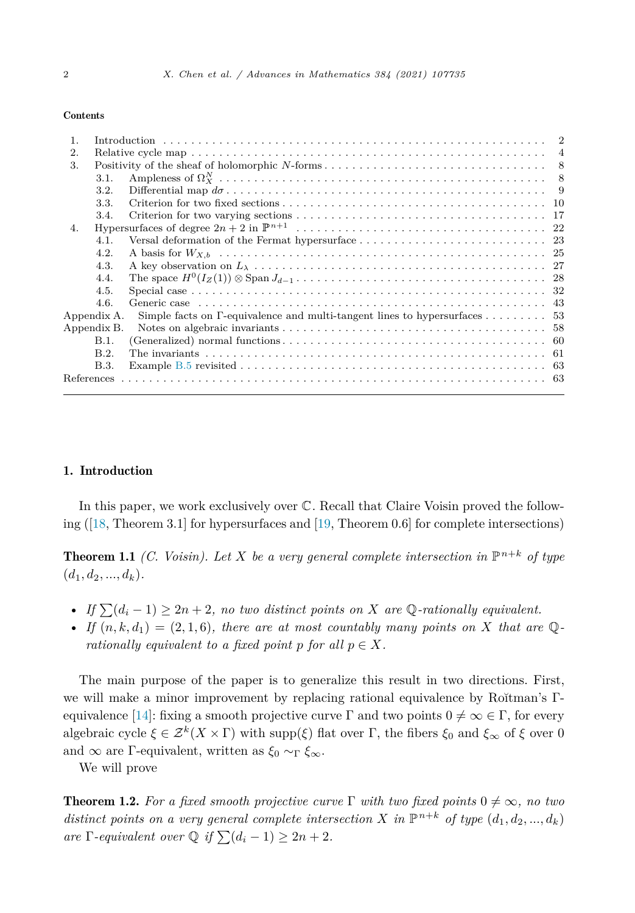#### <span id="page-1-0"></span>Contents

# 1. Introduction

In this paper, we work exclusively over C. Recall that Claire Voisin proved the following ([\[18](#page-63-0), Theorem 3.1] for hypersurfaces and [\[19,](#page-63-0) Theorem 0.6] for complete intersections)

**Theorem 1.1** *(C. Voisin). Let X be a very* general complete intersection in  $\mathbb{P}^{n+k}$  of type  $(d_1, d_2, \ldots, d_k)$ .

- If  $\sum (d_i 1) \geq 2n + 2$ , no two distinct points on X are Q-rationally equivalent.
- *If*  $(n, k, d_1) = (2, 1, 6)$ *, there are at most countably many points on X that are*  $\mathbb{Q}$ *rationally equivalent to a fixed point p for all*  $p \in X$ *.*

The main purpose of the paper is to generalize this result in two directions. First, we will make a minor improvement by replacing rational equivalence by Rŏitman's Γ equivalence [[14\]](#page-62-0): fixing a smooth projective curve  $\Gamma$  and two points  $0 \neq \infty \in \Gamma$ , for every algebraic cycle  $\xi \in \mathcal{Z}^k(X \times \Gamma)$  with supp( $\xi$ ) flat over  $\Gamma$ , the fibers  $\xi_0$  and  $\xi_\infty$  of  $\xi$  over 0 and ∞ are Γ-equivalent, written as *ξ*<sup>0</sup> ∼<sup>Γ</sup> *ξ*∞.

We will prove

**Theorem 1.2.** For a fixed smooth projective curve  $\Gamma$  with two fixed points  $0 \neq \infty$ , no two distinct points on a very general complete intersection X in  $\mathbb{P}^{n+k}$  of type  $(d_1, d_2, ..., d_k)$ *are*  $\Gamma$ -equivalent over  $\mathbb{Q}$  if  $\sum (d_i - 1) \geq 2n + 2$ .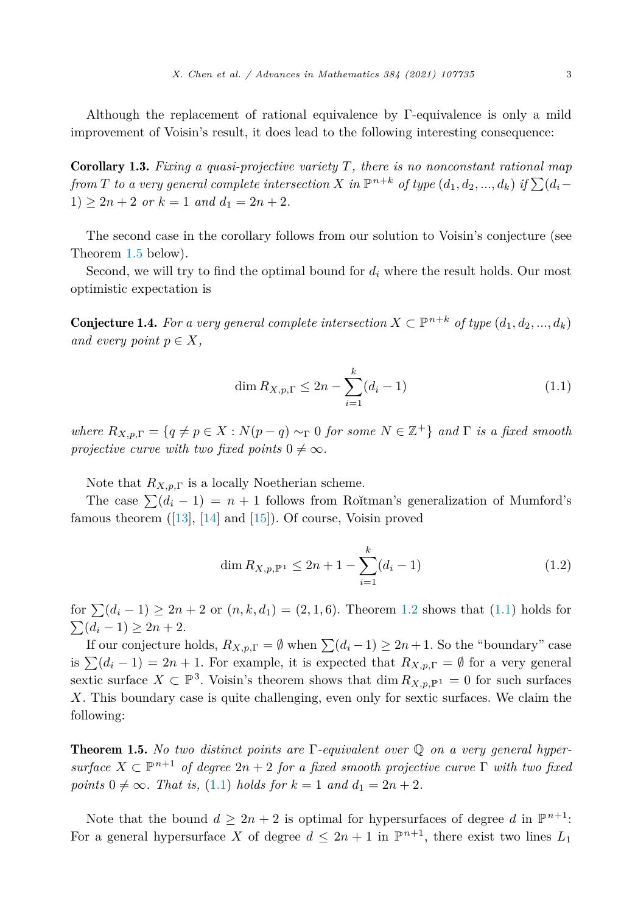<span id="page-2-0"></span>Although the replacement of rational equivalence by Γ-equivalence is only a mild improvement of Voisin's result, it does lead to the following interesting consequence:

Corollary 1.3. *Fixing a quasi-projective variety T, there is no nonconstant rational map* from T to a very general complete intersection X in  $\mathbb{P}^{n+k}$  of type  $(d_1, d_2, ..., d_k)$  if  $\sum (d_i 1) \geq 2n + 2$  *or*  $k = 1$  *and*  $d_1 = 2n + 2$ *.* 

The second case in the corollary follows from our solution to Voisin's conjecture (see Theorem 1.5 below).

Second, we will try to find the optimal bound for *d<sup>i</sup>* where the result holds. Our most optimistic expectation is

**Conjecture 1.4.** For a very general complete intersection  $X \subset \mathbb{P}^{n+k}$  of type  $(d_1, d_2, ..., d_k)$ *and every point*  $p \in X$ *,* 

$$
\dim R_{X,p,\Gamma} \le 2n - \sum_{i=1}^{k} (d_i - 1) \tag{1.1}
$$

*where*  $R_{X,p,\Gamma} = \{q \neq p \in X : N(p-q) \sim_\Gamma 0 \text{ for some } N \in \mathbb{Z}^+\}$  and  $\Gamma$  *is* a fixed smooth *projective curve with two fixed points*  $0 \neq \infty$ *.* 

Note that  $R_{X,p,\Gamma}$  is a locally Noetherian scheme.

The case  $\sum (d_i - 1) = n + 1$  follows from Ro<sub>\*</sub>itman's generalization of Mumford's famous theorem ([\[13](#page-62-0)], [[14\]](#page-62-0) and [\[15](#page-62-0)]). Of course, Voisin proved

$$
\dim R_{X,p,\mathbb{P}^1} \le 2n + 1 - \sum_{i=1}^k (d_i - 1) \tag{1.2}
$$

for  $\sum (d_i - 1) \ge 2n + 2$  or  $(n, k, d_1) = (2, 1, 6)$ . Theorem [1.2](#page-1-0) shows that  $(1.1)$  holds for  $\sum (d_i - 1) \geq 2n + 2.$ 

If our conjecture holds,  $R_{X,p,\Gamma} = \emptyset$  when  $\sum (d_i - 1) \ge 2n + 1$ . So the "boundary" case is  $\sum (d_i - 1) = 2n + 1$ . For example, it is expected that  $R_{X,p,\Gamma} = \emptyset$  for a very general sextic surface  $X \subset \mathbb{P}^3$ . Voisin's theorem shows that  $\dim R_{X,p,\mathbb{P}^1} = 0$  for such surfaces *X*. This boundary case is quite challenging, even only for sextic surfaces. We claim the following:

Theorem 1.5. *No two distinct points are* Γ*-equivalent over* Q *on a very general hyper* $surface X \subset \mathbb{P}^{n+1}$  *of degree*  $2n+2$  *for a fixed smooth projective curve*  $\Gamma$  *with two fixed*  $points\ 0 \neq \infty$ *. That is,* (1.1) *holds for*  $k = 1$  *and*  $d_1 = 2n + 2$ *.* 

Note that the bound  $d \geq 2n + 2$  is optimal for hypersurfaces of degree *d* in  $\mathbb{P}^{n+1}$ : For a general hypersurface *X* of degree  $d \leq 2n + 1$  in  $\mathbb{P}^{n+1}$ , there exist two lines  $L_1$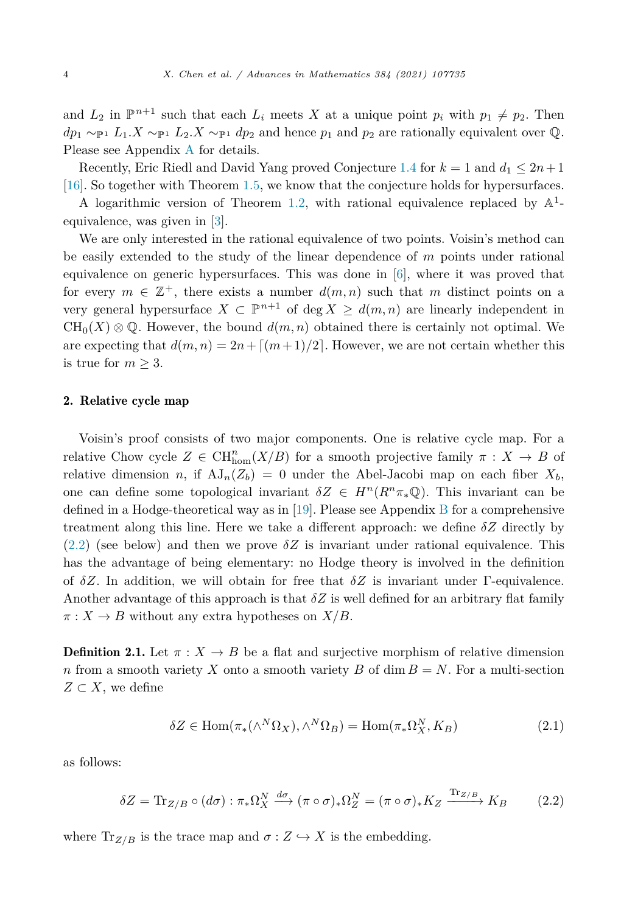<span id="page-3-0"></span>and  $L_2$  in  $\mathbb{P}^{n+1}$  such that each  $L_i$  meets X at a unique point  $p_i$  with  $p_1 \neq p_2$ . Then  $dp_1 \sim_{\mathbb{P}^1} L_1 X \sim_{\mathbb{P}^1} L_2 X \sim_{\mathbb{P}^1} dp_2$  and hence  $p_1$  and  $p_2$  are rationally equivalent over  $\mathbb{Q}$ . Please see Appendix [A](#page-52-0) for details.

Recently, Eric Riedl and David Yang proved Conjecture [1.4](#page-2-0) for  $k = 1$  and  $d_1 \leq 2n+1$ [\[16\]](#page-62-0). So together with Theorem [1.5,](#page-2-0) we know that the conjecture holds for hypersurfaces.

A logarithmic version of Theorem [1.2](#page-1-0), with rational equivalence replaced by  $\mathbb{A}^1$ equivalence, was given in [\[3](#page-62-0)].

We are only interested in the rational equivalence of two points. Voisin's method can be easily extended to the study of the linear dependence of *m* points under rational equivalence on generic hypersurfaces. This was done in [\[6](#page-62-0)], where it was proved that for every  $m \in \mathbb{Z}^+$ , there exists a number  $d(m, n)$  such that m distinct points on a very general hypersurface  $X \subseteq \mathbb{P}^{n+1}$  of deg  $X \geq d(m, n)$  are linearly independent in  $CH_0(X) \otimes \mathbb{Q}$ . However, the bound  $d(m, n)$  obtained there is certainly not optimal. We are expecting that  $d(m, n) = 2n + \lfloor (m+1)/2 \rfloor$ . However, we are not certain whether this is true for  $m \geq 3$ .

#### 2. Relative cycle map

Voisin's proof consists of two major components. One is relative cycle map. For a relative Chow cycle  $Z \in \text{CH}^n_{\text{hom}}(X/B)$  for a smooth projective family  $\pi : X \to B$  of relative dimension *n*, if  $AJ_n(Z_b) = 0$  under the Abel-Jacobi map on each fiber  $X_b$ , one can define some topological invariant  $\delta Z \in H^n(R^n\pi_*\mathbb{Q})$ . This invariant can be defined in a Hodge-theoretical way as in [[19\]](#page-63-0). Please see Appendix [B](#page-57-0) for a comprehensive treatment along this line. Here we take a different approach: we define *δZ* directly by  $(2.2)$  (see below) and then we prove  $\delta Z$  is invariant under rational equivalence. This has the advantage of being elementary: no Hodge theory is involved in the definition of  $\delta Z$ . In addition, we will obtain for free that  $\delta Z$  is invariant under Γ-equivalence. Another advantage of this approach is that *δZ* is well defined for an arbitrary flat family  $\pi: X \to B$  without any extra hypotheses on  $X/B$ .

**Definition 2.1.** Let  $\pi: X \to B$  be a flat and surjective morphism of relative dimension *n* from a smooth variety *X* onto a smooth variety *B* of dim  $B = N$ . For a multi-section  $Z \subset X$ , we define

$$
\delta Z \in \text{Hom}(\pi_*(\wedge^N \Omega_X), \wedge^N \Omega_B) = \text{Hom}(\pi_* \Omega_X^N, K_B)
$$
\n(2.1)

as follows:

$$
\delta Z = \text{Tr}_{Z/B} \circ (d\sigma) : \pi_* \Omega_X^N \xrightarrow{d\sigma} (\pi \circ \sigma)_* \Omega_Z^N = (\pi \circ \sigma)_* K_Z \xrightarrow{\text{Tr}_{Z/B}} K_B \tag{2.2}
$$

where  $\text{Tr}_{Z/B}$  is the trace map and  $\sigma: Z \hookrightarrow X$  is the embedding.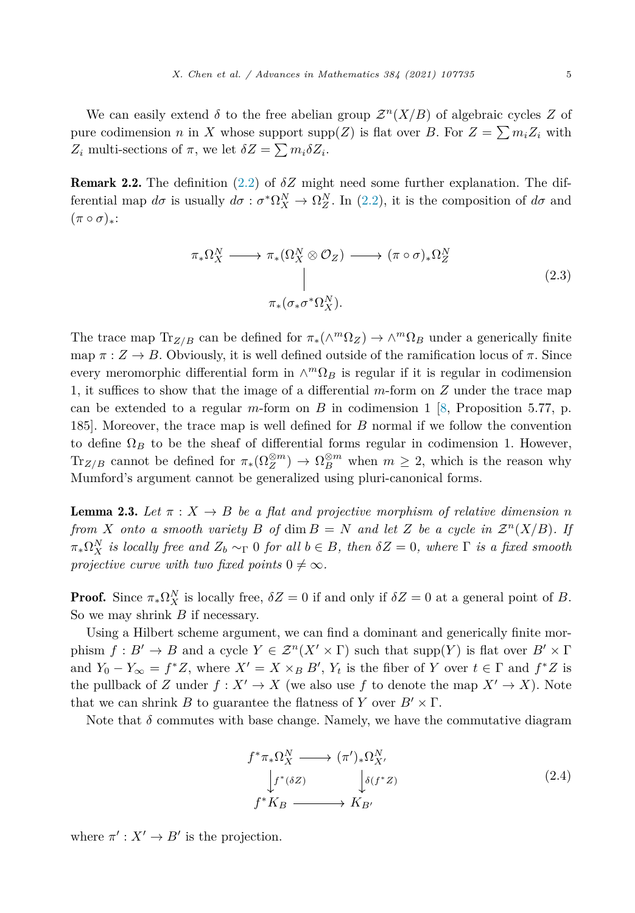<span id="page-4-0"></span>We can easily extend  $\delta$  to the free abelian group  $\mathcal{Z}^n(X/B)$  of algebraic cycles Z of pure codimension *n* in *X* whose support  $\text{supp}(Z)$  is flat over *B*. For  $Z = \sum m_i Z_i$  with  $Z_i$  multi-sections of  $\pi$ , we let  $\delta Z = \sum m_i \delta Z_i$ .

Remark 2.2. The definition [\(2.2\)](#page-3-0) of *δZ* might need some further explanation. The differential map  $d\sigma$  is usually  $d\sigma : \sigma^* \Omega_X^N \to \Omega_Z^N$ . In ([2.2](#page-3-0)), it is the composition of  $d\sigma$  and  $(\pi \circ \sigma)_*$ :

$$
\pi_* \Omega_X^N \longrightarrow \pi_* (\Omega_X^N \otimes \mathcal{O}_Z) \longrightarrow (\pi \circ \sigma)_* \Omega_Z^N
$$
\n
$$
\parallel
$$
\n
$$
\pi_* (\sigma_* \sigma^* \Omega_X^N).
$$
\n(2.3)

The trace map  $Tr_{Z/B}$  can be defined for  $\pi_*(\wedge^m \Omega_Z) \to \wedge^m \Omega_B$  under a generically finite map  $\pi: Z \to B$ . Obviously, it is well defined outside of the ramification locus of  $\pi$ . Since every meromorphic differential form in  $\wedge^m \Omega_B$  is regular if it is regular in codimension 1, it suffices to show that the image of a differential *m*-form on *Z* under the trace map can be extended to a regular *m*-form on *B* in codimension 1 [[8,](#page-62-0) Proposition 5.77, p. 185]. Moreover, the trace map is well defined for *B* normal if we follow the convention to define  $\Omega_B$  to be the sheaf of differential forms regular in codimension 1. However, Tr<sub>Z/B</sub> cannot be defined for  $\pi_*(\Omega_Z^{\otimes m}) \to \Omega_B^{\otimes m}$  when  $m \geq 2$ , which is the reason why Mumford's argument cannot be generalized using pluri-canonical forms.

**Lemma 2.3.** Let  $\pi$  :  $X \to B$  be a flat and projective morphism of relative dimension *n* from X onto a smooth variety B of dim  $B = N$  and let Z be a cycle in  $\mathcal{Z}^n(X/B)$ . If  $\pi_*\Omega_X^N$  is locally free and  $Z_b \sim_\Gamma 0$  for all  $b \in B$ , then  $\delta Z = 0$ , where  $\Gamma$  is a fixed smooth *projective curve with two fixed points*  $0 \neq \infty$ *.* 

**Proof.** Since  $\pi_*\Omega_X^N$  is locally free,  $\delta Z = 0$  if and only if  $\delta Z = 0$  at a general point of *B*. So we may shrink *B* if necessary.

Using a Hilbert scheme argument, we can find a dominant and generically finite morphism  $f: B' \to B$  and a cycle  $Y \in \mathcal{Z}^n(X' \times \Gamma)$  such that supp(Y) is flat over  $B' \times \Gamma$ and  $Y_0 - Y_\infty = f^*Z$ , where  $X' = X \times_B B'$ ,  $Y_t$  is the fiber of *Y* over  $t \in \Gamma$  and  $f^*Z$  is the pullback of *Z* under  $f: X' \to X$  (we also use *f* to denote the map  $X' \to X$ ). Note that we can shrink *B* to guarantee the flatness of *Y* over  $B' \times \Gamma$ .

Note that  $\delta$  commutes with base change. Namely, we have the commutative diagram

$$
f^* \pi_* \Omega_X^N \longrightarrow (\pi')_* \Omega_{X'}^N
$$
  
\n
$$
\downarrow f^*(\delta Z) \qquad \qquad \downarrow \delta(f^* Z)
$$
  
\n
$$
f^* K_B \longrightarrow K_{B'}
$$
\n(2.4)

where  $\pi' : X' \to B'$  is the projection.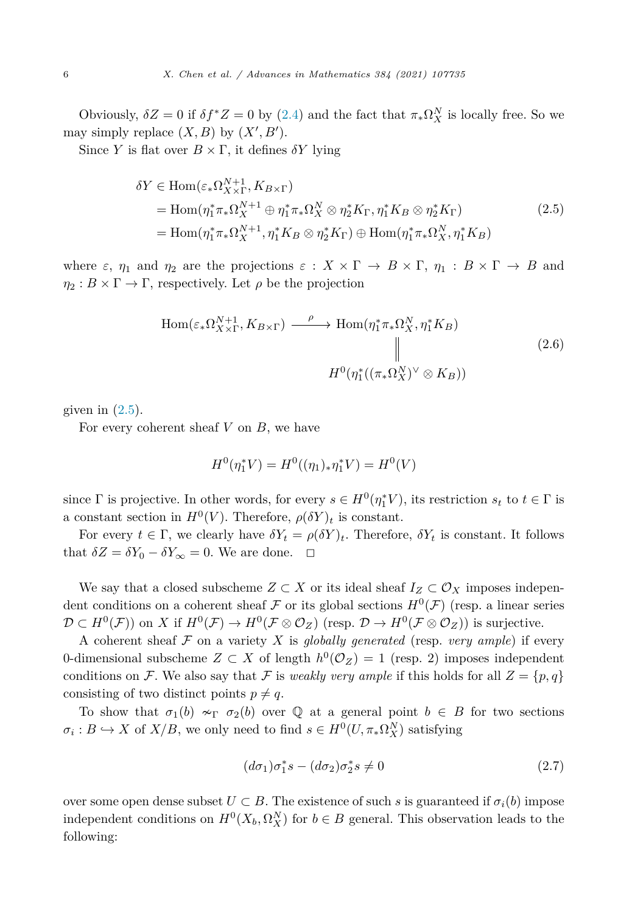<span id="page-5-0"></span>Obviously,  $\delta Z = 0$  if  $\delta f^* Z = 0$  by ([2.4](#page-4-0)) and the fact that  $\pi_* \Omega_X^N$  is locally free. So we may simply replace  $(X, B)$  by  $(X', B')$ .

Since *Y* is flat over  $B \times \Gamma$ , it defines  $\delta Y$  lying

$$
\delta Y \in \text{Hom}(\varepsilon_* \Omega_{X \times \Gamma}^{N+1}, K_{B \times \Gamma})
$$
  
= Hom( $\eta_1^* \pi_* \Omega_X^{N+1} \oplus \eta_1^* \pi_* \Omega_X^N \otimes \eta_2^* K_{\Gamma}, \eta_1^* K_B \otimes \eta_2^* K_{\Gamma})$   
= Hom( $\eta_1^* \pi_* \Omega_X^{N+1}, \eta_1^* K_B \otimes \eta_2^* K_{\Gamma}) \oplus \text{Hom}(\eta_1^* \pi_* \Omega_X^N, \eta_1^* K_B)$  (2.5)

where  $\varepsilon$ ,  $\eta_1$  and  $\eta_2$  are the projections  $\varepsilon : X \times \Gamma \to B \times \Gamma$ ,  $\eta_1 : B \times \Gamma \to B$  and  $\eta_2 : B \times \Gamma \to \Gamma$ , respectively. Let  $\rho$  be the projection

$$
\text{Hom}(\varepsilon_* \Omega_{X \times \Gamma}^{N+1}, K_{B \times \Gamma}) \xrightarrow{\rho} \text{Hom}(\eta_1^* \pi_* \Omega_X^N, \eta_1^* K_B)
$$
\n
$$
\parallel
$$
\n
$$
H^0(\eta_1^* ((\pi_* \Omega_X^N)^\vee \otimes K_B))
$$
\n
$$
(2.6)
$$

given in  $(2.5)$ .

For every coherent sheaf *V* on *B*, we have

$$
H^{0}(\eta_{1}^{*}V) = H^{0}((\eta_{1})_{*}\eta_{1}^{*}V) = H^{0}(V)
$$

since  $\Gamma$  is projective. In other words, for every  $s \in H^0(\eta_1^* V)$ , its restriction  $s_t$  to  $t \in \Gamma$  is a constant section in  $H^0(V)$ . Therefore,  $\rho(\delta Y)_t$  is constant.

For every  $t \in \Gamma$ , we clearly have  $\delta Y_t = \rho(\delta Y)_t$ . Therefore,  $\delta Y_t$  is constant. It follows that  $\delta Z = \delta Y_0 - \delta Y_\infty = 0$ . We are done.  $\Box$ 

We say that a closed subscheme  $Z \subset X$  or its ideal sheaf  $I_Z \subset \mathcal{O}_X$  imposes independent conditions on a coherent sheaf F or its global sections  $H^0(\mathcal{F})$  (resp. a linear series  $\mathcal{D} \subset H^0(\mathcal{F})$  on *X* if  $H^0(\mathcal{F}) \to H^0(\mathcal{F} \otimes \mathcal{O}_Z)$  (resp.  $\mathcal{D} \to H^0(\mathcal{F} \otimes \mathcal{O}_Z)$ ) is surjective.

A coherent sheaf  $\mathcal F$  on a variety  $X$  is *globally generated* (resp. *very ample*) if every 0-dimensional subscheme  $Z \subset X$  of length  $h^0(\mathcal{O}_Z) = 1$  (resp. 2) imposes independent conditions on F. We also say that F is *weakly very ample* if this holds for all  $Z = \{p, q\}$ consisting of two distinct points  $p \neq q$ .

To show that  $\sigma_1(b) \sim_{\Gamma} \sigma_2(b)$  over Q at a general point  $b \in B$  for two sections  $\sigma_i : B \hookrightarrow X$  of  $X/B$ , we only need to find  $s \in H^0(U, \pi_*\Omega_X^N)$  satisfying

$$
(d\sigma_1)\sigma_1^*s - (d\sigma_2)\sigma_2^*s \neq 0 \tag{2.7}
$$

over some open dense subset  $U \subset B$ . The existence of such *s* is guaranteed if  $\sigma_i(b)$  impose independent conditions on  $H^0(X_b, \Omega_X^N)$  for  $b \in B$  general. This observation leads to the following: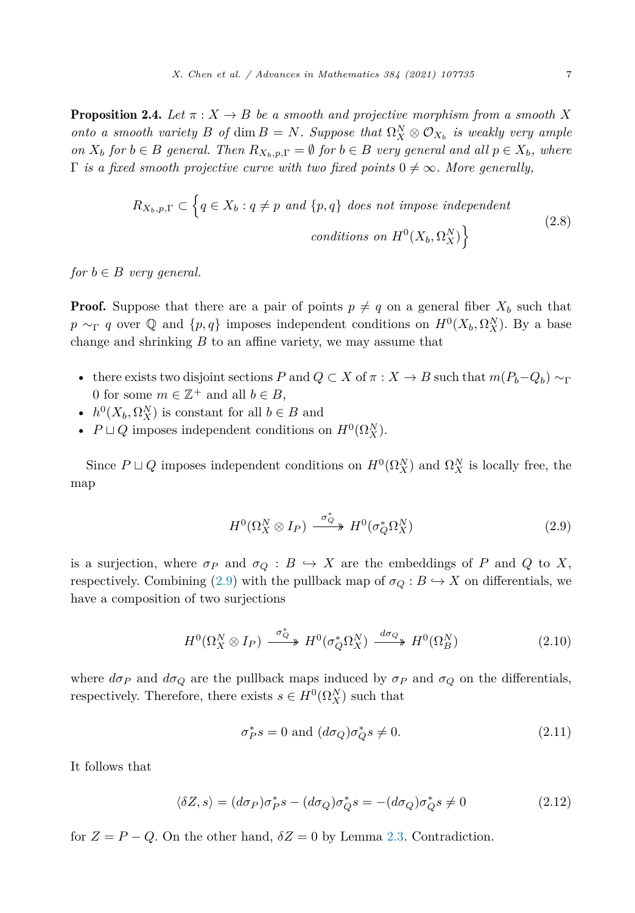<span id="page-6-0"></span>**Proposition 2.4.** *Let*  $\pi$  :  $X \to B$  *be a smooth and projective morphism from a smooth* X *onto a smooth variety B of* dim  $B = N$ *. Suppose that*  $\Omega_X^N \otimes \mathcal{O}_{X_b}$  *is weakly very ample* on  $X_b$  for  $b \in B$  general. Then  $R_{X_b,p,\Gamma} = \emptyset$  for  $b \in B$  very general and all  $p \in X_b$ , where  $\Gamma$  *is a fixed smooth projective curve with two fixed points*  $0 \neq \infty$ *. More generally,* 

$$
R_{X_b, p, \Gamma} \subset \left\{ q \in X_b : q \neq p \text{ and } \{p, q\} \text{ does not impose independent} \right\}
$$
\n
$$
conditions \text{ on } H^0(X_b, \Omega_X^N) \right\}
$$
\n
$$
(2.8)
$$

*for*  $b \in B$  *very general.* 

**Proof.** Suppose that there are a pair of points  $p \neq q$  on a general fiber  $X_b$  such that *p* ∼<sub>Γ</sub> *q* over  $\mathbb{Q}$  and  $\{p,q\}$  imposes independent conditions on  $H^0(X_b, \Omega_X^N)$ . By a base change and shrinking *B* to an affine variety, we may assume that

- there exists two disjoint sections *P* and  $Q \subset X$  of  $\pi : X \to B$  such that  $m(P_b-Q_b) \sim_{\Gamma}$ 0 for some  $m \in \mathbb{Z}^+$  and all  $b \in B$ ,
- $h^0(X_b, \Omega_X^N)$  is constant for all  $b \in B$  and
- $P \sqcup Q$  imposes independent conditions on  $H^0(\Omega_X^N)$ .

Since  $P \sqcup Q$  imposes independent conditions on  $H^0(\Omega_X^N)$  and  $\Omega_X^N$  is locally free, the map

$$
H^{0}(\Omega_{X}^{N}\otimes I_{P}) \xrightarrow{\sigma_{Q}^{*}} H^{0}(\sigma_{Q}^{*}\Omega_{X}^{N})
$$
\n(2.9)

is a surjection, where  $\sigma_P$  and  $\sigma_Q$ :  $B \hookrightarrow X$  are the embeddings of P and Q to X, respectively. Combining (2.9) with the pullback map of  $\sigma_Q : B \hookrightarrow X$  on differentials, we have a composition of two surjections

$$
H^{0}(\Omega_{X}^{N}\otimes I_{P}) \xrightarrow{\sigma_{Q}^{*}} H^{0}(\sigma_{Q}^{*}\Omega_{X}^{N}) \xrightarrow{d\sigma_{Q}} H^{0}(\Omega_{B}^{N})
$$
\n(2.10)

where  $d\sigma_P$  and  $d\sigma_Q$  are the pullback maps induced by  $\sigma_P$  and  $\sigma_Q$  on the differentials, respectively. Therefore, there exists  $s \in H^0(\Omega_X^N)$  such that

$$
\sigma_P^* s = 0 \text{ and } (d\sigma_Q)\sigma_Q^* s \neq 0. \tag{2.11}
$$

It follows that

$$
\langle \delta Z, s \rangle = (d\sigma_P)\sigma_P^* s - (d\sigma_Q)\sigma_Q^* s = -(d\sigma_Q)\sigma_Q^* s \neq 0 \tag{2.12}
$$

for  $Z = P - Q$ . On the other hand,  $\delta Z = 0$  by Lemma [2.3.](#page-4-0) Contradiction.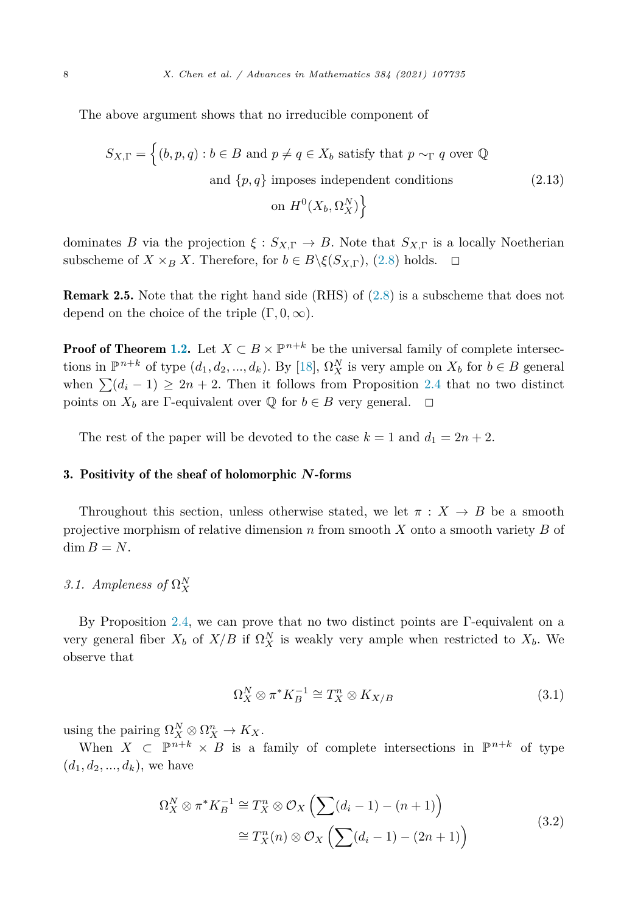The above argument shows that no irreducible component of

$$
S_{X,\Gamma} = \left\{ (b, p, q) : b \in B \text{ and } p \neq q \in X_b \text{ satisfy that } p \sim_{\Gamma} q \text{ over } \mathbb{Q} \right\}
$$
  
and  $\{p, q\}$  imposes independent conditions  
on  $H^0(X_b, \Omega_X^N) \right\}$  (2.13)

dominates *B* via the projection  $\xi$  :  $S_{X,\Gamma} \to B$ . Note that  $S_{X,\Gamma}$  is a locally Noetherian subscheme of  $X \times_B X$ . Therefore, for  $b \in B \setminus \xi(S_{X,\Gamma})$ , [\(2.8\)](#page-6-0) holds.  $\Box$ 

Remark 2.5. Note that the right hand side (RHS) of [\(2.8\)](#page-6-0) is a subscheme that does not depend on the choice of the triple (Γ*,* 0*,*∞).

**Proof of Theorem [1.2.](#page-1-0)** Let  $X \subset B \times \mathbb{P}^{n+k}$  be the universal family of complete intersections in  $\mathbb{P}^{n+k}$  of type  $(d_1, d_2, ..., d_k)$ . By [\[18](#page-63-0)],  $\Omega_X^N$  is very ample on  $X_b$  for  $b \in B$  general when  $\sum (d_i - 1) \ge 2n + 2$ . Then it follows from Proposition [2.4](#page-6-0) that no two distinct points on  $X_b$  are Γ-equivalent over  $\mathbb Q$  for  $b \in B$  very general.  $\Box$ 

The rest of the paper will be devoted to the case  $k = 1$  and  $d_1 = 2n + 2$ .

# 3. Positivity of the sheaf of holomorphic *N*-forms

Throughout this section, unless otherwise stated, we let  $\pi : X \to B$  be a smooth projective morphism of relative dimension *n* from smooth *X* onto a smooth variety *B* of  $\dim B = N$ .

# *3.1. Ampleness of*  $\Omega_X^N$

By Proposition [2.4](#page-6-0), we can prove that no two distinct points are Γ-equivalent on a very general fiber  $X_b$  of  $X/B$  if  $\Omega_X^N$  is weakly very ample when restricted to  $X_b$ . We observe that

$$
\Omega_X^N \otimes \pi^* K_B^{-1} \cong T_X^n \otimes K_{X/B} \tag{3.1}
$$

using the pairing  $\Omega_X^N \otimes \Omega_X^n \to K_X$ .

When  $X \subset \mathbb{P}^{n+k} \times B$  is a family of complete intersections in  $\mathbb{P}^{n+k}$  of type  $(d_1, d_2, ..., d_k)$ , we have

$$
\Omega_X^N \otimes \pi^* K_B^{-1} \cong T_X^n \otimes \mathcal{O}_X \left( \sum (d_i - 1) - (n + 1) \right)
$$
  
\n
$$
\cong T_X^n(n) \otimes \mathcal{O}_X \left( \sum (d_i - 1) - (2n + 1) \right)
$$
\n(3.2)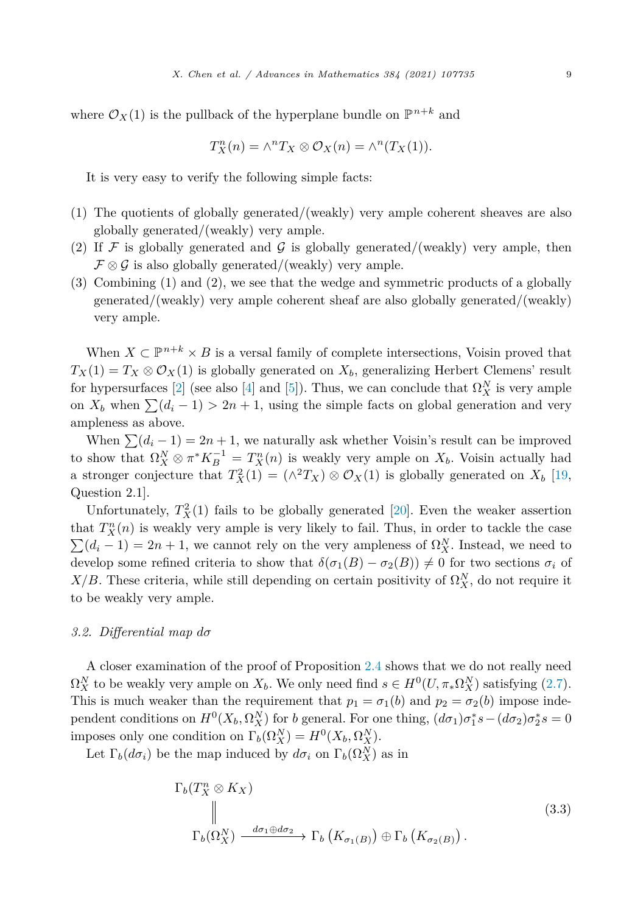where  $\mathcal{O}_X(1)$  is the pullback of the hyperplane bundle on  $\mathbb{P}^{n+k}$  and

$$
T_X^n(n) = \wedge^n T_X \otimes \mathcal{O}_X(n) = \wedge^n (T_X(1)).
$$

It is very easy to verify the following simple facts:

- (1) The quotients of globally generated/(weakly) very ample coherent sheaves are also globally generated/(weakly) very ample.
- (2) If  $\mathcal F$  is globally generated and  $\mathcal G$  is globally generated/(weakly) very ample, then  $\mathcal{F} \otimes \mathcal{G}$  is also globally generated/(weakly) very ample.
- (3) Combining (1) and (2), we see that the wedge and symmetric products of a globally generated/(weakly) very ample coherent sheaf are also globally generated/(weakly) very ample.

When  $X \subset \mathbb{P}^{n+k} \times B$  is a versal family of complete intersections, Voisin proved that  $T_X(1) = T_X \otimes \mathcal{O}_X(1)$  is globally generated on  $X_b$ , generalizing Herbert Clemens' result for hypersurfaces [\[2\]](#page-62-0) (see also [[4\]](#page-62-0) and [[5\]](#page-62-0)). Thus, we can conclude that  $\Omega_X^N$  is very ample on  $X_b$  when  $\sum (d_i - 1) > 2n + 1$ , using the simple facts on global generation and very ampleness as above.

When  $\sum_i (d_i - 1) = 2n + 1$ , we naturally ask whether Voisin's result can be improved to show that  $\Omega_X^N \otimes \pi^* K_B^{-1} = T_X^n(n)$  is weakly very ample on  $X_b$ . Voisin actually had a stronger conjecture that  $T_X^2(1) = (\wedge^2 T_X) \otimes \mathcal{O}_X(1)$  is globally generated on  $X_b$  [\[19](#page-63-0), Question 2.1].

Unfortunately,  $T_X^2(1)$  fails to be globally generated [[20\]](#page-63-0). Even the weaker assertion that  $T_X^n(n)$  is weakly very ample is very likely to fail. Thus, in order to tackle the case  $\sum (d_i - 1) = 2n + 1$ , we cannot rely on the very ampleness of  $\Omega_X^N$ . Instead, we need to develop some refined criteria to show that  $\delta(\sigma_1(B) - \sigma_2(B)) \neq 0$  for two sections  $\sigma_i$  of *X/B*. These criteria, while still depending on certain positivity of  $\Omega_X^N$ , do not require it to be weakly very ample.

#### *3.2. Differential map dσ*

A closer examination of the proof of Proposition [2.4](#page-6-0) shows that we do not really need  $\Omega_X^N$  to be weakly very ample on  $X_b$ . We only need find  $s \in H^0(U, \pi_* \Omega_X^N)$  satisfying [\(2.7](#page-5-0)). This is much weaker than the requirement that  $p_1 = \sigma_1(b)$  and  $p_2 = \sigma_2(b)$  impose independent conditions on  $H^0(X_b, \Omega_X^N)$  for *b* general. For one thing,  $(d\sigma_1)\sigma_1^*s - (d\sigma_2)\sigma_2^*s = 0$ imposes only one condition on  $\Gamma_b(\Omega_X^N) = H^0(X_b, \Omega_X^N)$ .

Let  $\Gamma_b(d\sigma_i)$  be the map induced by  $d\sigma_i$  on  $\Gamma_b(\Omega_X^N)$  as in

$$
\Gamma_b(T_X^n \otimes K_X)
$$
\n
$$
\parallel
$$
\n
$$
\Gamma_b(\Omega_X^N) \xrightarrow{d\sigma_1 \oplus d\sigma_2} \Gamma_b(K_{\sigma_1(B)}) \oplus \Gamma_b(K_{\sigma_2(B)})
$$
\n
$$
(3.3)
$$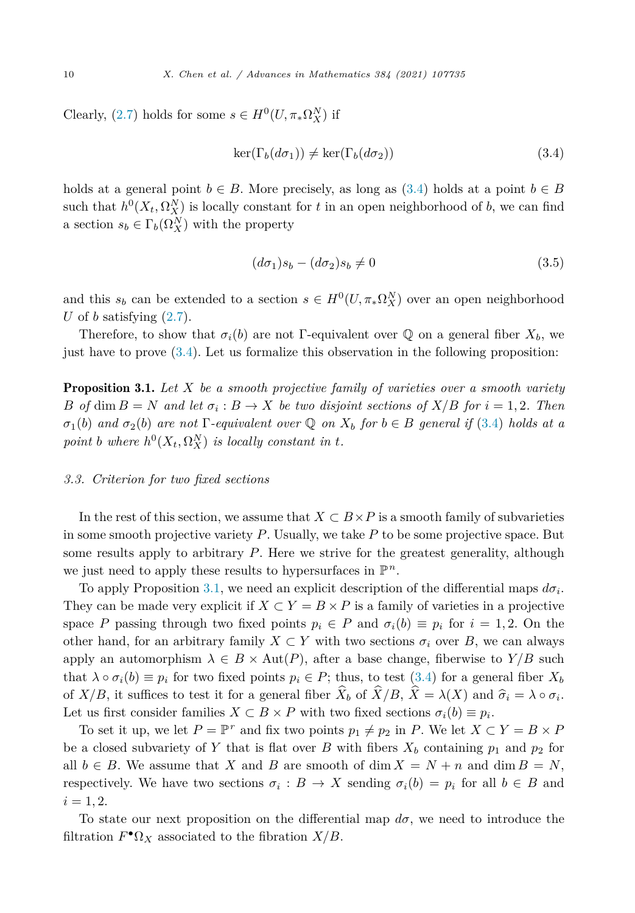<span id="page-9-0"></span>Clearly, [\(2.7](#page-5-0)) holds for some  $s \in H^0(U, \pi_* \Omega_X^N)$  if

$$
\ker(\Gamma_b(d\sigma_1)) \neq \ker(\Gamma_b(d\sigma_2))
$$
\n(3.4)

holds at a general point  $b \in B$ . More precisely, as long as  $(3.4)$  holds at a point  $b \in B$ such that  $h^0(X_t, \Omega_X^N)$  is locally constant for *t* in an open neighborhood of *b*, we can find a section  $s_b \in \Gamma_b(\Omega_X^N)$  with the property

$$
(d\sigma_1)s_b - (d\sigma_2)s_b \neq 0 \tag{3.5}
$$

and this  $s_b$  can be extended to a section  $s \in H^0(U, \pi_*\Omega_X^N)$  over an open neighborhood *U* of *b* satisfying  $(2.7)$  $(2.7)$ .

Therefore, to show that  $\sigma_i(b)$  are not Γ-equivalent over Q on a general fiber  $X_b$ , we just have to prove (3.4). Let us formalize this observation in the following proposition:

Proposition 3.1. *Let X be a smooth projective family of varieties over a smooth variety* B of dim  $B = N$  and let  $\sigma_i : B \to X$  be two disjoint sections of  $X/B$  for  $i = 1, 2$ . Then  $\sigma_1(b)$  and  $\sigma_2(b)$  are not  $\Gamma$ -equivalent over Q on  $X_b$  for  $b \in B$  general if (3.4) holds at a *point b where*  $h^0(X_t, \Omega_X^N)$  *is locally constant in t.* 

# *3.3. Criterion for two fixed sections*

In the rest of this section, we assume that  $X \subset B \times P$  is a smooth family of subvarieties in some smooth projective variety *P*. Usually, we take *P* to be some projective space. But some results apply to arbitrary *P*. Here we strive for the greatest generality, although we just need to apply these results to hypersurfaces in  $\mathbb{P}^n$ .

To apply Proposition 3.1, we need an explicit description of the differential maps *dσi*. They can be made very explicit if  $X \subset Y = B \times P$  is a family of varieties in a projective space *P* passing through two fixed points  $p_i \in P$  and  $\sigma_i(b) \equiv p_i$  for  $i = 1, 2$ . On the other hand, for an arbitrary family  $X \subset Y$  with two sections  $\sigma_i$  over *B*, we can always apply an automorphism  $\lambda \in B \times \text{Aut}(P)$ , after a base change, fiberwise to  $Y/B$  such that  $\lambda \circ \sigma_i(b) \equiv p_i$  for two fixed points  $p_i \in P$ ; thus, to test (3.4) for a general fiber  $X_b$ of *X/B*, it suffices to test it for a general fiber  $X_b$  of  $X/B$ ,  $X = \lambda(X)$  and  $\hat{\sigma}_i = \lambda \circ \sigma_i$ .<br>Let us first consider families  $X \subseteq B \times B$  with two fixed sections  $\pi(h) = n$ . Let us first consider families  $X \subset B \times P$  with two fixed sections  $\sigma_i(b) \equiv p_i$ .

To set it up, we let  $P = \mathbb{P}^r$  and fix two points  $p_1 \neq p_2$  in *P*. We let  $X \subset Y = B \times P$ be a closed subvariety of *Y* that is flat over *B* with fibers  $X_b$  containing  $p_1$  and  $p_2$  for all  $b \in B$ . We assume that *X* and *B* are smooth of dim  $X = N + n$  and dim  $B = N$ , respectively. We have two sections  $\sigma_i : B \to X$  sending  $\sigma_i(b) = p_i$  for all  $b \in B$  and  $i = 1, 2.$ 

To state our next proposition on the differential map  $d\sigma$ , we need to introduce the filtration  $F^{\bullet} \Omega_X$  associated to the fibration  $X/B$ .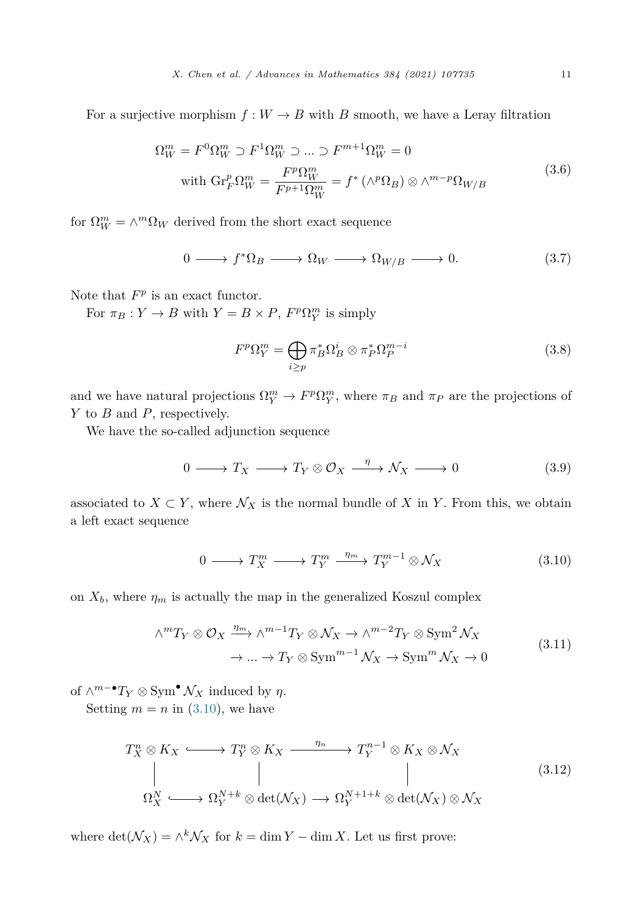<span id="page-10-0"></span>For a surjective morphism  $f: W \to B$  with *B* smooth, we have a Leray filtration

$$
\Omega_W^m = F^0 \Omega_W^m \supset F^1 \Omega_W^m \supset \dots \supset F^{m+1} \Omega_W^m = 0
$$
  
with 
$$
\text{Gr}_F^p \Omega_W^m = \frac{F^p \Omega_W^m}{F^{p+1} \Omega_W^m} = f^* \left( \wedge^p \Omega_B \right) \otimes \wedge^{m-p} \Omega_{W/B}
$$
 (3.6)

for  $\Omega_W^m = \wedge^m \Omega_W$  derived from the short exact sequence

$$
0 \longrightarrow f^*\Omega_B \longrightarrow \Omega_W \longrightarrow \Omega_{W/B} \longrightarrow 0. \tag{3.7}
$$

Note that  $F^p$  is an exact functor.

For  $\pi_B: Y \to B$  with  $Y = B \times P$ ,  $F^p \Omega_Y^m$  is simply

$$
F^p \Omega_Y^m = \bigoplus_{i \ge p} \pi_B^* \Omega_B^i \otimes \pi_P^* \Omega_P^{m-i}
$$
 (3.8)

and we have natural projections  $\Omega_Y^m \to F^p \Omega_Y^m$ , where  $\pi_B$  and  $\pi_P$  are the projections of *Y* to *B* and *P*, respectively.

We have the so-called adjunction sequence

$$
0 \longrightarrow T_X \longrightarrow T_Y \otimes \mathcal{O}_X \xrightarrow{\eta} \mathcal{N}_X \longrightarrow 0 \tag{3.9}
$$

associated to  $X \subset Y$ , where  $\mathcal{N}_X$  is the normal bundle of X in Y. From this, we obtain a left exact sequence

$$
0 \longrightarrow T_X^m \longrightarrow T_Y^m \xrightarrow{\eta_m} T_Y^{m-1} \otimes \mathcal{N}_X \tag{3.10}
$$

on  $X_b$ , where  $\eta_m$  is actually the map in the generalized Koszul complex

$$
\wedge^m T_Y \otimes \mathcal{O}_X \xrightarrow{\eta_m} \wedge^{m-1} T_Y \otimes \mathcal{N}_X \to \wedge^{m-2} T_Y \otimes \text{Sym}^2 \mathcal{N}_X
$$
  

$$
\to \dots \to T_Y \otimes \text{Sym}^{m-1} \mathcal{N}_X \to \text{Sym}^m \mathcal{N}_X \to 0
$$
(3.11)

of  $\wedge^{m-\bullet} T_Y \otimes \text{Sym}^{\bullet} \mathcal{N}_X$  induced by  $\eta$ .

Setting  $m = n$  in  $(3.10)$ , we have

$$
T_X^n \otimes K_X \longleftrightarrow T_Y^n \otimes K_X \xrightarrow{\eta_n} T_Y^{n-1} \otimes K_X \otimes \mathcal{N}_X
$$
  
\n
$$
\parallel \qquad \qquad \parallel \qquad \qquad \parallel
$$
  
\n
$$
\Omega_X^N \longleftrightarrow \Omega_Y^{N+k} \otimes \det(\mathcal{N}_X) \longrightarrow \Omega_Y^{N+1+k} \otimes \det(\mathcal{N}_X) \otimes \mathcal{N}_X
$$
  
\n(3.12)

where  $\det(\mathcal{N}_X) = \wedge^k \mathcal{N}_X$  for  $k = \dim Y - \dim X$ . Let us first prove: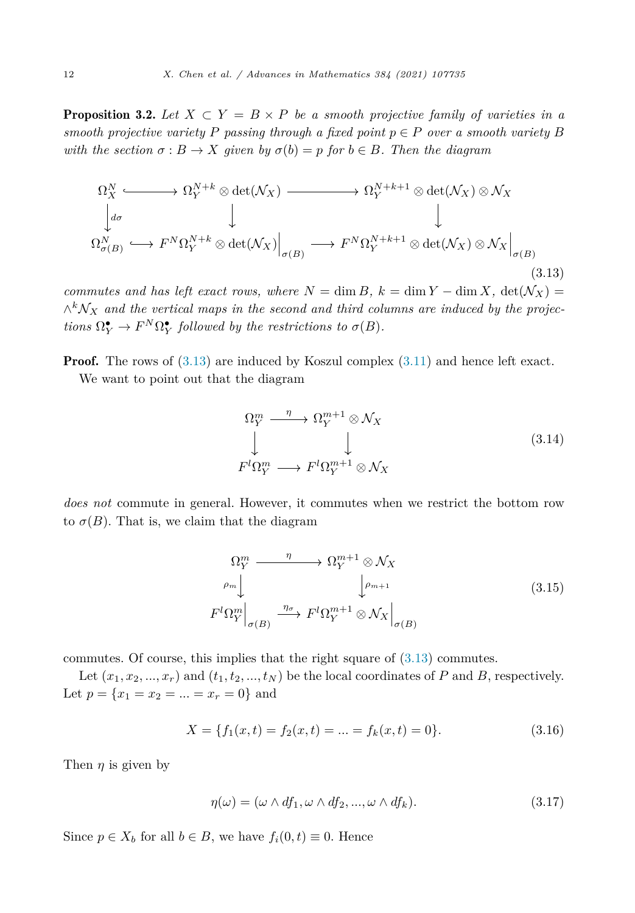<span id="page-11-0"></span>**Proposition 3.2.** Let  $X \subset Y = B \times P$  be a smooth projective family of varieties in a *smooth projective variety P passing through a fixed point*  $p \in P$  *over a smooth variety B with the section*  $\sigma : B \to X$  *given by*  $\sigma(b) = p$  *for*  $b \in B$ *. Then the diagram* 

$$
\Omega_X^N \longleftrightarrow \Omega_Y^{N+k} \otimes \det(\mathcal{N}_X) \longrightarrow \Omega_Y^{N+k+1} \otimes \det(\mathcal{N}_X) \otimes \mathcal{N}_X
$$
  
\n
$$
\downarrow \qquad \qquad \downarrow \qquad \qquad \downarrow
$$
  
\n
$$
\Omega_{\sigma(B)}^N \hookrightarrow F^N \Omega_Y^{N+k} \otimes \det(\mathcal{N}_X) \Big|_{\sigma(B)} \longrightarrow F^N \Omega_Y^{N+k+1} \otimes \det(\mathcal{N}_X) \otimes \mathcal{N}_X \Big|_{\sigma(B)}
$$
\n(3.13)

*commutes* and has left exact rows, where  $N = \dim B$ ,  $k = \dim Y - \dim X$ ,  $\det(N_X) =$ <sup>∧</sup>*<sup>k</sup>*N*<sup>X</sup> and the vertical maps in the second and third columns are induced by the projections*  $\Omega_Y^{\bullet} \to F^N \Omega_Y^{\bullet}$  *followed by the restrictions to*  $\sigma(B)$ *.* 

**Proof.** The rows of  $(3.13)$  are induced by Koszul complex  $(3.11)$  $(3.11)$  and hence left exact. We want to point out that the diagram

$$
\Omega_Y^m \longrightarrow \Omega_Y^{m+1} \otimes \mathcal{N}_X
$$
\n
$$
\downarrow \qquad \qquad \downarrow
$$
\n
$$
F^l \Omega_Y^m \longrightarrow F^l \Omega_Y^{m+1} \otimes \mathcal{N}_X
$$
\n(3.14)

*does not* commute in general. However, it commutes when we restrict the bottom row to  $\sigma(B)$ . That is, we claim that the diagram

$$
\Omega_Y^m \longrightarrow \Omega_Y^{m+1} \otimes \mathcal{N}_X
$$
\n
$$
\rho_m \downarrow \qquad \qquad \downarrow \rho_{m+1}
$$
\n
$$
F^l \Omega_Y^m \big|_{\sigma(B)} \xrightarrow{\eta_{\sigma}} F^l \Omega_Y^{m+1} \otimes \mathcal{N}_X \big|_{\sigma(B)}
$$
\n(3.15)

commutes. Of course, this implies that the right square of (3.13) commutes.

Let  $(x_1, x_2, \ldots, x_r)$  and  $(t_1, t_2, \ldots, t_N)$  be the local coordinates of *P* and *B*, respectively. Let  $p = \{x_1 = x_2 = ... = x_r = 0\}$  and

$$
X = \{f_1(x,t) = f_2(x,t) = \dots = f_k(x,t) = 0\}.
$$
\n(3.16)

Then  $\eta$  is given by

$$
\eta(\omega) = (\omega \wedge df_1, \omega \wedge df_2, ..., \omega \wedge df_k). \tag{3.17}
$$

Since  $p \in X_b$  for all  $b \in B$ , we have  $f_i(0,t) \equiv 0$ . Hence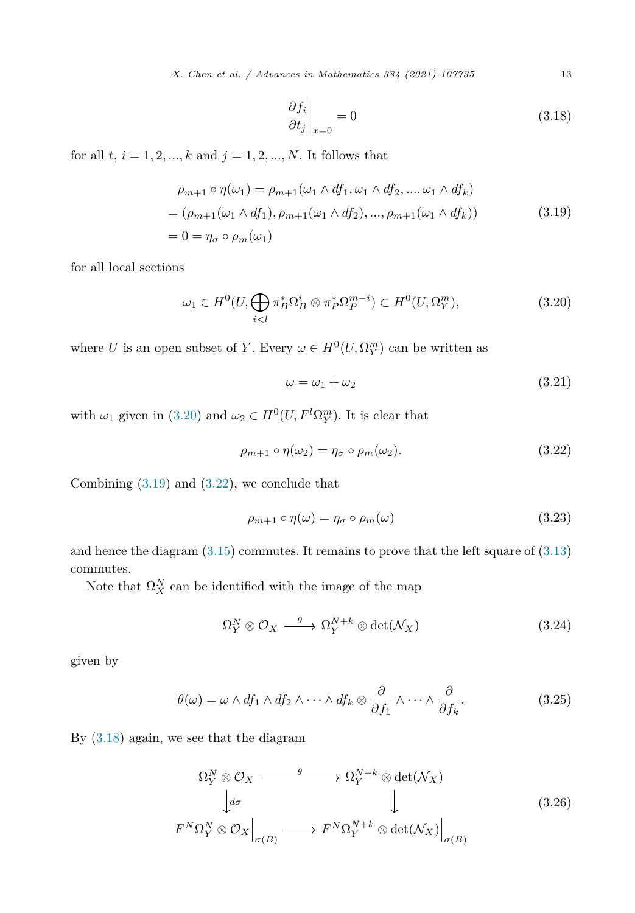*X. Chen et al. / Advances in Mathematics 384 (2021) 107735* 13

$$
\left. \frac{\partial f_i}{\partial t_j} \right|_{x=0} = 0 \tag{3.18}
$$

for all  $t, i = 1, 2, ..., k$  and  $j = 1, 2, ..., N$ . It follows that

$$
\rho_{m+1} \circ \eta(\omega_1) = \rho_{m+1}(\omega_1 \wedge df_1, \omega_1 \wedge df_2, ..., \omega_1 \wedge df_k)
$$
  
= 
$$
(\rho_{m+1}(\omega_1 \wedge df_1), \rho_{m+1}(\omega_1 \wedge df_2), ..., \rho_{m+1}(\omega_1 \wedge df_k))
$$
  
= 
$$
0 = \eta_{\sigma} \circ \rho_m(\omega_1)
$$
 (3.19)

for all local sections

$$
\omega_1 \in H^0(U, \bigoplus_{i < l} \pi_B^* \Omega_B^i \otimes \pi_P^* \Omega_P^{m-i}) \subset H^0(U, \Omega_Y^m),\tag{3.20}
$$

where *U* is an open subset of *Y*. Every  $\omega \in H^0(U, \Omega_Y^m)$  can be written as

$$
\omega = \omega_1 + \omega_2 \tag{3.21}
$$

with  $\omega_1$  given in (3.20) and  $\omega_2 \in H^0(U, F^l \Omega_Y^m)$ . It is clear that

$$
\rho_{m+1} \circ \eta(\omega_2) = \eta_{\sigma} \circ \rho_m(\omega_2). \tag{3.22}
$$

Combining (3.19) and (3.22), we conclude that

$$
\rho_{m+1} \circ \eta(\omega) = \eta_{\sigma} \circ \rho_m(\omega) \tag{3.23}
$$

and hence the diagram  $(3.15)$  $(3.15)$  commutes. It remains to prove that the left square of  $(3.13)$  $(3.13)$ commutes.

Note that  $\Omega_X^N$  can be identified with the image of the map

$$
\Omega_Y^N \otimes \mathcal{O}_X \xrightarrow{\theta} \Omega_Y^{N+k} \otimes \det(\mathcal{N}_X) \tag{3.24}
$$

given by

$$
\theta(\omega) = \omega \wedge df_1 \wedge df_2 \wedge \cdots \wedge df_k \otimes \frac{\partial}{\partial f_1} \wedge \cdots \wedge \frac{\partial}{\partial f_k}.
$$
 (3.25)

By (3.18) again, we see that the diagram

$$
\Omega_Y^N \otimes \mathcal{O}_X \xrightarrow{\theta} \Omega_Y^{N+k} \otimes \det(\mathcal{N}_X)
$$
\n
$$
\downarrow d\sigma \qquad \qquad \downarrow \qquad (3.26)
$$
\n
$$
F^N \Omega_Y^N \otimes \mathcal{O}_X \Big|_{\sigma(B)} \longrightarrow F^N \Omega_Y^{N+k} \otimes \det(\mathcal{N}_X) \Big|_{\sigma(B)}
$$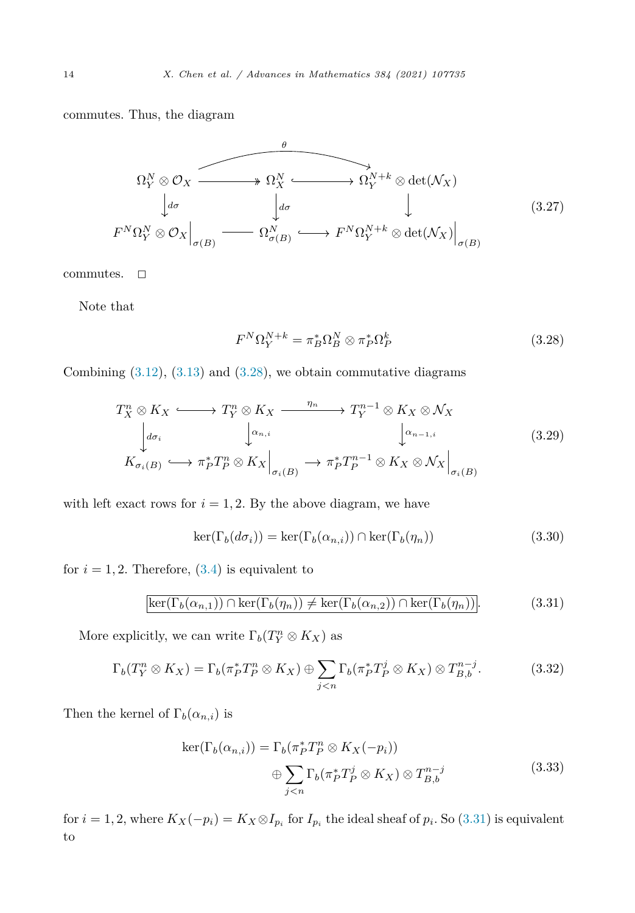commutes. Thus, the diagram



commutes.  $\Box$ 

Note that

$$
F^{N}\Omega_{Y}^{N+k} = \pi_{B}^{*}\Omega_{B}^{N} \otimes \pi_{P}^{*}\Omega_{P}^{k}
$$
\n(3.28)

Combining  $(3.12)$  $(3.12)$ ,  $(3.13)$  and  $(3.28)$ , we obtain commutative diagrams

$$
T_X^n \otimes K_X \longleftrightarrow T_Y^n \otimes K_X \xrightarrow{\eta_n} T_Y^{n-1} \otimes K_X \otimes \mathcal{N}_X
$$
  
\n
$$
\downarrow d\sigma_i \qquad \qquad \downarrow \alpha_{n,i} \qquad \qquad \downarrow \alpha_{n-1,i} \qquad (3.29)
$$
  
\n
$$
K_{\sigma_i(B)} \hookrightarrow \pi_P^* T_P^n \otimes K_X \Big|_{\sigma_i(B)} \longrightarrow \pi_P^* T_P^{n-1} \otimes K_X \otimes \mathcal{N}_X \Big|_{\sigma_i(B)}
$$

with left exact rows for  $i = 1, 2$ . By the above diagram, we have

$$
\ker(\Gamma_b(d\sigma_i)) = \ker(\Gamma_b(\alpha_{n,i})) \cap \ker(\Gamma_b(\eta_n))
$$
\n(3.30)

for  $i = 1, 2$ . Therefore,  $(3.4)$  $(3.4)$  is equivalent to

$$
\ker(\Gamma_b(\alpha_{n,1})) \cap \ker(\Gamma_b(\eta_n)) \neq \ker(\Gamma_b(\alpha_{n,2})) \cap \ker(\Gamma_b(\eta_n)).
$$
\n(3.31)

More explicitly, we can write  $\Gamma_b(T_Y^n \otimes K_X)$  as

$$
\Gamma_b(T_Y^n \otimes K_X) = \Gamma_b(\pi_P^* T_P^n \otimes K_X) \oplus \sum_{j < n} \Gamma_b(\pi_P^* T_P^j \otimes K_X) \otimes T_{B,b}^{n-j}.\tag{3.32}
$$

Then the kernel of  $\Gamma_b(\alpha_{n,i})$  is

$$
\ker(\Gamma_b(\alpha_{n,i})) = \Gamma_b(\pi_P^* T_P^n \otimes K_X(-p_i))
$$
  

$$
\oplus \sum_{j < n} \Gamma_b(\pi_P^* T_P^j \otimes K_X) \otimes T_{B,b}^{n-j}
$$
(3.33)

for  $i = 1, 2$ , where  $K_X(-p_i) = K_X \otimes I_{p_i}$  for  $I_{p_i}$  the ideal sheaf of  $p_i$ . So (3.31) is equivalent to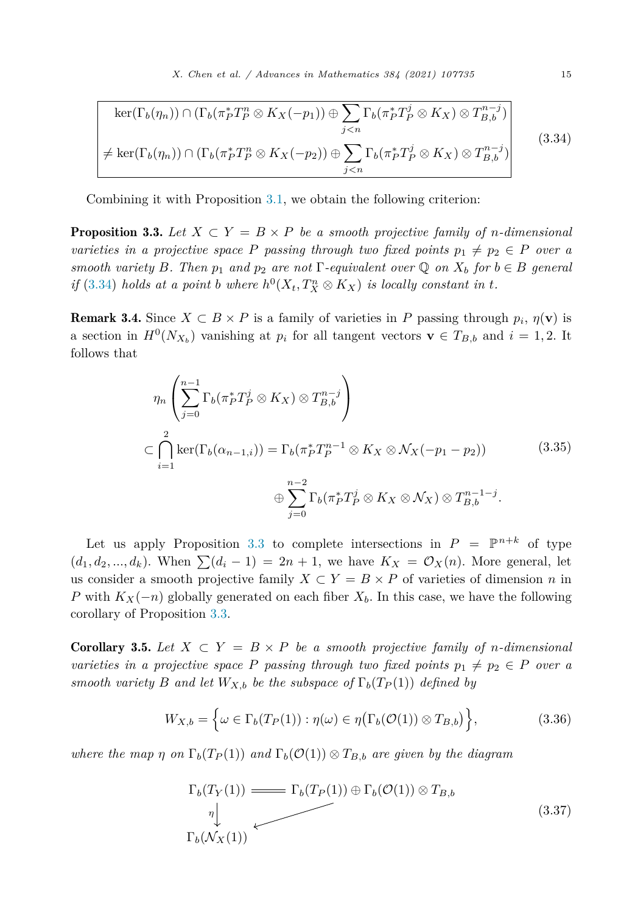<span id="page-14-0"></span>
$$
\ker(\Gamma_b(\eta_n)) \cap (\Gamma_b(\pi_P^* T_P^n \otimes K_X(-p_1)) \oplus \sum_{j < n} \Gamma_b(\pi_P^* T_P^j \otimes K_X) \otimes T_{B,b}^{n-j})
$$
\n
$$
\neq \ker(\Gamma_b(\eta_n)) \cap (\Gamma_b(\pi_P^* T_P^n \otimes K_X(-p_2)) \oplus \sum_{j < n} \Gamma_b(\pi_P^* T_P^j \otimes K_X) \otimes T_{B,b}^{n-j})
$$
\n
$$
(3.34)
$$

Combining it with Proposition [3.1,](#page-9-0) we obtain the following criterion:

**Proposition 3.3.** Let  $X \subset Y = B \times P$  be a smooth projective family of *n*-dimensional *varieties in a projective space P passing through two fixed points*  $p_1 \neq p_2 \in P$  *over a smooth variety B. Then*  $p_1$  *and*  $p_2$  *are not*  $\Gamma$ *-equivalent over*  $\mathbb{Q}$  *on*  $X_b$  *for*  $b \in B$  *general* if (3.34) holds at a point b where  $h^0(X_t, T_X^n \otimes K_X)$  is locally constant in t.

**Remark 3.4.** Since  $X \subset B \times P$  is a family of varieties in P passing through  $p_i$ ,  $\eta(\mathbf{v})$  is a section in  $H^0(N_{X_b})$  vanishing at  $p_i$  for all tangent vectors  $\mathbf{v} \in T_{B,b}$  and  $i = 1, 2$ . It follows that

$$
\eta_n \left( \sum_{j=0}^{n-1} \Gamma_b (\pi_P^* T_P^j \otimes K_X) \otimes T_{B,b}^{n-j} \right)
$$
\n
$$
\subset \bigcap_{i=1}^2 \ker(\Gamma_b(\alpha_{n-1,i})) = \Gamma_b (\pi_P^* T_P^{n-1} \otimes K_X \otimes \mathcal{N}_X(-p_1 - p_2)) \qquad (3.35)
$$
\n
$$
\oplus \sum_{j=0}^{n-2} \Gamma_b (\pi_P^* T_P^j \otimes K_X \otimes \mathcal{N}_X) \otimes T_{B,b}^{n-1-j}.
$$

Let us apply Proposition 3.3 to complete intersections in  $P = \mathbb{P}^{n+k}$  of type  $(d_1, d_2, ..., d_k)$ . When  $\sum (d_i - 1) = 2n + 1$ , we have  $K_X = \mathcal{O}_X(n)$ . More general, let us consider a smooth projective family  $X \subset Y = B \times P$  of varieties of dimension *n* in *P* with  $K_X(-n)$  globally generated on each fiber  $X_b$ . In this case, we have the following corollary of Proposition 3.3.

**Corollary 3.5.** Let  $X \subset Y = B \times P$  be a smooth projective family of *n*-dimensional *varieties in a projective space P passing through two fixed points*  $p_1 \neq p_2 \in P$  *over a smooth variety B and let*  $W_{X,b}$  *be the subspace of*  $\Gamma_b(T_P(1))$  *defined by* 

$$
W_{X,b} = \left\{ \omega \in \Gamma_b(T_P(1)) : \eta(\omega) \in \eta(\Gamma_b(\mathcal{O}(1)) \otimes T_{B,b}) \right\},\tag{3.36}
$$

*where the map η on*  $\Gamma_b(T_P(1))$  *and*  $\Gamma_b(\mathcal{O}(1)) \otimes T_{B,b}$  *are given by the diagram* 

$$
\Gamma_b(T_Y(1)) \longrightarrow \Gamma_b(T_P(1)) \oplus \Gamma_b(\mathcal{O}(1)) \otimes T_{B,b}
$$
\n
$$
\Gamma_b(\mathcal{N}_X(1)) \qquad (3.37)
$$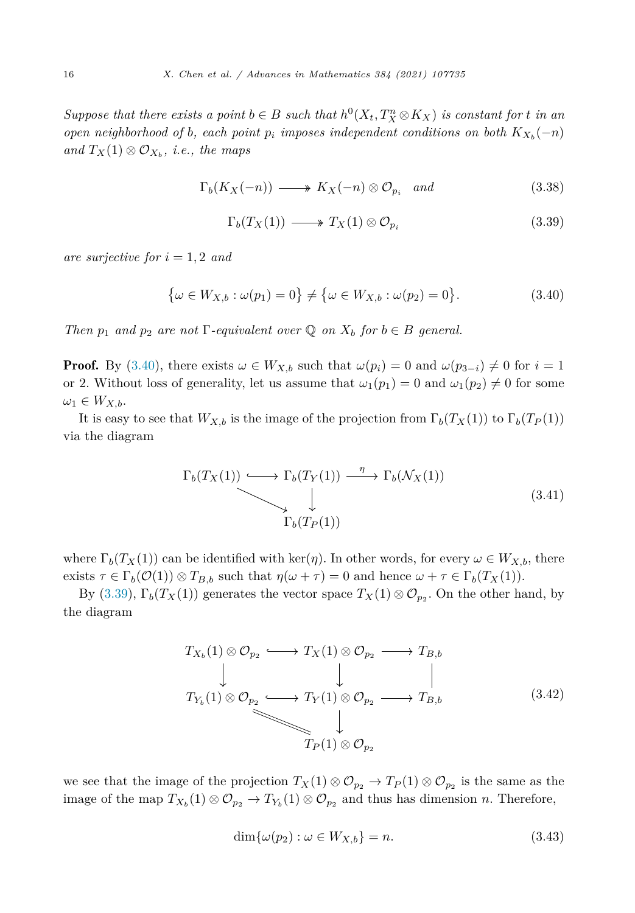<span id="page-15-0"></span>Suppose that there exists a point  $b \in B$  such that  $h^0(X_t, T_X^n \otimes K_X)$  is constant for t in an *open neighborhood of b*, *each point*  $p_i$  *imposes independent conditions on both*  $K_{X_b}(-n)$  $and T<sub>X</sub>(1) ⊗ O<sub>X<sub>b</sub></sub>$ *, i.e., the maps* 

$$
\Gamma_b(K_X(-n)) \longrightarrow K_X(-n) \otimes \mathcal{O}_{p_i} \quad and \tag{3.38}
$$

$$
\Gamma_b(T_X(1)) \longrightarrow T_X(1) \otimes \mathcal{O}_{p_i} \tag{3.39}
$$

*are surjective for i* = 1*,* 2 *and*

$$
\{\omega \in W_{X,b} : \omega(p_1) = 0\} \neq \{\omega \in W_{X,b} : \omega(p_2) = 0\}.
$$
 (3.40)

*Then*  $p_1$  *and*  $p_2$  *are not*  $\Gamma$ *-equivalent over*  $\mathbb Q$  *on*  $X_b$  *for*  $b \in B$  *general.* 

**Proof.** By (3.40), there exists  $\omega \in W_{X,b}$  such that  $\omega(p_i) = 0$  and  $\omega(p_{3-i}) \neq 0$  for  $i = 1$ or 2. Without loss of generality, let us assume that  $\omega_1(p_1) = 0$  and  $\omega_1(p_2) \neq 0$  for some  $\omega_1 \in W_{X,b}$ .

It is easy to see that  $W_{X,b}$  is the image of the projection from  $\Gamma_b(T_X(1))$  to  $\Gamma_b(T_P(1))$ via the diagram

$$
\Gamma_b(T_X(1)) \longrightarrow \Gamma_b(T_Y(1)) \xrightarrow{\eta} \Gamma_b(\mathcal{N}_X(1))
$$
\n
$$
\downarrow \qquad \qquad \downarrow \qquad \qquad \Gamma_b(T_P(1)) \tag{3.41}
$$

where  $\Gamma_b(T_X(1))$  can be identified with ker(*η*). In other words, for every  $\omega \in W_{X,b}$ , there exists  $\tau \in \Gamma_b(\mathcal{O}(1)) \otimes T_{B,b}$  such that  $\eta(\omega + \tau) = 0$  and hence  $\omega + \tau \in \Gamma_b(T_X(1)).$ 

By (3.39),  $\Gamma_b(T_X(1))$  generates the vector space  $T_X(1) \otimes \mathcal{O}_{p_2}$ . On the other hand, by the diagram

$$
T_{X_b}(1) \otimes \mathcal{O}_{p_2} \longrightarrow T_X(1) \otimes \mathcal{O}_{p_2} \longrightarrow T_{B,b}
$$
\n
$$
T_{Y_b}(1) \otimes \mathcal{O}_{p_2} \longrightarrow T_Y(1) \otimes \mathcal{O}_{p_2} \longrightarrow T_{B,b}
$$
\n
$$
\downarrow \qquad \qquad \downarrow \qquad \qquad \downarrow \qquad \qquad (3.42)
$$
\n
$$
T_P(1) \otimes \mathcal{O}_{p_2}
$$

we see that the image of the projection  $T_X(1) \otimes \mathcal{O}_{p_2} \to T_P(1) \otimes \mathcal{O}_{p_2}$  is the same as the image of the map  $T_{X_b}(1) \otimes \mathcal{O}_{p_2} \to T_{Y_b}(1) \otimes \mathcal{O}_{p_2}$  and thus has dimension *n*. Therefore,

$$
\dim\{\omega(p_2): \omega \in W_{X,b}\} = n. \tag{3.43}
$$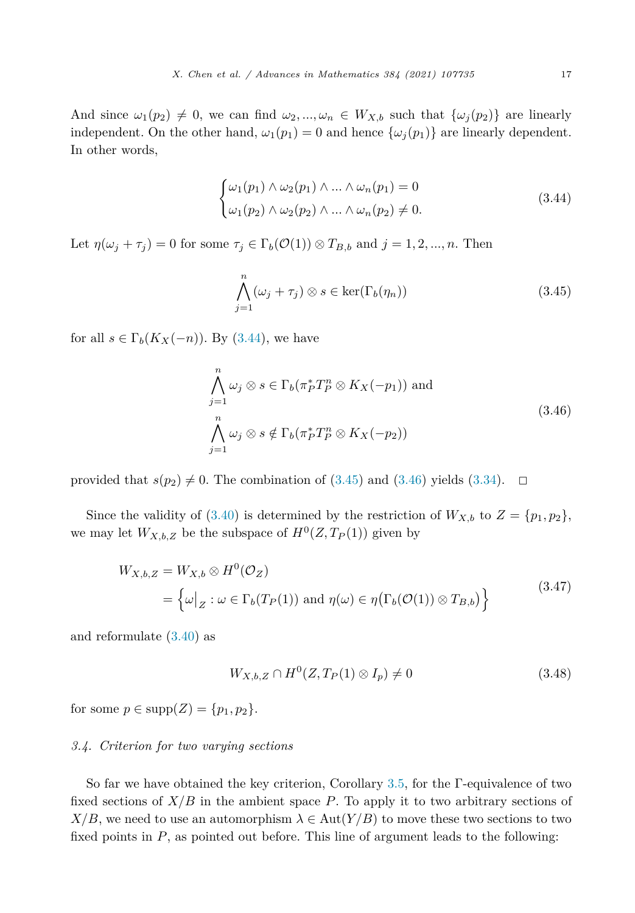And since  $\omega_1(p_2) \neq 0$ , we can find  $\omega_2, ..., \omega_n \in W_{X,b}$  such that  $\{\omega_j(p_2)\}\)$  are linearly independent. On the other hand,  $\omega_1(p_1) = 0$  and hence  $\{\omega_i(p_1)\}\$  are linearly dependent. In other words,

$$
\begin{cases}\n\omega_1(p_1) \wedge \omega_2(p_1) \wedge \dots \wedge \omega_n(p_1) = 0 \\
\omega_1(p_2) \wedge \omega_2(p_2) \wedge \dots \wedge \omega_n(p_2) \neq 0.\n\end{cases}
$$
\n(3.44)

Let  $\eta(\omega_j + \tau_j) = 0$  for some  $\tau_j \in \Gamma_b(\mathcal{O}(1)) \otimes T_{B,b}$  and  $j = 1, 2, ..., n$ . Then

$$
\bigwedge_{j=1}^{n} (\omega_j + \tau_j) \otimes s \in \ker(\Gamma_b(\eta_n)) \tag{3.45}
$$

for all  $s \in \Gamma_b(K_X(-n))$ . By (3.44), we have

$$
\bigwedge_{j=1}^{n} \omega_j \otimes s \in \Gamma_b(\pi_P^* T_P^n \otimes K_X(-p_1)) \text{ and}
$$
\n
$$
\bigwedge_{j=1}^{n} \omega_j \otimes s \notin \Gamma_b(\pi_P^* T_P^n \otimes K_X(-p_2))
$$
\n(3.46)

provided that  $s(p_2) \neq 0$ . The combination of (3.45) and (3.46) yields ([3.34](#page-14-0)).  $\Box$ 

Since the validity of [\(3.40](#page-15-0)) is determined by the restriction of  $W_{X,b}$  to  $Z = \{p_1, p_2\}$ , we may let  $W_{X,b,Z}$  be the subspace of  $H^0(Z,T_P(1))$  given by

$$
W_{X,b,Z} = W_{X,b} \otimes H^0(\mathcal{O}_Z)
$$
  
=  $\left\{ \omega \big|_Z : \omega \in \Gamma_b(T_P(1)) \text{ and } \eta(\omega) \in \eta(\Gamma_b(\mathcal{O}(1)) \otimes T_{B,b}) \right\}$  (3.47)

and reformulate [\(3.40\)](#page-15-0) as

$$
W_{X,b,Z} \cap H^0(Z, T_P(1) \otimes I_p) \neq 0 \tag{3.48}
$$

for some  $p \in \text{supp}(Z) = \{p_1, p_2\}.$ 

#### *3.4. Criterion for two varying sections*

So far we have obtained the key criterion, Corollary [3.5](#page-14-0), for the Γ-equivalence of two fixed sections of *X/B* in the ambient space *P*. To apply it to two arbitrary sections of  $X/B$ , we need to use an automorphism  $\lambda \in Aut(Y/B)$  to move these two sections to two fixed points in *P*, as pointed out before. This line of argument leads to the following: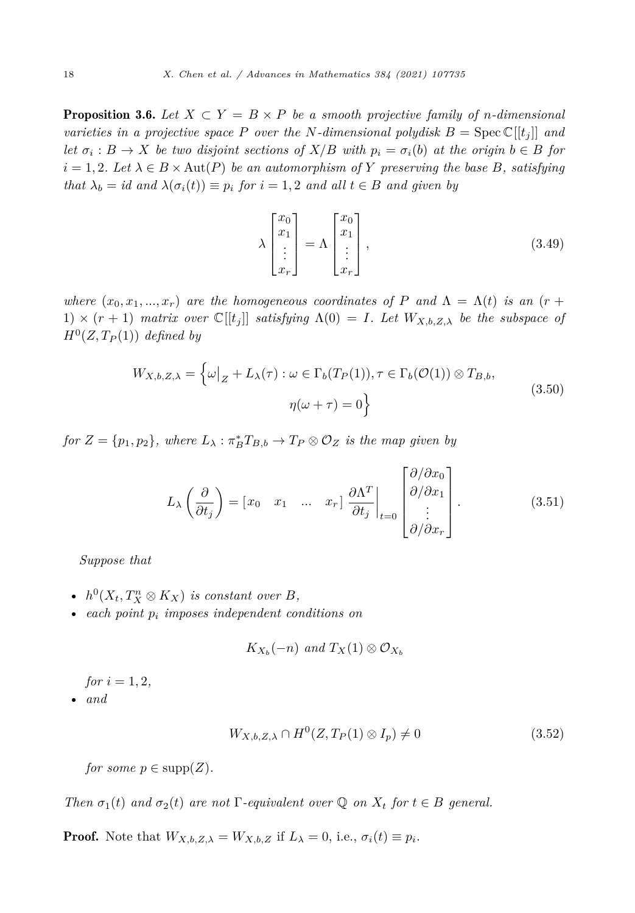<span id="page-17-0"></span>**Proposition 3.6.** Let  $X \subset Y = B \times P$  be a smooth projective family of *n*-dimensional *varieties in a projective space P over the N-dimensional polydisk*  $B = \text{Spec } \mathbb{C}[[t_i]]$  *and* let  $\sigma_i : B \to X$  be two disjoint sections of  $X/B$  with  $p_i = \sigma_i(b)$  at the origin  $b \in B$  for  $i = 1, 2$ *. Let*  $\lambda \in B \times Aut(P)$  *be an automorphism of Y preserving the base B, satisfying that*  $\lambda_b = id$  *and*  $\lambda(\sigma_i(t)) \equiv p_i$  *for*  $i = 1, 2$  *and all*  $t \in B$  *and given by* 

$$
\lambda \begin{bmatrix} x_0 \\ x_1 \\ \vdots \\ x_r \end{bmatrix} = \Lambda \begin{bmatrix} x_0 \\ x_1 \\ \vdots \\ x_r \end{bmatrix},
$$
\n(3.49)

*where*  $(x_0, x_1, \ldots, x_r)$  *are the homogeneous coordinates of P and*  $\Lambda = \Lambda(t)$  *is an* (*r* + 1)  $\times$  ( $r + 1$ ) *matrix over*  $\mathbb{C}[[t_i]]$  *satisfying*  $\Lambda(0) = I$ *. Let*  $W_{X,b,Z,\lambda}$  *be the subspace of*  $H^0(Z, T_P(1))$  *defined by* 

$$
W_{X,b,Z,\lambda} = \left\{ \omega \big|_Z + L_{\lambda}(\tau) : \omega \in \Gamma_b(T_P(1)), \tau \in \Gamma_b(\mathcal{O}(1)) \otimes T_{B,b}, \right\}
$$
  

$$
\eta(\omega + \tau) = 0 \right\}
$$
 (3.50)

 $f \circ Z = \{p_1, p_2\}$ , where  $L_\lambda : \pi_B^* T_{B,b} \to T_P \otimes \mathcal{O}_Z$  *is the map given by* 

$$
L_{\lambda} \left( \frac{\partial}{\partial t_j} \right) = \begin{bmatrix} x_0 & x_1 & \dots & x_r \end{bmatrix} \frac{\partial \Lambda^T}{\partial t_j} \bigg|_{t=0} \begin{bmatrix} \frac{\partial}{\partial x_0} \\ \frac{\partial}{\partial x_1} \\ \vdots \\ \frac{\partial}{\partial x_r} \end{bmatrix} . \tag{3.51}
$$

*Suppose that*

- $h^0(X_t, T_X^n \otimes K_X)$  *is constant over B*,
- *each point p<sup>i</sup> imposes independent conditions on*

$$
K_{X_b}(-n) \text{ and } T_X(1) \otimes \mathcal{O}_{X_b}
$$

*for*  $i = 1, 2$ *,* 

• *and*

$$
W_{X,b,Z,\lambda} \cap H^0(Z, T_P(1) \otimes I_p) \neq 0 \tag{3.52}
$$

*for some*  $p \in \text{supp}(Z)$ *.* 

*Then*  $\sigma_1(t)$  *and*  $\sigma_2(t)$  *are not*  $\Gamma$ *-equivalent over*  $\mathbb Q$  *on*  $X_t$  *for*  $t \in B$  *general.* 

**Proof.** Note that  $W_{X,b,Z,\lambda} = W_{X,b,Z}$  if  $L_{\lambda} = 0$ , i.e.,  $\sigma_i(t) \equiv p_i$ .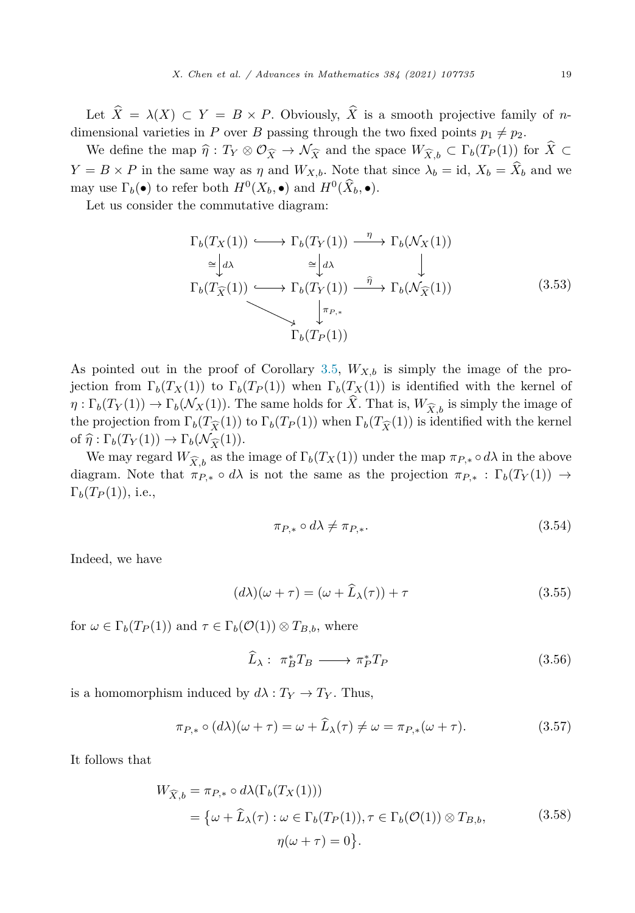<span id="page-18-0"></span>We define the map  $\hat{\eta}: T_Y \otimes \mathcal{O}_{\widehat{X}} \to \mathcal{N}_{\widehat{X}}$  and the space  $W_{\widehat{X},b} \subset \Gamma_b(T_p(1))$  for  $X \subset \Gamma$  $Y = B \times P$  in the same way as *η* and  $W_{X,b}$ . Note that since  $\lambda_b = id$ ,  $X_b = X_b$  and we may use  $\Gamma_b(\bullet)$  to refer both  $H^0(X_b, \bullet)$  and  $H^0(X_b, \bullet)$ .

Let us consider the commutative diagram:

$$
\Gamma_b(T_X(1)) \longleftrightarrow \Gamma_b(T_Y(1)) \xrightarrow{\eta} \Gamma_b(\mathcal{N}_X(1))
$$
\n
$$
\cong \downarrow d \lambda \qquad \cong \downarrow d \lambda \qquad \downarrow
$$
\n
$$
\Gamma_b(T_{\widehat{X}}(1)) \longleftrightarrow \Gamma_b(T_Y(1)) \xrightarrow{\widehat{\eta}} \Gamma_b(\mathcal{N}_{\widehat{X}}(1))
$$
\n
$$
\downarrow \qquad \qquad \downarrow
$$
\n
$$
\Gamma_b(T_P(1)) \tag{3.53}
$$

As pointed out in the proof of Corollary [3.5](#page-14-0),  $W_{X,b}$  is simply the image of the projection from  $\Gamma_b(T_X(1))$  to  $\Gamma_b(T_P(1))$  when  $\Gamma_b(T_X(1))$  is identified with the kernel of  $\eta : \Gamma_b(T_Y(1)) \to \Gamma_b(\mathcal{N}_X(1))$ . The same holds for *X*. That is,  $W_{\widehat{X},b}$  is simply the image of the projection from  $\Gamma_b(T_{\widehat{X}}(1))$  to  $\Gamma_b(T_P(1))$  when  $\Gamma_b(T_{\widehat{X}}(1))$  is identified with the kernel of  $\hat{\eta}: \Gamma_b(T_Y(1)) \to \Gamma_b(\mathcal{N}_{\widehat{X}}(1)).$ <br>We may record  $W_{\lambda}$  as the

We may regard  $W_{\widehat{X},b}$  as the image of  $\Gamma_b(T_X(1))$  under the map  $\pi_{P,*} \circ d\lambda$  in the above diagram. Note that  $\pi_{P,*} \circ d\lambda$  is not the same as the projection  $\pi_{P,*} : \Gamma_b(T_Y(1)) \to$  $\Gamma_b(T_P(1)),$  i.e.,

$$
\pi_{P,*} \circ d\lambda \neq \pi_{P,*}.\tag{3.54}
$$

Indeed, we have

$$
(d\lambda)(\omega + \tau) = (\omega + L_{\lambda}(\tau)) + \tau \tag{3.55}
$$

for  $\omega \in \Gamma_b(T_P(1))$  and  $\tau \in \Gamma_b(\mathcal{O}(1)) \otimes T_{B,b}$ , where

$$
\widehat{L}_{\lambda}: \pi_B^* T_B \longrightarrow \pi_P^* T_P \tag{3.56}
$$

is a homomorphism induced by  $d\lambda : T_Y \to T_Y$ . Thus,

$$
\pi_{P,*} \circ (d\lambda)(\omega + \tau) = \omega + \widehat{L}_{\lambda}(\tau) \neq \omega = \pi_{P,*}(\omega + \tau). \tag{3.57}
$$

It follows that

$$
W_{\widehat{X},b} = \pi_{P,*} \circ d\lambda(\Gamma_b(T_X(1)))
$$
  
=  $\{\omega + \widehat{L}_{\lambda}(\tau) : \omega \in \Gamma_b(T_P(1)), \tau \in \Gamma_b(\mathcal{O}(1)) \otimes T_{B,b},$  (3.58)  

$$
\eta(\omega + \tau) = 0\}.
$$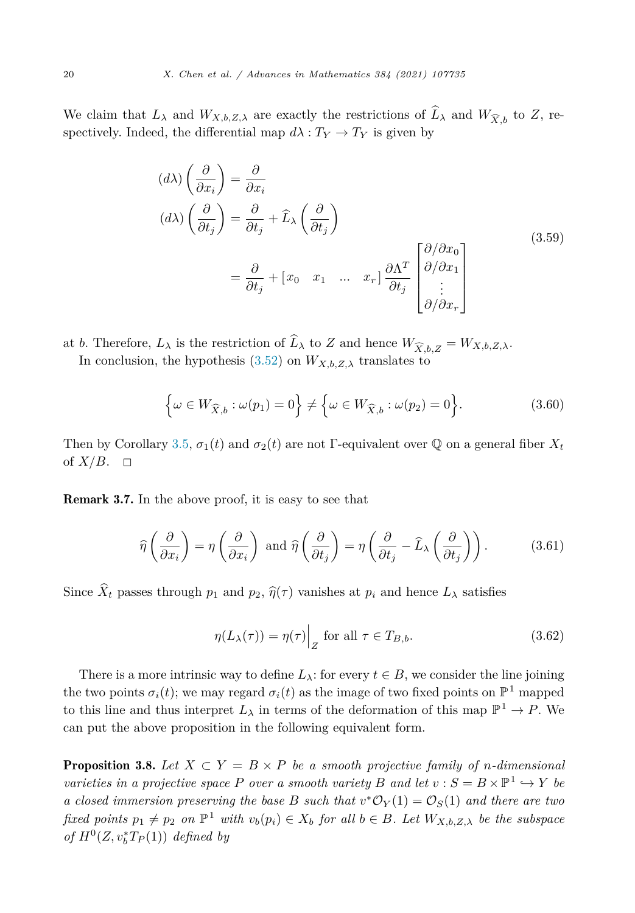<span id="page-19-0"></span>We claim that  $L_{\lambda}$  and  $W_{X,b,Z,\lambda}$  are exactly the restrictions of  $L_{\lambda}$  and  $W_{\widehat{X},b}$  to  $Z$ , respectively. Indeed, the differential map  $d\lambda : T_Y \to T_Y$  is given by

$$
(d\lambda) \left(\frac{\partial}{\partial x_i}\right) = \frac{\partial}{\partial x_i}
$$
  
\n
$$
(d\lambda) \left(\frac{\partial}{\partial t_j}\right) = \frac{\partial}{\partial t_j} + \hat{L}_{\lambda} \left(\frac{\partial}{\partial t_j}\right)
$$
  
\n
$$
= \frac{\partial}{\partial t_j} + \begin{bmatrix} x_0 & x_1 & \dots & x_r \end{bmatrix} \frac{\partial \Lambda^T}{\partial t_j} \begin{bmatrix} \frac{\partial}{\partial x_0} \\ \frac{\partial}{\partial x_1} \\ \vdots \\ \frac{\partial}{\partial x_r} \end{bmatrix}
$$
\n(3.59)

at *b*. Therefore,  $L_{\lambda}$  is the restriction of  $L_{\lambda}$  to *Z* and hence  $W_{\widehat{X},b,Z} = W_{X,b,Z,\lambda}$ .

In conclusion, the hypothesis ([3.52\)](#page-17-0) on  $W_{X,b,Z,\lambda}$  translates to

$$
\left\{\omega \in W_{\widehat{X},b} : \omega(p_1) = 0\right\} \neq \left\{\omega \in W_{\widehat{X},b} : \omega(p_2) = 0\right\}.
$$
\n(3.60)

Then by Corollary [3.5,](#page-14-0)  $\sigma_1(t)$  and  $\sigma_2(t)$  are not Γ-equivalent over Q on a general fiber  $X_t$ of  $X/B$ .  $\Box$ 

Remark 3.7. In the above proof, it is easy to see that

$$
\widehat{\eta}\left(\frac{\partial}{\partial x_i}\right) = \eta\left(\frac{\partial}{\partial x_i}\right) \text{ and } \widehat{\eta}\left(\frac{\partial}{\partial t_j}\right) = \eta\left(\frac{\partial}{\partial t_j} - \widehat{L}_{\lambda}\left(\frac{\partial}{\partial t_j}\right)\right). \tag{3.61}
$$

Since  $X_t$  passes through  $p_1$  and  $p_2$ ,  $\hat{\eta}(\tau)$  vanishes at  $p_i$  and hence  $L_\lambda$  satisfies

$$
\eta(L_{\lambda}(\tau)) = \eta(\tau) \Big|_{Z} \text{ for all } \tau \in T_{B,b}.
$$
\n(3.62)

There is a more intrinsic way to define  $L_{\lambda}$ : for every  $t \in B$ , we consider the line joining the two points  $\sigma_i(t)$ ; we may regard  $\sigma_i(t)$  as the image of two fixed points on  $\mathbb{P}^1$  mapped to this line and thus interpret  $L_{\lambda}$  in terms of the deformation of this map  $\mathbb{P}^1 \to P$ . We can put the above proposition in the following equivalent form.

**Proposition 3.8.** Let  $X \subset Y = B \times P$  be a smooth projective family of *n*-dimensional *varieties in a projective space P over a smooth variety B and let*  $v : S = B \times \mathbb{P}^1 \hookrightarrow Y$  *be a closed immersion preserving the base B such that*  $v$ <sup>\*</sup> $O_Y(1) = O_S(1)$  *and there are two* fixed points  $p_1 \neq p_2$  on  $\mathbb{P}^1$  with  $v_b(p_i) \in X_b$  for all  $b \in B$ . Let  $W_{X,b,Z,\lambda}$  be the subspace *of*  $H^0(Z, v_b^*T_P(1))$  *defined by*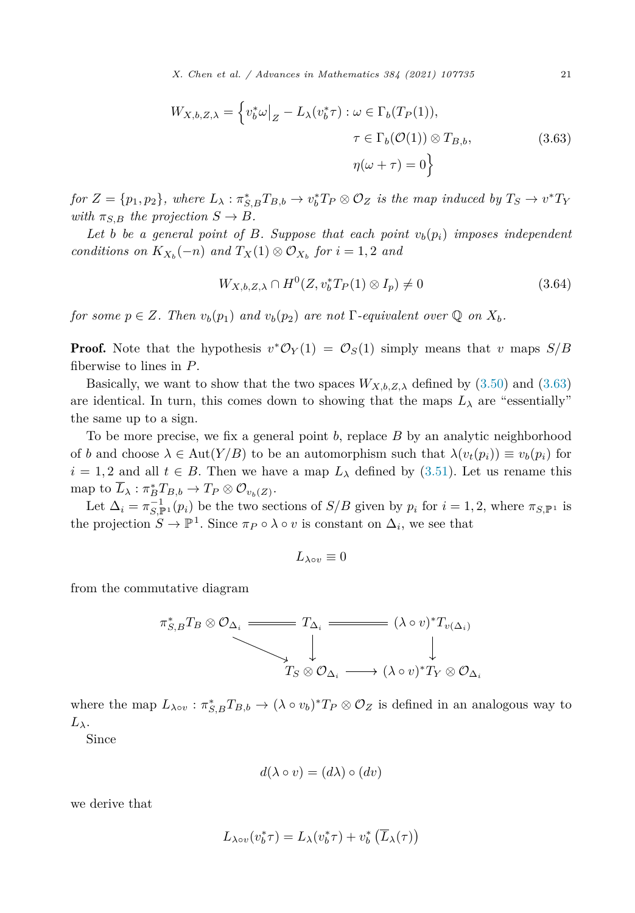$$
W_{X,b,Z,\lambda} = \left\{ v_b^* \omega \big|_Z - L_\lambda (v_b^* \tau) : \omega \in \Gamma_b(T_P(1)),
$$
  

$$
\tau \in \Gamma_b(\mathcal{O}(1)) \otimes T_{B,b},
$$
  

$$
\eta(\omega + \tau) = 0 \right\}
$$
 (3.63)

for  $Z = \{p_1, p_2\}$ , where  $L_\lambda : \pi_{S,B}^* T_{B,b} \to v_b^* T_P \otimes \mathcal{O}_Z$  is the map induced by  $T_S \to v^* T_Y$ *with*  $\pi_{S,B}$  *the projection*  $S \rightarrow B$ *.* 

Let *b be a* general point of *B.* Suppose that each point  $v_b(p_i)$  imposes independent *conditions on*  $K_{X_b}(-n)$  *and*  $T_X(1) \otimes \mathcal{O}_{X_b}$  *for*  $i = 1, 2$  *and* 

$$
W_{X,b,Z,\lambda} \cap H^0(Z, v_b^* T_P(1) \otimes I_p) \neq 0
$$
\n(3.64)

*for some*  $p \in Z$ *. Then*  $v_b(p_1)$  *and*  $v_b(p_2)$  *are not* Γ*-equivalent over*  $\mathbb{Q}$  *on*  $X_b$ *.* 

**Proof.** Note that the hypothesis  $v^*O_Y(1) = O_S(1)$  simply means that v maps  $S/B$ fiberwise to lines in *P*.

Basically, we want to show that the two spaces  $W_{X,b,Z,\lambda}$  defined by [\(3.50\)](#page-17-0) and (3.63) are identical. In turn, this comes down to showing that the maps  $L_{\lambda}$  are "essentially" the same up to a sign.

To be more precise, we fix a general point *b*, replace *B* by an analytic neighborhood of *b* and choose  $\lambda \in \text{Aut}(Y/B)$  to be an automorphism such that  $\lambda(v_t(p_i)) \equiv v_b(p_i)$  for  $i = 1, 2$  and all  $t \in B$ . Then we have a map  $L_{\lambda}$  defined by ([3.51\)](#page-17-0). Let us rename this  $\text{map to } L_\lambda: \pi_B^* T_{B,b} \to T_P \otimes \mathcal{O}_{v_b(Z)}.$ 

Let  $\Delta_i = \pi_{S,\mathbb{P}^1}^{-1}(p_i)$  be the two sections of  $S/B$  given by  $p_i$  for  $i = 1, 2$ , where  $\pi_{S,\mathbb{P}^1}$  is the projection  $S \to \mathbb{P}^1$ . Since  $\pi_P \circ \lambda \circ v$  is constant on  $\Delta_i$ , we see that

$$
L_{\lambda \circ v} \equiv 0
$$

from the commutative diagram

$$
\pi_{S,B}^* T_B \otimes \mathcal{O}_{\Delta_i} \xrightarrow{\qquad \qquad } T_{\Delta_i} \xrightarrow{\qquad \qquad } (\lambda \circ v)^* T_{v(\Delta_i)} \downarrow
$$
\n
$$
T_S \otimes \mathcal{O}_{\Delta_i} \xrightarrow{\qquad \qquad } (\lambda \circ v)^* T_Y \otimes \mathcal{O}_{\Delta_i}
$$

where the map  $L_{\lambda \circ v} : \pi_{S,B}^* T_{B,b} \to (\lambda \circ v_b)^* T_P \otimes \mathcal{O}_Z$  is defined in an analogous way to *Lλ*.

Since

$$
d(\lambda \circ v) = (d\lambda) \circ (dv)
$$

we derive that

$$
L_{\lambda\circ v}(v_b^*\tau) = L_{\lambda}(v_b^*\tau) + v_b^*\left(\overline{L}_{\lambda}(\tau)\right)
$$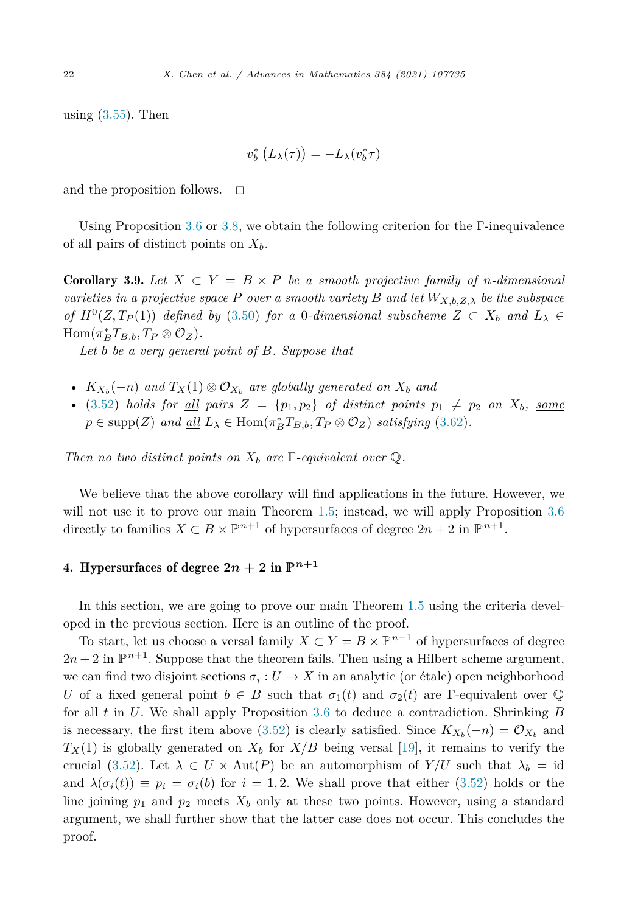using  $(3.55)$  $(3.55)$ . Then

$$
v_b^*\left(\overline{L}_{\lambda}(\tau)\right) = -L_{\lambda}(v_b^*\tau)
$$

and the proposition follows.  $\Box$ 

Using Proposition [3.6](#page-17-0) or [3.8,](#page-19-0) we obtain the following criterion for the Γ-inequivalence of all pairs of distinct points on *Xb*.

**Corollary 3.9.** Let  $X \subset Y = B \times P$  be a smooth projective family of *n*-dimensional *varieties in a projective space P over a smooth variety B and let*  $W_{X,b,Z,\lambda}$  *be the subspace of*  $H^0(Z, T_P(1))$  *defined by* [\(3.50](#page-17-0)) *for a* 0*-dimensional subscheme*  $Z \subset X_b$  *and*  $L_\lambda \in$  $\text{Hom}(\pi_B^* T_{B,b}, T_P \otimes \mathcal{O}_Z).$ 

*Let b be a very general point of B. Suppose that*

- $K_{X_b}(-n)$  and  $T_X(1) \otimes \mathcal{O}_{X_b}$  are globally generated on  $X_b$  and
- ([3.52\)](#page-17-0) *holds* for <u>all</u> pairs  $Z = \{p_1, p_2\}$  of distinct points  $p_1 \neq p_2$  on  $X_b$ , <u>some</u>  $p \in \text{supp}(Z)$  *and*  $\underline{\text{all}}$   $L_{\lambda} \in \text{Hom}(\pi_B^* T_{B,b}, T_P \otimes \mathcal{O}_Z)$  *satisfying* [\(3.62](#page-19-0))*.*

*Then no two distinct points on*  $X_b$  *are*  $\Gamma$ *-equivalent over*  $\mathbb{Q}$ *.* 

We believe that the above corollary will find applications in the future. However, we will not use it to prove our main Theorem [1.5](#page-2-0); instead, we will apply Proposition [3.6](#page-17-0) directly to families  $X \subset B \times \mathbb{P}^{n+1}$  of hypersurfaces of degree  $2n+2$  in  $\mathbb{P}^{n+1}$ .

# 4. Hypersurfaces of degree  $2n + 2$  in  $\mathbb{P}^{n+1}$

In this section, we are going to prove our main Theorem [1.5](#page-2-0) using the criteria developed in the previous section. Here is an outline of the proof.

To start, let us choose a versal family  $X \subset Y = B \times \mathbb{P}^{n+1}$  of hypersurfaces of degree  $2n + 2$  in  $\mathbb{P}^{n+1}$ . Suppose that the theorem fails. Then using a Hilbert scheme argument, we can find two disjoint sections  $\sigma_i: U \to X$  in an analytic (or étale) open neighborhood *U* of a fixed general point  $b \in B$  such that  $\sigma_1(t)$  and  $\sigma_2(t)$  are Γ-equivalent over Q for all *t* in *U*. We shall apply Proposition [3.6](#page-17-0) to deduce a contradiction. Shrinking *B* is necessary, the first item above ([3.52](#page-17-0)) is clearly satisfied. Since  $K_{X_b}(-n) = \mathcal{O}_{X_b}$  and  $T_X(1)$  is globally generated on  $X_b$  for  $X/B$  being versal [\[19](#page-63-0)], it remains to verify the crucial [\(3.52\)](#page-17-0). Let  $\lambda \in U \times Aut(P)$  be an automorphism of  $Y/U$  such that  $\lambda_b = id$ and  $\lambda(\sigma_i(t)) \equiv p_i = \sigma_i(b)$  for  $i = 1, 2$ . We shall prove that either ([3.52](#page-17-0)) holds or the line joining  $p_1$  and  $p_2$  meets  $X_b$  only at these two points. However, using a standard argument, we shall further show that the latter case does not occur. This concludes the proof.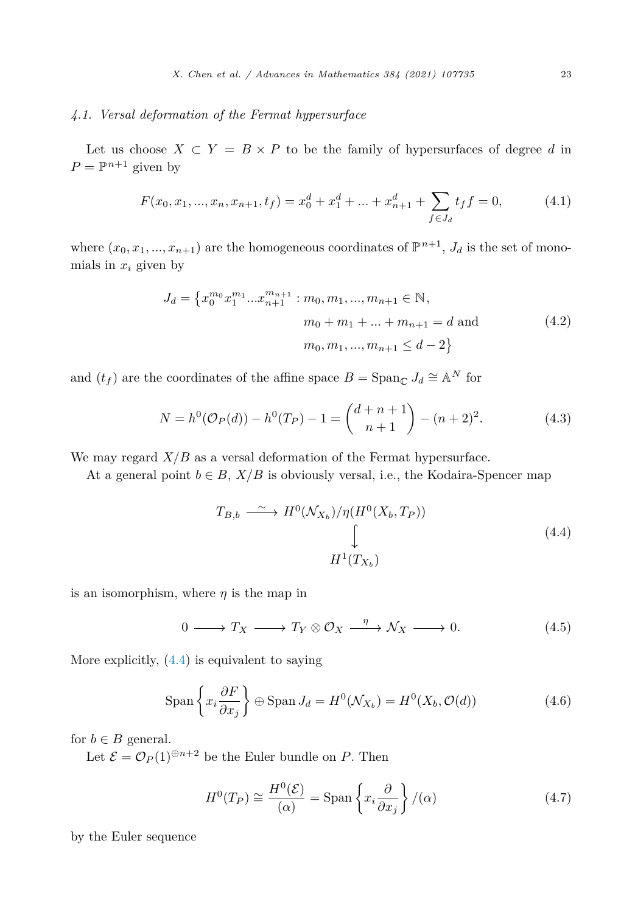# <span id="page-22-0"></span>*4.1. Versal deformation of the Fermat hypersurface*

Let us choose  $X \subset Y = B \times P$  to be the family of hypersurfaces of degree d in  $P = \mathbb{P}^{n+1}$  given by

$$
F(x_0, x_1, ..., x_n, x_{n+1}, t_f) = x_0^d + x_1^d + ... + x_{n+1}^d + \sum_{f \in J_d} t_f f = 0,
$$
 (4.1)

where  $(x_0, x_1, ..., x_{n+1})$  are the homogeneous coordinates of  $\mathbb{P}^{n+1}$ ,  $J_d$  is the set of monomials in  $x_i$  given by

$$
J_d = \{x_0^{m_0} x_1^{m_1} ... x_{n+1}^{m_{n+1}} : m_0, m_1, ..., m_{n+1} \in \mathbb{N},
$$
  
\n
$$
m_0 + m_1 + ... + m_{n+1} = d \text{ and}
$$
  
\n
$$
m_0, m_1, ..., m_{n+1} \leq d - 2\}
$$
\n(4.2)

and  $(t_f)$  are the coordinates of the affine space  $B = \text{Span}_{\mathbb{C}} J_d \cong \mathbb{A}^N$  for

$$
N = h^{0}(\mathcal{O}_{P}(d)) - h^{0}(T_{P}) - 1 = {d+n+1 \choose n+1} - (n+2)^{2}.
$$
 (4.3)

We may regard  $X/B$  as a versal deformation of the Fermat hypersurface.

At a general point  $b \in B$ ,  $X/B$  is obviously versal, i.e., the Kodaira-Spencer map

$$
T_{B,b} \xrightarrow{\sim} H^0(\mathcal{N}_{X_b})/\eta(H^0(X_b, T_P))
$$
\n
$$
\downarrow
$$
\n
$$
H^1(T_{X_b})
$$
\n(4.4)

is an isomorphism, where  $\eta$  is the map in

$$
0 \longrightarrow T_X \longrightarrow T_Y \otimes \mathcal{O}_X \xrightarrow{\eta} \mathcal{N}_X \longrightarrow 0. \tag{4.5}
$$

More explicitly, (4.4) is equivalent to saying

$$
\text{Span}\left\{x_i \frac{\partial F}{\partial x_j}\right\} \oplus \text{Span}\, J_d = H^0(\mathcal{N}_{X_b}) = H^0(X_b, \mathcal{O}(d))\tag{4.6}
$$

for  $b \in B$  general.

Let  $\mathcal{E} = \mathcal{O}_P(1)^{\oplus n+2}$  be the Euler bundle on *P*. Then

$$
H^{0}(T_{P}) \cong \frac{H^{0}(\mathcal{E})}{(\alpha)} = \text{Span}\left\{x_{i}\frac{\partial}{\partial x_{j}}\right\} / (\alpha)
$$
 (4.7)

by the Euler sequence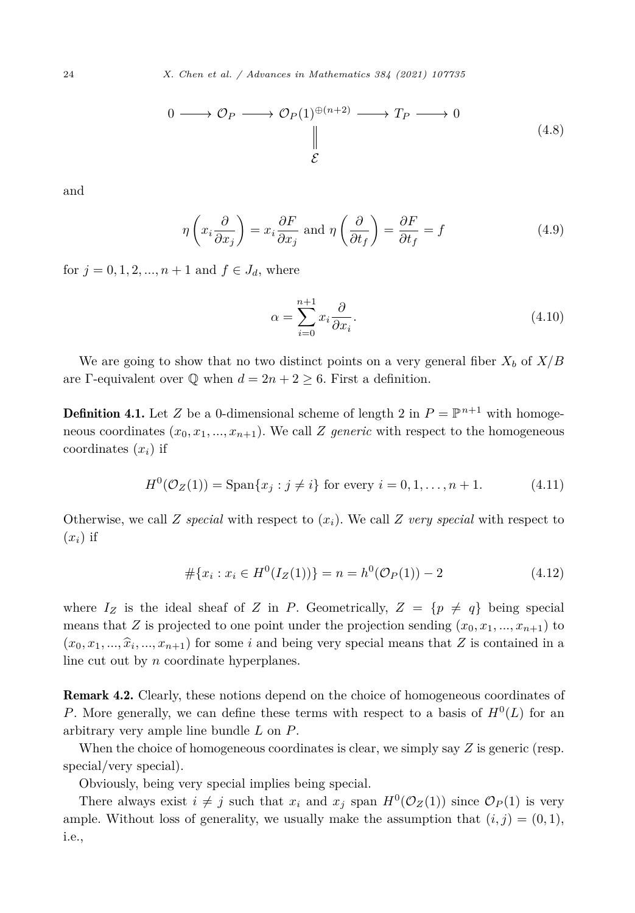$$
0 \longrightarrow \mathcal{O}_P \longrightarrow \mathcal{O}_P(1)^{\oplus (n+2)} \longrightarrow T_P \longrightarrow 0
$$
\n
$$
\downarrow^{\mathcal{E}} \qquad (4.8)
$$

<span id="page-23-0"></span>and

$$
\eta \left( x_i \frac{\partial}{\partial x_j} \right) = x_i \frac{\partial F}{\partial x_j} \text{ and } \eta \left( \frac{\partial}{\partial t_f} \right) = \frac{\partial F}{\partial t_f} = f \tag{4.9}
$$

for  $j = 0, 1, 2, ..., n + 1$  and  $f \in J_d$ , where

$$
\alpha = \sum_{i=0}^{n+1} x_i \frac{\partial}{\partial x_i}.
$$
\n(4.10)

We are going to show that no two distinct points on a very general fiber  $X_b$  of  $X/B$ are Γ-equivalent over  $\mathbb Q$  when  $d = 2n + 2 \geq 6$ . First a definition.

**Definition 4.1.** Let *Z* be a 0-dimensional scheme of length 2 in  $P = \mathbb{P}^{n+1}$  with homogeneous coordinates  $(x_0, x_1, \ldots, x_{n+1})$ . We call *Z generic* with respect to the homogeneous coordinates  $(x_i)$  if

$$
H^{0}(\mathcal{O}_{Z}(1)) = \text{Span}\{x_{j} : j \neq i\} \text{ for every } i = 0, 1, ..., n + 1.
$$
 (4.11)

Otherwise, we call *Z* special with respect to  $(x_i)$ . We call *Z* very special with respect to  $(x_i)$  if

$$
#\{x_i : x_i \in H^0(I_Z(1))\} = n = h^0(\mathcal{O}_P(1)) - 2
$$
\n(4.12)

where  $I_Z$  is the ideal sheaf of *Z* in *P*. Geometrically,  $Z = \{p \neq q\}$  being special means that *Z* is projected to one point under the projection sending  $(x_0, x_1, \ldots, x_{n+1})$  to  $(x_0, x_1, \ldots, \hat{x}_i, \ldots, x_{n+1})$  for some *i* and being very special means that *Z* is contained in a line cut out by *n* coordinate hyperplanes.

Remark 4.2. Clearly, these notions depend on the choice of homogeneous coordinates of *P*. More generally, we can define these terms with respect to a basis of  $H^0(L)$  for an arbitrary very ample line bundle *L* on *P*.

When the choice of homogeneous coordinates is clear, we simply say *Z* is generic (resp. special/very special).

Obviously, being very special implies being special.

There always exist  $i \neq j$  such that  $x_i$  and  $x_j$  span  $H^0(\mathcal{O}_Z(1))$  since  $\mathcal{O}_P(1)$  is very ample. Without loss of generality, we usually make the assumption that  $(i, j) = (0, 1)$ , i.e.,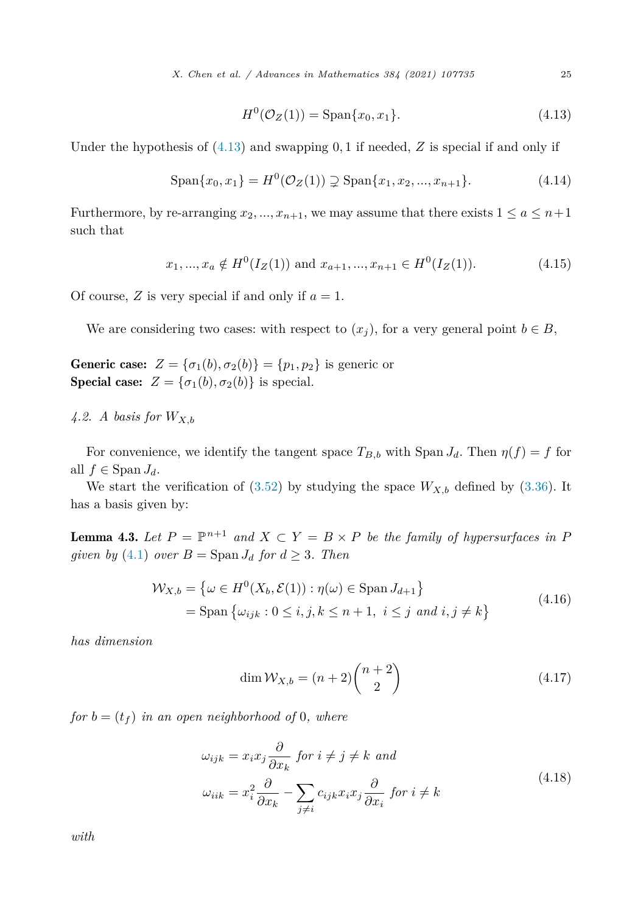$$
H^{0}(\mathcal{O}_{Z}(1)) = \text{Span}\{x_0, x_1\}.
$$
\n(4.13)

<span id="page-24-0"></span>Under the hypothesis of (4.13) and swapping 0*,* 1 if needed, *Z* is special if and only if

$$
\text{Span}\{x_0, x_1\} = H^0(\mathcal{O}_Z(1)) \supsetneq \text{Span}\{x_1, x_2, ..., x_{n+1}\}.
$$
 (4.14)

Furthermore, by re-arranging  $x_2, ..., x_{n+1}$ , we may assume that there exists  $1 \le a \le n+1$ such that

$$
x_1, ..., x_a \notin H^0(I_Z(1))
$$
 and  $x_{a+1}, ..., x_{n+1} \in H^0(I_Z(1)).$  (4.15)

Of course,  $Z$  is very special if and only if  $a = 1$ .

We are considering two cases: with respect to  $(x_i)$ , for a very general point  $b \in B$ ,

Generic case:  $Z = {\sigma_1(b), \sigma_2(b)} = {p_1, p_2}$  is generic or **Special case:**  $Z = {\sigma_1(b), \sigma_2(b)}$  is special.

*4.2. A basis for WX,b*

For convenience, we identify the tangent space  $T_{B,b}$  with Span  $J_d$ . Then  $\eta(f) = f$  for all  $f \in \text{Span } J_d$ .

We start the verification of  $(3.52)$  $(3.52)$  by studying the space  $W_{X,b}$  defined by  $(3.36)$ . It has a basis given by:

**Lemma 4.3.** Let  $P = \mathbb{P}^{n+1}$  and  $X \subset Y = B \times P$  be the family of hypersurfaces in P *given by* [\(4.1](#page-22-0)) *over*  $B = \text{Span } J_d$  *for*  $d \geq 3$ *. Then* 

$$
\mathcal{W}_{X,b} = \left\{ \omega \in H^0(X_b, \mathcal{E}(1)) : \eta(\omega) \in \text{Span } J_{d+1} \right\}
$$
  
= Span  $\left\{ \omega_{ijk} : 0 \le i, j, k \le n+1, i \le j \text{ and } i, j \ne k \right\}$  (4.16)

*has dimension*

$$
\dim \mathcal{W}_{X,b} = (n+2) \binom{n+2}{2} \tag{4.17}
$$

*for*  $b = (t_f)$  *in an open neighborhood of* 0*, where* 

$$
\omega_{ijk} = x_i x_j \frac{\partial}{\partial x_k} \text{ for } i \neq j \neq k \text{ and}
$$
  

$$
\omega_{iik} = x_i^2 \frac{\partial}{\partial x_k} - \sum_{j \neq i} c_{ijk} x_i x_j \frac{\partial}{\partial x_i} \text{ for } i \neq k
$$
 (4.18)

*with*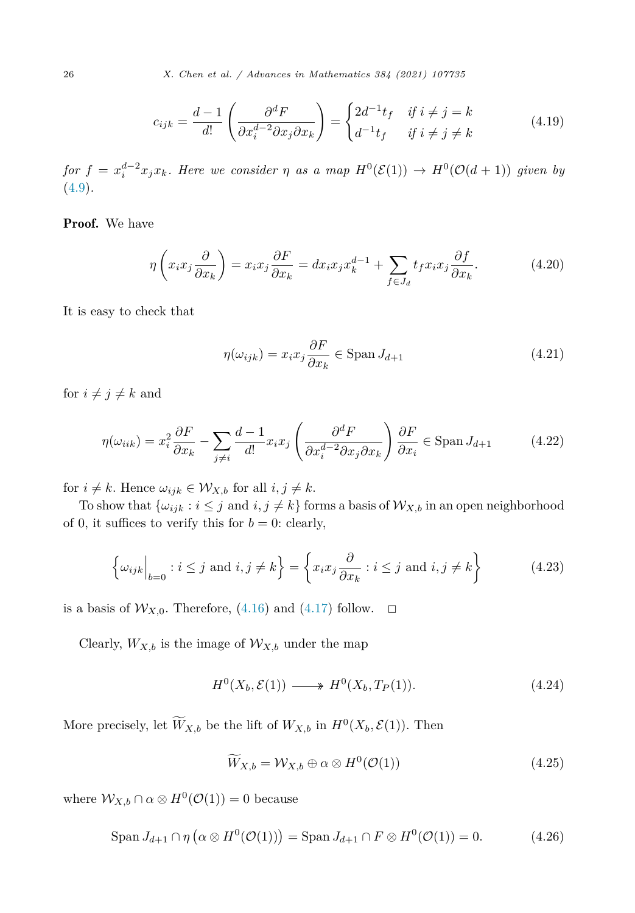$$
c_{ijk} = \frac{d-1}{d!} \left( \frac{\partial^d F}{\partial x_i^{d-2} \partial x_j \partial x_k} \right) = \begin{cases} 2d^{-1}t_f & \text{if } i \neq j = k \\ d^{-1}t_f & \text{if } i \neq j \neq k \end{cases}
$$
(4.19)

for  $f = x_i^{d-2} x_j x_k$ . Here we consider  $\eta$  as a map  $H^0(\mathcal{E}(1)) \to H^0(\mathcal{O}(d+1))$  given by ([4.9](#page-23-0))*.*

Proof. We have

$$
\eta\left(x_i x_j \frac{\partial}{\partial x_k}\right) = x_i x_j \frac{\partial F}{\partial x_k} = dx_i x_j x_k^{d-1} + \sum_{f \in J_d} t_f x_i x_j \frac{\partial f}{\partial x_k}.\tag{4.20}
$$

It is easy to check that

$$
\eta(\omega_{ijk}) = x_i x_j \frac{\partial F}{\partial x_k} \in \text{Span } J_{d+1} \tag{4.21}
$$

for  $i \neq j \neq k$  and

$$
\eta(\omega_{iik}) = x_i^2 \frac{\partial F}{\partial x_k} - \sum_{j \neq i} \frac{d-1}{d!} x_i x_j \left( \frac{\partial^d F}{\partial x_i^{d-2} \partial x_j \partial x_k} \right) \frac{\partial F}{\partial x_i} \in \text{Span } J_{d+1}
$$
(4.22)

for  $i \neq k$ . Hence  $\omega_{ijk} \in \mathcal{W}_{X,b}$  for all  $i, j \neq k$ .

To show that  $\{\omega_{ijk} : i \leq j \text{ and } i, j \neq k\}$  forms a basis of  $\mathcal{W}_{X,b}$  in an open neighborhood of 0, it suffices to verify this for  $b = 0$ : clearly,

$$
\left\{\omega_{ijk}\Big|_{b=0} : i \le j \text{ and } i, j \ne k\right\} = \left\{x_i x_j \frac{\partial}{\partial x_k} : i \le j \text{ and } i, j \ne k\right\} \tag{4.23}
$$

is a basis of  $\mathcal{W}_{X,0}$ . Therefore, ([4.16](#page-24-0)) and [\(4.17\)](#page-24-0) follow.  $\Box$ 

Clearly,  $W_{X,b}$  is the image of  $\mathcal{W}_{X,b}$  under the map

$$
H^{0}(X_b, \mathcal{E}(1)) \longrightarrow H^{0}(X_b, T_P(1)). \tag{4.24}
$$

More precisely, let  $\overline{W}_{X,b}$  be the lift of  $W_{X,b}$  in  $H^0(X_b, \mathcal{E}(1))$ . Then

$$
\widetilde{W}_{X,b} = \mathcal{W}_{X,b} \oplus \alpha \otimes H^0(\mathcal{O}(1)) \tag{4.25}
$$

where  $W_{X,b} \cap \alpha \otimes H^0(\mathcal{O}(1)) = 0$  because

$$
\operatorname{Span} J_{d+1} \cap \eta \left( \alpha \otimes H^0(\mathcal{O}(1)) \right) = \operatorname{Span} J_{d+1} \cap F \otimes H^0(\mathcal{O}(1)) = 0. \tag{4.26}
$$

<span id="page-25-0"></span>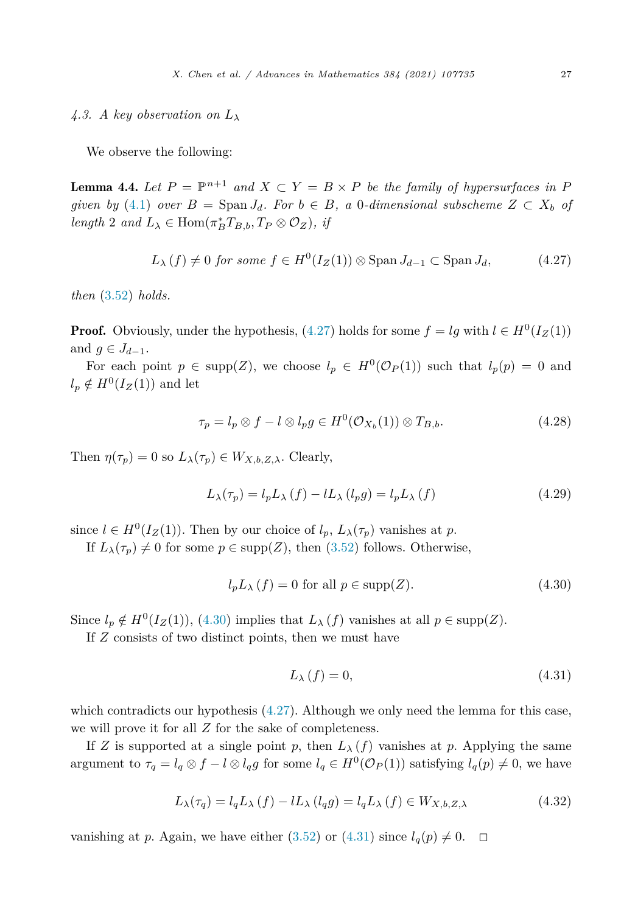# <span id="page-26-0"></span>4.3. *A key observation on*  $L_{\lambda}$

We observe the following:

**Lemma 4.4.** Let  $P = \mathbb{P}^{n+1}$  and  $X \subset Y = B \times P$  be the family of hypersurfaces in P *given by* [\(4.1\)](#page-22-0) *over*  $B = \text{Span } J_d$ *. For*  $b \in B$ *, a* 0*-dimensional subscheme*  $Z \subset X_b$  *of*  $length\ 2\ and\ L_{\lambda} \in \text{Hom}(\pi_B^* T_{B,b}, T_P \otimes \mathcal{O}_Z),\ \text{if}$ 

$$
L_{\lambda}(f) \neq 0 \text{ for some } f \in H^{0}(I_{Z}(1)) \otimes \text{Span } J_{d-1} \subset \text{Span } J_{d}, \tag{4.27}
$$

*then* [\(3.52](#page-17-0)) *holds.*

**Proof.** Obviously, under the hypothesis, (4.27) holds for some  $f = lg$  with  $l \in H^0(I_Z(1))$ and  $g \in J_{d-1}$ .

For each point  $p \in \text{supp}(Z)$ , we choose  $l_p \in H^0(\mathcal{O}_P(1))$  such that  $l_p(p) = 0$  and  $l_p \notin H^0(I_Z(1))$  and let

$$
\tau_p = l_p \otimes f - l \otimes l_p g \in H^0(\mathcal{O}_{X_b}(1)) \otimes T_{B,b}.
$$
\n(4.28)

Then  $\eta(\tau_p) = 0$  so  $L_\lambda(\tau_p) \in W_{X,b,Z,\lambda}$ . Clearly,

$$
L_{\lambda}(\tau_p) = l_p L_{\lambda} (f) - l L_{\lambda} (l_p g) = l_p L_{\lambda} (f)
$$
\n(4.29)

since  $l \in H^0(I_Z(1))$ . Then by our choice of  $l_p$ ,  $L_\lambda(\tau_p)$  vanishes at p.

If  $L_{\lambda}(\tau_p) \neq 0$  for some  $p \in \text{supp}(Z)$ , then [\(3.52\)](#page-17-0) follows. Otherwise,

$$
l_p L_\lambda(f) = 0 \text{ for all } p \in \text{supp}(Z). \tag{4.30}
$$

Since  $l_p \notin H^0(I_Z(1))$ , (4.30) implies that  $L_\lambda(f)$  vanishes at all  $p \in \text{supp}(Z)$ .

If *Z* consists of two distinct points, then we must have

$$
L_{\lambda}(f) = 0,\t\t(4.31)
$$

which contradicts our hypothesis  $(4.27)$ . Although we only need the lemma for this case, we will prove it for all *Z* for the sake of completeness.

If *Z* is supported at a single point *p*, then  $L_{\lambda}(f)$  vanishes at *p*. Applying the same argument to  $\tau_q = l_q \otimes f - l \otimes l_q g$  for some  $l_q \in H^0(\mathcal{O}_P(1))$  satisfying  $l_q(p) \neq 0$ , we have

$$
L_{\lambda}(\tau_q) = l_q L_{\lambda} (f) - l L_{\lambda} (l_q g) = l_q L_{\lambda} (f) \in W_{X, b, Z, \lambda}
$$
\n(4.32)

vanishing at *p*. Again, we have either  $(3.52)$  $(3.52)$  or  $(4.31)$  since  $l_q(p) \neq 0$ .  $\Box$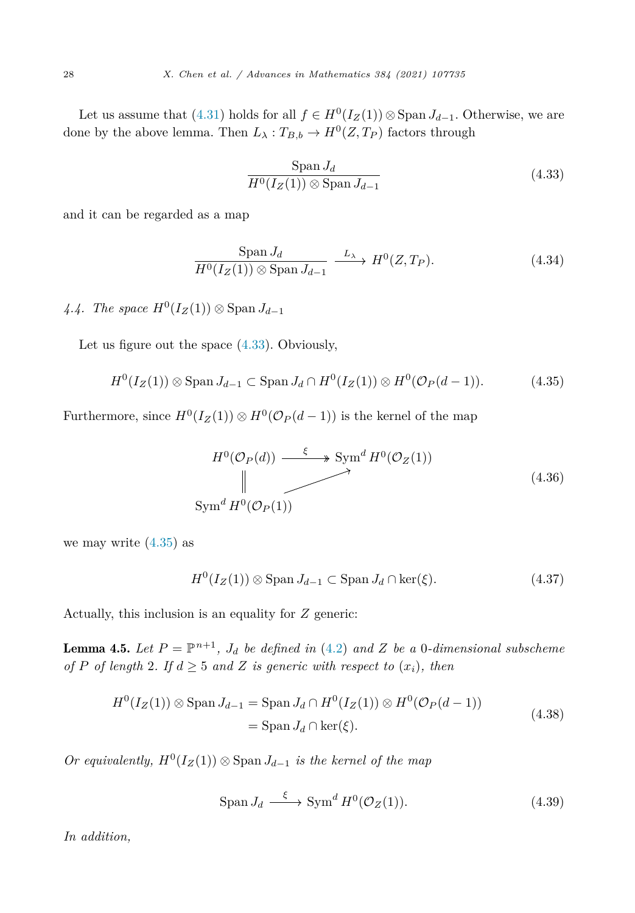<span id="page-27-0"></span>Let us assume that [\(4.31](#page-26-0)) holds for all  $f \in H^0(I_Z(1)) \otimes \text{Span } J_{d-1}$ . Otherwise, we are done by the above lemma. Then  $L_{\lambda}: T_{B,b} \to H^0(Z, T_P)$  factors through

$$
\frac{\text{Span } J_d}{H^0(I_Z(1)) \otimes \text{Span } J_{d-1}}\tag{4.33}
$$

and it can be regarded as a map

$$
\frac{\text{Span } J_d}{H^0(I_Z(1)) \otimes \text{Span } J_{d-1}} \xrightarrow{L_{\lambda}} H^0(Z, T_P). \tag{4.34}
$$

*4.4. The space*  $H^0(I_Z(1)) \otimes \text{Span } J_{d-1}$ 

Let us figure out the space (4.33). Obviously,

$$
H^0(I_Z(1)) \otimes \operatorname{Span} J_{d-1} \subset \operatorname{Span} J_d \cap H^0(I_Z(1)) \otimes H^0(\mathcal{O}_P(d-1)). \tag{4.35}
$$

Furthermore, since  $H^0(I_Z(1)) \otimes H^0(\mathcal{O}_P(d-1))$  is the kernel of the map

$$
H^{0}(\mathcal{O}_{P}(d)) \xrightarrow{\xi} \text{Sym}^{d} H^{0}(\mathcal{O}_{Z}(1))
$$
\n
$$
\downarrow \qquad \qquad \downarrow \qquad (4.36)
$$
\n
$$
\text{Sym}^{d} H^{0}(\mathcal{O}_{P}(1))
$$

we may write  $(4.35)$  as

$$
H^{0}(I_{Z}(1)) \otimes \text{Span } J_{d-1} \subset \text{Span } J_{d} \cap \ker(\xi). \tag{4.37}
$$

Actually, this inclusion is an equality for *Z* generic:

**Lemma 4.5.** Let  $P = \mathbb{P}^{n+1}$ ,  $J_d$  be defined in [\(4.2](#page-22-0)) and Z be a 0-dimensional subscheme *of P of length* 2*. If*  $d \geq 5$  *and Z is generic with respect to*  $(x_i)$ *, then* 

$$
H^{0}(I_{Z}(1)) \otimes \operatorname{Span} J_{d-1} = \operatorname{Span} J_{d} \cap H^{0}(I_{Z}(1)) \otimes H^{0}(\mathcal{O}_{P}(d-1))
$$
  
= 
$$
\operatorname{Span} J_{d} \cap \ker(\xi).
$$
 (4.38)

*Or equivalently,*  $H^0(I_Z(1)) \otimes$  Span  $J_{d-1}$  *is the kernel of the map* 

$$
\text{Span } J_d \xrightarrow{\xi} \text{Sym}^d H^0(\mathcal{O}_Z(1)).\tag{4.39}
$$

*In addition,*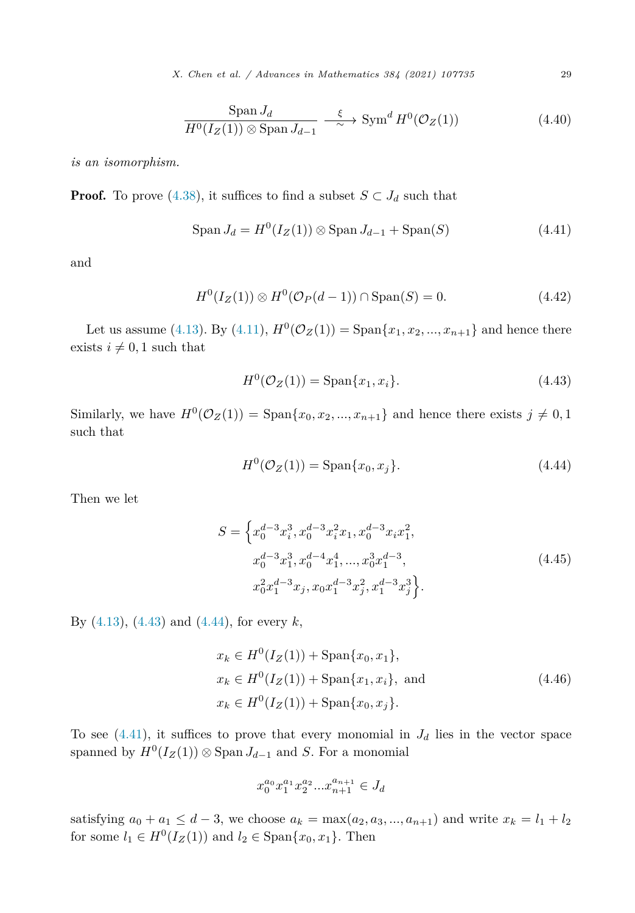*X. Chen et al. / Advances in Mathematics 384 (2021) 107735* 29

$$
\frac{\text{Span } J_d}{H^0(I_Z(1)) \otimes \text{Span } J_{d-1}} \xrightarrow{\xi} \text{Sym}^d H^0(\mathcal{O}_Z(1))
$$
\n(4.40)

<span id="page-28-0"></span>*is an isomorphism.*

**Proof.** To prove [\(4.38\)](#page-27-0), it suffices to find a subset  $S \subset J_d$  such that

$$
\text{Span } J_d = H^0(I_Z(1)) \otimes \text{Span } J_{d-1} + \text{Span}(S) \tag{4.41}
$$

and

$$
H^{0}(I_{Z}(1)) \otimes H^{0}(\mathcal{O}_{P}(d-1)) \cap \text{Span}(S) = 0.
$$
 (4.42)

Let us assume [\(4.13](#page-24-0)). By ([4.11\)](#page-23-0),  $H^{0}(\mathcal{O}_{Z}(1)) = \text{Span}\{x_{1}, x_{2}, ..., x_{n+1}\}\$  and hence there exists  $i \neq 0, 1$  such that

$$
H^{0}(\mathcal{O}_{Z}(1)) = \text{Span}\{x_{1}, x_{i}\}.
$$
\n(4.43)

Similarly, we have  $H^0(\mathcal{O}_Z(1)) = \text{Span}\{x_0, x_2, ..., x_{n+1}\}\$  and hence there exists  $j \neq 0, 1$ such that

$$
H^{0}(\mathcal{O}_{Z}(1)) = \text{Span}\{x_{0}, x_{j}\}.
$$
\n(4.44)

Then we let

$$
S = \left\{ x_0^{d-3} x_i^3, x_0^{d-3} x_i^2 x_1, x_0^{d-3} x_i x_1^2, x_0^{d-3} x_1^3, x_0^{d-4} x_1^4, ..., x_0^3 x_1^{d-3}, x_0^2 x_1^{d-3} x_j, x_0 x_1^{d-3} x_j^2, x_1^{d-3} x_j^3 \right\}.
$$
\n
$$
(4.45)
$$

By ([4.13\)](#page-24-0), (4.43) and (4.44), for every *k*,

$$
x_k \in H^0(I_Z(1)) + \text{Span}\{x_0, x_1\},
$$
  
\n
$$
x_k \in H^0(I_Z(1)) + \text{Span}\{x_1, x_i\}, \text{ and}
$$
  
\n
$$
x_k \in H^0(I_Z(1)) + \text{Span}\{x_0, x_j\}.
$$
\n(4.46)

To see  $(4.41)$ , it suffices to prove that every monomial in  $J<sub>d</sub>$  lies in the vector space spanned by  $H^0(I_Z(1)) \otimes \text{Span } J_{d-1}$  and *S*. For a monomial

$$
x_0^{a_0} x_1^{a_1} x_2^{a_2} ... x_{n+1}^{a_{n+1}} \in J_d
$$

satisfying  $a_0 + a_1 \leq d - 3$ , we choose  $a_k = \max(a_2, a_3, ..., a_{n+1})$  and write  $x_k = l_1 + l_2$ for some  $l_1 \in H^0(I_Z(1))$  and  $l_2 \in \text{Span}\{x_0, x_1\}$ . Then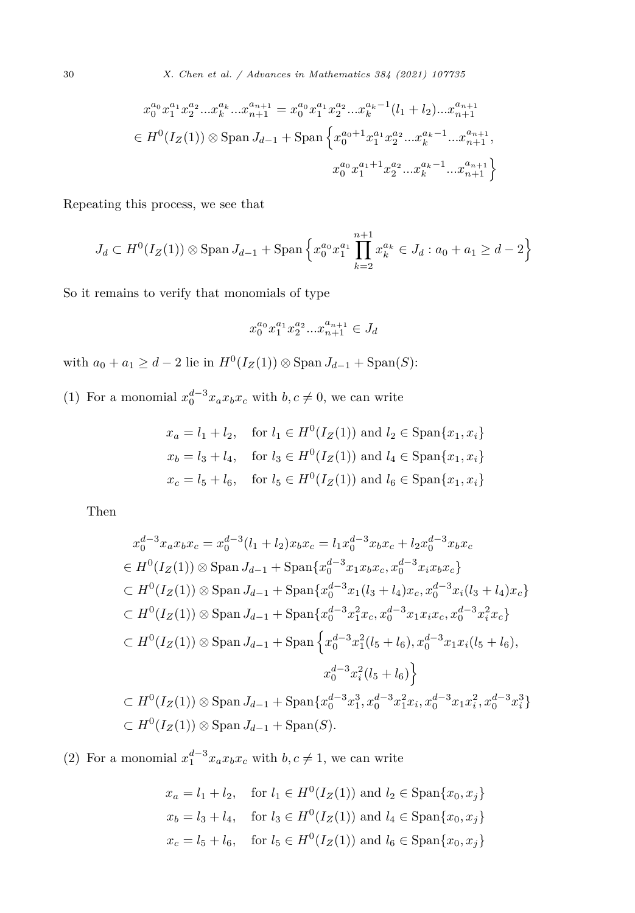$$
x_0^{a_0} x_1^{a_1} x_2^{a_2} ... x_k^{a_k} ... x_{n+1}^{a_{n+1}} = x_0^{a_0} x_1^{a_1} x_2^{a_2} ... x_k^{a_k - 1} (l_1 + l_2) ... x_{n+1}^{a_{n+1}}
$$
  
\n
$$
\in H^0(I_Z(1)) \otimes \text{Span } J_{d-1} + \text{Span } \left\{ x_0^{a_0+1} x_1^{a_1} x_2^{a_2} ... x_k^{a_k - 1} ... x_{n+1}^{a_{n+1}}, x_0^{a_0} x_1^{a_1+1} x_2^{a_2} ... x_k^{a_k - 1} ... x_{n+1}^{a_{n+1}} \right\}
$$

Repeating this process, we see that

$$
J_d \subset H^0(I_Z(1)) \otimes \text{Span } J_{d-1} + \text{Span } \left\{ x_0^{a_0} x_1^{a_1} \prod_{k=2}^{n+1} x_k^{a_k} \in J_d : a_0 + a_1 \ge d - 2 \right\}
$$

So it remains to verify that monomials of type

$$
x_0^{a_0}x_1^{a_1}x_2^{a_2}...x_{n+1}^{a_{n+1}} \in J_d
$$

with  $a_0 + a_1 \geq d - 2$  lie in  $H^0(I_Z(1)) \otimes \text{Span } J_{d-1} + \text{Span}(S)$ :

(1) For a monomial  $x_0^{d-3}x_ax_bx_c$  with  $b,c \neq 0$ , we can write

$$
x_a = l_1 + l_2
$$
, for  $l_1 \in H^0(I_Z(1))$  and  $l_2 \in \text{Span}\{x_1, x_i\}$   
\n $x_b = l_3 + l_4$ , for  $l_3 \in H^0(I_Z(1))$  and  $l_4 \in \text{Span}\{x_1, x_i\}$   
\n $x_c = l_5 + l_6$ , for  $l_5 \in H^0(I_Z(1))$  and  $l_6 \in \text{Span}\{x_1, x_i\}$ 

Then

$$
x_0^{d-3}x_ax_bx_c = x_0^{d-3}(l_1 + l_2)x_bx_c = l_1x_0^{d-3}x_bx_c + l_2x_0^{d-3}x_bx_c
$$
  
\n
$$
\in H^0(I_Z(1)) \otimes \text{Span } J_{d-1} + \text{Span } \{x_0^{d-3}x_1x_bx_c, x_0^{d-3}x_ix_bx_c\}
$$
  
\n
$$
\subset H^0(I_Z(1)) \otimes \text{Span } J_{d-1} + \text{Span } \{x_0^{d-3}x_1(l_3 + l_4)x_c, x_0^{d-3}x_i(l_3 + l_4)x_c\}
$$
  
\n
$$
\subset H^0(I_Z(1)) \otimes \text{Span } J_{d-1} + \text{Span } \{x_0^{d-3}x_1^2x_c, x_0^{d-3}x_1x_ix_c, x_0^{d-3}x_i^2x_c\}
$$
  
\n
$$
\subset H^0(I_Z(1)) \otimes \text{Span } J_{d-1} + \text{Span } \{x_0^{d-3}x_1^2(l_5 + l_6), x_0^{d-3}x_1x_i(l_5 + l_6), x_0^{d-3}x_1x_i(l_5 + l_6)\}
$$
  
\n
$$
x_0^{d-3}x_i^2(l_5 + l_6)\}
$$
  
\n
$$
\subset H^0(I_Z(1)) \otimes \text{Span } J_{d-1} + \text{Span } \{x_0^{d-3}x_1^3, x_0^{d-3}x_1^2x_i, x_0^{d-3}x_1x_i^2, x_0^{d-3}x_i^3\}
$$
  
\n
$$
\subset H^0(I_Z(1)) \otimes \text{Span } J_{d-1} + \text{Span } (S).
$$

(2) For a monomial  $x_1^{d-3}x_ax_bx_c$  with  $b,c \neq 1$ , we can write

$$
x_a = l_1 + l_2
$$
, for  $l_1 \in H^0(I_Z(1))$  and  $l_2 \in \text{Span}\{x_0, x_j\}$   
\n $x_b = l_3 + l_4$ , for  $l_3 \in H^0(I_Z(1))$  and  $l_4 \in \text{Span}\{x_0, x_j\}$   
\n $x_c = l_5 + l_6$ , for  $l_5 \in H^0(I_Z(1))$  and  $l_6 \in \text{Span}\{x_0, x_j\}$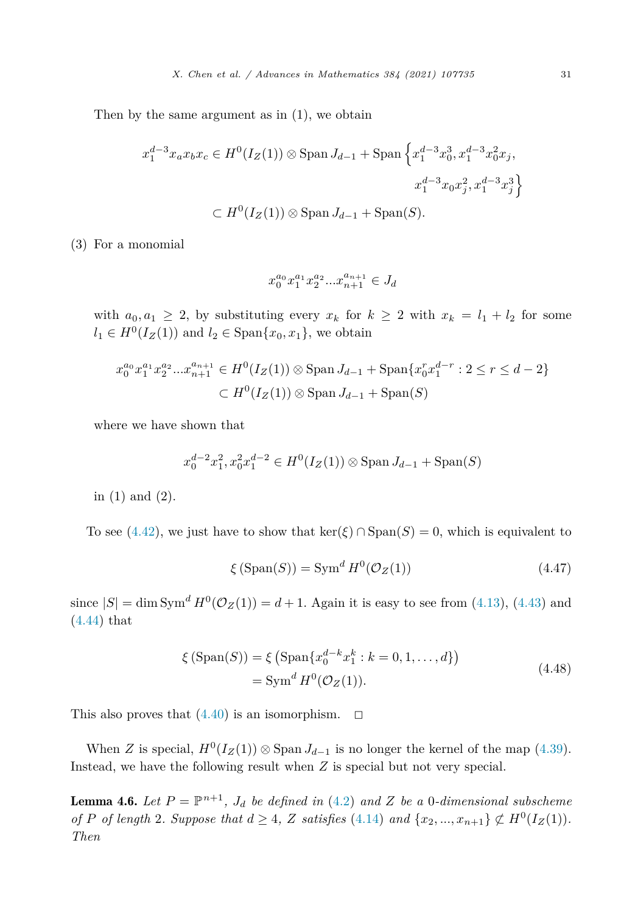<span id="page-30-0"></span>Then by the same argument as in (1), we obtain

$$
x_1^{d-3}x_ax_bx_c \in H^0(I_Z(1)) \otimes \text{Span } J_{d-1} + \text{Span } \left\{ x_1^{d-3}x_0^3, x_1^{d-3}x_0^2x_j, x_1^{d-3}x_0x_j^2, x_1^{d-3}x_3^3 \right\}
$$
  

$$
\subset H^0(I_Z(1)) \otimes \text{Span } J_{d-1} + \text{Span}(S).
$$

(3) For a monomial

$$
x_0^{a_0}x_1^{a_1}x_2^{a_2}...x_{n+1}^{a_{n+1}}\in J_d
$$

with  $a_0, a_1 \geq 2$ , by substituting every  $x_k$  for  $k \geq 2$  with  $x_k = l_1 + l_2$  for some *l*<sub>1</sub> ∈ *H*<sup>0</sup>(*I<sub>Z</sub>*(1)) and *l*<sub>2</sub> ∈ Span{*x*<sub>0</sub>*, x*<sub>1</sub>}, we obtain

$$
x_0^{a_0} x_1^{a_1} x_2^{a_2} ... x_{n+1}^{a_{n+1}} \in H^0(I_Z(1)) \otimes \text{Span } J_{d-1} + \text{Span}\{x_0^r x_1^{d-r} : 2 \le r \le d-2\}
$$
  

$$
\subset H^0(I_Z(1)) \otimes \text{Span } J_{d-1} + \text{Span}(S)
$$

where we have shown that

$$
x_0^{d-2}x_1^2, x_0^2x_1^{d-2} \in H^0(I_Z(1)) \otimes \text{Span } J_{d-1} + \text{Span}(S)
$$

in (1) and (2).

To see [\(4.42\)](#page-28-0), we just have to show that  $\ker(\xi) \cap \mathrm{Span}(S) = 0$ , which is equivalent to

$$
\xi\left(\text{Span}(S)\right) = \text{Sym}^d H^0(\mathcal{O}_Z(1))\tag{4.47}
$$

since  $|S| = \dim \text{Sym}^d H^0(\mathcal{O}_Z(1)) = d + 1$ . Again it is easy to see from [\(4.13](#page-24-0)), ([4.43\)](#page-28-0) and [\(4.44](#page-28-0)) that

$$
\xi \left( \text{Span}(S) \right) = \xi \left( \text{Span}\{ x_0^{d-k} x_1^k : k = 0, 1, ..., d \} \right) \n= \text{Sym}^d H^0(\mathcal{O}_Z(1)).
$$
\n(4.48)

This also proves that  $(4.40)$  $(4.40)$  is an isomorphism.  $\Box$ 

When *Z* is special,  $H^0(I_Z(1)) \otimes \text{Span } J_{d-1}$  is no longer the kernel of the map [\(4.39](#page-27-0)). Instead, we have the following result when *Z* is special but not very special.

**Lemma 4.6.** Let  $P = \mathbb{P}^{n+1}$ ,  $J_d$  be defined in ([4.2\)](#page-22-0) and Z be a 0-dimensional subscheme of P of length 2. Suppose that  $d \geq 4$ , Z satisfies [\(4.14\)](#page-24-0) and  $\{x_2,...,x_{n+1}\} \not\subset H^0(I_Z(1)).$ *Then*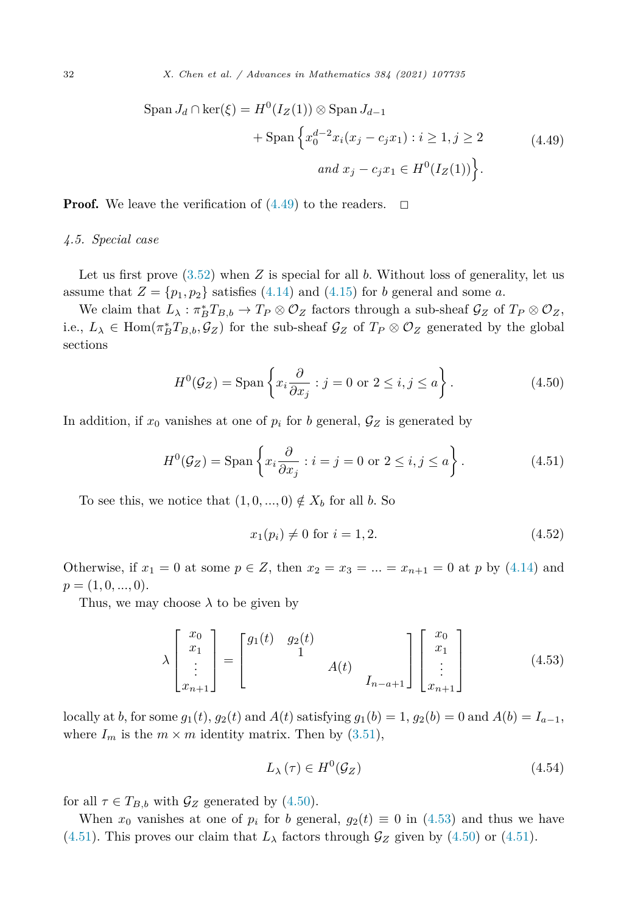<span id="page-31-0"></span>
$$
\text{Span } J_d \cap \ker(\xi) = H^0(I_Z(1)) \otimes \text{Span } J_{d-1}
$$

$$
+ \text{Span } \left\{ x_0^{d-2} x_i (x_j - c_j x_1) : i \ge 1, j \ge 2 \right\}
$$

$$
and \ x_j - c_j x_1 \in H^0(I_Z(1)) \Big\}.
$$
(4.49)

**Proof.** We leave the verification of  $(4.49)$  to the readers.  $\Box$ 

### *4.5. Special case*

Let us first prove [\(3.52](#page-17-0)) when *Z* is special for all *b*. Without loss of generality, let us assume that  $Z = \{p_1, p_2\}$  satisfies [\(4.14](#page-24-0)) and ([4.15\)](#page-24-0) for *b* general and some *a*.

We claim that  $L_\lambda: \pi_B^* T_{B,b} \to T_P \otimes \mathcal{O}_Z$  factors through a sub-sheaf  $\mathcal{G}_Z$  of  $T_P \otimes \mathcal{O}_Z$ , i.e.,  $L_{\lambda} \in \text{Hom}(\pi_B^* T_{B,b}, \mathcal{G}_Z)$  for the sub-sheaf  $\mathcal{G}_Z$  of  $T_P \otimes \mathcal{O}_Z$  generated by the global sections

$$
H^{0}(\mathcal{G}_{Z}) = \text{Span}\left\{x_{i}\frac{\partial}{\partial x_{j}} : j = 0 \text{ or } 2 \leq i, j \leq a\right\}.
$$
 (4.50)

In addition, if  $x_0$  vanishes at one of  $p_i$  for *b* general,  $\mathcal{G}_Z$  is generated by

$$
H^{0}(\mathcal{G}_{Z}) = \text{Span}\left\{x_{i}\frac{\partial}{\partial x_{j}} : i = j = 0 \text{ or } 2 \leq i, j \leq a\right\}.
$$
 (4.51)

To see this, we notice that  $(1, 0, \ldots, 0) \notin X_b$  for all *b*. So

$$
x_1(p_i) \neq 0 \text{ for } i = 1, 2. \tag{4.52}
$$

Otherwise, if  $x_1 = 0$  at some  $p \in Z$ , then  $x_2 = x_3 = ... = x_{n+1} = 0$  at p by [\(4.14\)](#page-24-0) and  $p = (1, 0, \ldots, 0).$ 

Thus, we may choose  $\lambda$  to be given by

$$
\lambda \begin{bmatrix} x_0 \\ x_1 \\ \vdots \\ x_{n+1} \end{bmatrix} = \begin{bmatrix} g_1(t) & g_2(t) \\ 1 & A(t) \\ & \ddots \\ & & I_{n-a+1} \end{bmatrix} \begin{bmatrix} x_0 \\ x_1 \\ \vdots \\ x_{n+1} \end{bmatrix}
$$
(4.53)

locally at *b*, for some  $g_1(t)$ ,  $g_2(t)$  and  $A(t)$  satisfying  $g_1(b) = 1$ ,  $g_2(b) = 0$  and  $A(b) = I_{a-1}$ , where  $I_m$  is the  $m \times m$  identity matrix. Then by  $(3.51)$  $(3.51)$  $(3.51)$ ,

$$
L_{\lambda}(\tau) \in H^0(\mathcal{G}_Z) \tag{4.54}
$$

for all  $\tau \in T_{B,b}$  with  $\mathcal{G}_Z$  generated by (4.50).

When  $x_0$  vanishes at one of  $p_i$  for *b* general,  $g_2(t) \equiv 0$  in (4.53) and thus we have (4.51). This proves our claim that  $L_{\lambda}$  factors through  $\mathcal{G}_Z$  given by (4.50) or (4.51).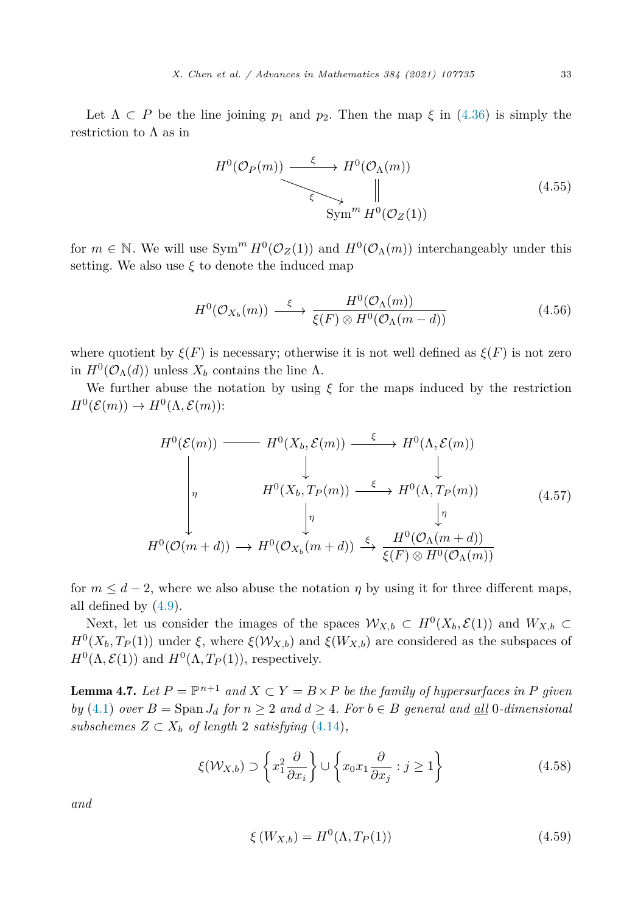<span id="page-32-0"></span>Let  $\Lambda \subset P$  be the line joining  $p_1$  and  $p_2$ . Then the map  $\xi$  in [\(4.36\)](#page-27-0) is simply the restriction to  $\Lambda$  as in

$$
H^{0}(\mathcal{O}_{P}(m)) \xrightarrow{\xi} H^{0}(\mathcal{O}_{\Lambda}(m))
$$
  
\n
$$
\xi \searrow \qquad \qquad \parallel
$$
  
\n
$$
\text{Sym}^{m} H^{0}(\mathcal{O}_{Z}(1))
$$
\n(4.55)

for  $m \in \mathbb{N}$ . We will use  $Sym^m H^0(\mathcal{O}_Z(1))$  and  $H^0(\mathcal{O}_\Lambda(m))$  interchangeably under this setting. We also use  $\xi$  to denote the induced map

$$
H^{0}(\mathcal{O}_{X_{b}}(m)) \xrightarrow{\xi} \frac{H^{0}(\mathcal{O}_{\Lambda}(m))}{\xi(F) \otimes H^{0}(\mathcal{O}_{\Lambda}(m-d))}
$$
(4.56)

where quotient by  $\xi(F)$  is necessary; otherwise it is not well defined as  $\xi(F)$  is not zero in  $H^0(\mathcal{O}_\Lambda(d))$  unless  $X_b$  contains the line  $\Lambda$ .

We further abuse the notation by using  $\xi$  for the maps induced by the restriction  $H^0(\mathcal{E}(m)) \to H^0(\Lambda, \mathcal{E}(m))$ :

$$
H^{0}(\mathcal{E}(m)) \longrightarrow H^{0}(X_{b}, \mathcal{E}(m)) \xrightarrow{\xi} H^{0}(\Lambda, \mathcal{E}(m))
$$
\n
$$
\downarrow \qquad \qquad \downarrow \qquad \qquad \downarrow
$$
\n
$$
H^{0}(X_{b}, T_{P}(m)) \xrightarrow{\xi} H^{0}(\Lambda, T_{P}(m))
$$
\n
$$
\downarrow \eta
$$
\n
$$
H^{0}(\mathcal{O}(m+d)) \longrightarrow H^{0}(\mathcal{O}_{X_{b}}(m+d)) \xrightarrow{\xi} \frac{H^{0}(\mathcal{O}_{\Lambda}(m+d))}{\xi(F) \otimes H^{0}(\mathcal{O}_{\Lambda}(m))}
$$
\n
$$
(4.57)
$$

for  $m \leq d-2$ , where we also abuse the notation  $\eta$  by using it for three different maps, all defined by  $(4.9)$  $(4.9)$ .

Next, let us consider the images of the spaces  $W_{X,b} \subset H^0(X_b, \mathcal{E}(1))$  and  $W_{X,b} \subset$  $H^{0}(X_{b}, T_{P}(1))$  under  $\xi$ , where  $\xi(\mathcal{W}_{X,b})$  and  $\xi(W_{X,b})$  are considered as the subspaces of  $H^{0}(\Lambda, \mathcal{E}(1))$  and  $H^{0}(\Lambda, T_{P}(1))$ , respectively.

**Lemma 4.7.** Let  $P = \mathbb{P}^{n+1}$  and  $X \subset Y = B \times P$  be the family of hypersurfaces in P given *by* ([4.1\)](#page-22-0) *over*  $B = \text{Span } J_d$  *for*  $n \geq 2$  *and*  $d \geq 4$ *. For*  $b \in B$  *general* and <u>all</u> 0*-dimensional subschemes*  $Z \subset X_b$  *of length* 2 *satisfying* [\(4.14\)](#page-24-0)*,* 

$$
\xi(\mathcal{W}_{X,b}) \supset \left\{ x_1^2 \frac{\partial}{\partial x_i} \right\} \cup \left\{ x_0 x_1 \frac{\partial}{\partial x_j} : j \ge 1 \right\} \tag{4.58}
$$

*and*

$$
\xi\left(W_{X,b}\right) = H^0(\Lambda, T_P(1))\tag{4.59}
$$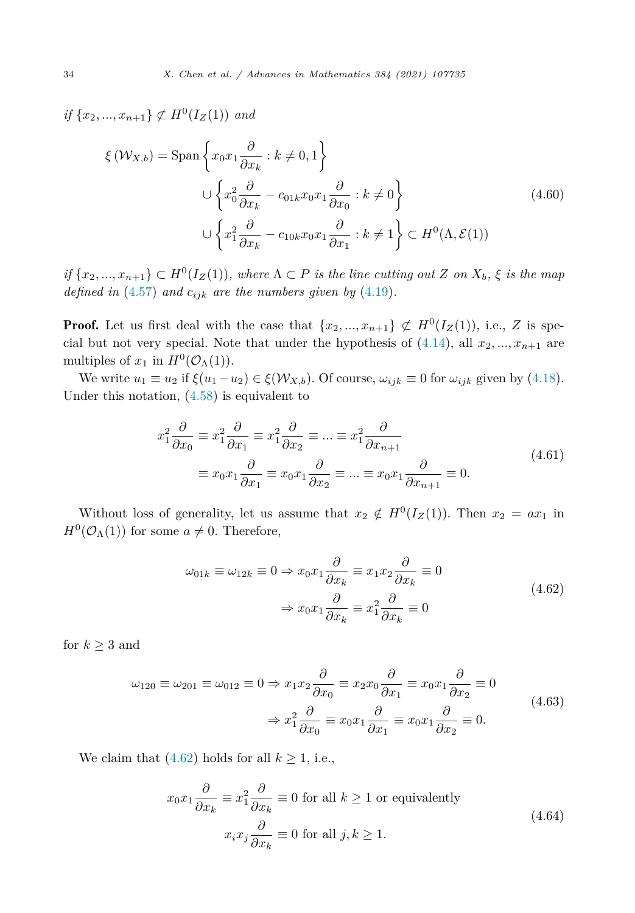<span id="page-33-0"></span>*if*  $\{x_2, ..., x_{n+1}\}$  ⊄ *H*<sup>0</sup>(*I<sub>Z</sub>*(1)) *and* 

$$
\xi(\mathcal{W}_{X,b}) = \text{Span}\left\{x_0x_1\frac{\partial}{\partial x_k} : k \neq 0, 1\right\}
$$
  

$$
\cup \left\{x_0^2\frac{\partial}{\partial x_k} - c_{01k}x_0x_1\frac{\partial}{\partial x_0} : k \neq 0\right\}
$$
  

$$
\cup \left\{x_1^2\frac{\partial}{\partial x_k} - c_{10k}x_0x_1\frac{\partial}{\partial x_1} : k \neq 1\right\} \subset H^0(\Lambda, \mathcal{E}(1))
$$
 (4.60)

if  $\{x_2,...,x_{n+1}\} \subset H^0(I_Z(1))$ , where  $\Lambda \subset P$  is the line cutting out Z on  $X_b$ ,  $\xi$  is the map *defined in* ([4.57](#page-32-0)) *and*  $c_{ijk}$  *are the numbers given by* [\(4.19\)](#page-25-0)*.* 

**Proof.** Let us first deal with the case that  $\{x_2, ..., x_{n+1}\}\nsubseteq H^0(I_Z(1))$ , i.e., *Z* is special but not very special. Note that under the hypothesis of  $(4.14)$  $(4.14)$ , all  $x_2, \ldots, x_{n+1}$  are multiples of  $x_1$  in  $H^0(\mathcal{O}_\Lambda(1))$ .

We write  $u_1 \equiv u_2$  if  $\xi(u_1 - u_2) \in \xi(\mathcal{W}_{X,b})$ . Of course,  $\omega_{ijk} \equiv 0$  for  $\omega_{ijk}$  given by ([4.18\)](#page-24-0). Under this notation, [\(4.58](#page-32-0)) is equivalent to

$$
x_1^2 \frac{\partial}{\partial x_0} \equiv x_1^2 \frac{\partial}{\partial x_1} \equiv x_1^2 \frac{\partial}{\partial x_2} \equiv \dots \equiv x_1^2 \frac{\partial}{\partial x_{n+1}}
$$
  

$$
\equiv x_0 x_1 \frac{\partial}{\partial x_1} \equiv x_0 x_1 \frac{\partial}{\partial x_2} \equiv \dots \equiv x_0 x_1 \frac{\partial}{\partial x_{n+1}} \equiv 0.
$$
 (4.61)

Without loss of generality, let us assume that  $x_2 \notin H^0(I_Z(1))$ . Then  $x_2 = ax_1$  in  $H^0(\mathcal{O}_\Lambda(1))$  for some  $a \neq 0$ . Therefore,

$$
\omega_{01k} \equiv \omega_{12k} \equiv 0 \Rightarrow x_0 x_1 \frac{\partial}{\partial x_k} \equiv x_1 x_2 \frac{\partial}{\partial x_k} \equiv 0
$$
  

$$
\Rightarrow x_0 x_1 \frac{\partial}{\partial x_k} \equiv x_1^2 \frac{\partial}{\partial x_k} \equiv 0
$$
(4.62)

for  $k \geq 3$  and

$$
\omega_{120} \equiv \omega_{201} \equiv \omega_{012} \equiv 0 \Rightarrow x_1 x_2 \frac{\partial}{\partial x_0} \equiv x_2 x_0 \frac{\partial}{\partial x_1} \equiv x_0 x_1 \frac{\partial}{\partial x_2} \equiv 0
$$
  

$$
\Rightarrow x_1^2 \frac{\partial}{\partial x_0} \equiv x_0 x_1 \frac{\partial}{\partial x_1} \equiv x_0 x_1 \frac{\partial}{\partial x_2} \equiv 0.
$$
 (4.63)

We claim that  $(4.62)$  holds for all  $k \ge 1$ , i.e.,

$$
x_0 x_1 \frac{\partial}{\partial x_k} \equiv x_1^2 \frac{\partial}{\partial x_k} \equiv 0 \text{ for all } k \ge 1 \text{ or equivalently}
$$
  

$$
x_i x_j \frac{\partial}{\partial x_k} \equiv 0 \text{ for all } j, k \ge 1.
$$
 (4.64)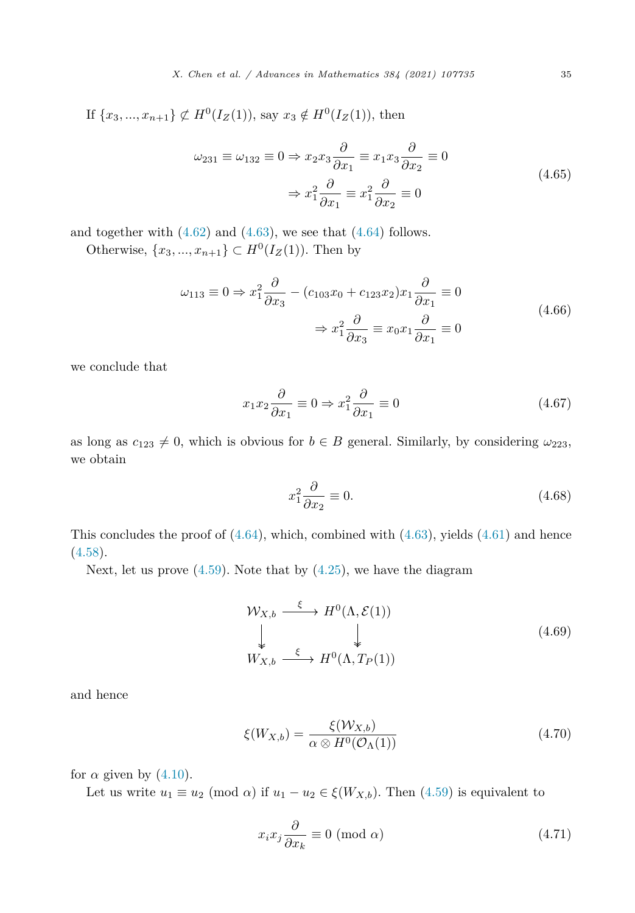<span id="page-34-0"></span>If  $\{x_3, ..., x_{n+1}\} \not\subset H^0(I_Z(1))$ , say  $x_3 \notin H^0(I_Z(1))$ , then

$$
\omega_{231} \equiv \omega_{132} \equiv 0 \Rightarrow x_2 x_3 \frac{\partial}{\partial x_1} \equiv x_1 x_3 \frac{\partial}{\partial x_2} \equiv 0
$$
  

$$
\Rightarrow x_1^2 \frac{\partial}{\partial x_1} \equiv x_1^2 \frac{\partial}{\partial x_2} \equiv 0
$$
(4.65)

and together with  $(4.62)$  $(4.62)$  and  $(4.63)$  $(4.63)$ , we see that  $(4.64)$  $(4.64)$  follows.

Otherwise,  ${x_3, ..., x_{n+1}}$  ⊂ *H*<sup>0</sup>(*I<sub>Z</sub>*(1)). Then by

$$
\omega_{113} \equiv 0 \Rightarrow x_1^2 \frac{\partial}{\partial x_3} - (c_{103}x_0 + c_{123}x_2)x_1 \frac{\partial}{\partial x_1} \equiv 0
$$
  

$$
\Rightarrow x_1^2 \frac{\partial}{\partial x_3} \equiv x_0 x_1 \frac{\partial}{\partial x_1} \equiv 0
$$
(4.66)

we conclude that

$$
x_1 x_2 \frac{\partial}{\partial x_1} \equiv 0 \Rightarrow x_1^2 \frac{\partial}{\partial x_1} \equiv 0 \tag{4.67}
$$

as long as  $c_{123} \neq 0$ , which is obvious for  $b \in B$  general. Similarly, by considering  $\omega_{223}$ , we obtain

$$
x_1^2 \frac{\partial}{\partial x_2} \equiv 0. \tag{4.68}
$$

This concludes the proof of  $(4.64)$  $(4.64)$ , which, combined with  $(4.63)$  $(4.63)$ , yields  $(4.61)$  $(4.61)$  and hence  $(4.58).$  $(4.58).$ 

Next, let us prove  $(4.59)$  $(4.59)$  $(4.59)$ . Note that by  $(4.25)$ , we have the diagram

$$
\mathcal{W}_{X,b} \xrightarrow{\xi} H^0(\Lambda, \mathcal{E}(1))
$$
\n
$$
\downarrow \qquad \qquad \downarrow
$$
\n
$$
W_{X,b} \xrightarrow{\xi} H^0(\Lambda, T_P(1))
$$
\n
$$
(4.69)
$$

and hence

$$
\xi(W_{X,b}) = \frac{\xi(W_{X,b})}{\alpha \otimes H^0(\mathcal{O}_\Lambda(1))} \tag{4.70}
$$

for  $\alpha$  given by  $(4.10)$  $(4.10)$ .

Let us write  $u_1 \equiv u_2 \pmod{\alpha}$  if  $u_1 - u_2 \in \xi(W_{X,b})$ . Then [\(4.59\)](#page-32-0) is equivalent to

$$
x_i x_j \frac{\partial}{\partial x_k} \equiv 0 \text{ (mod } \alpha) \tag{4.71}
$$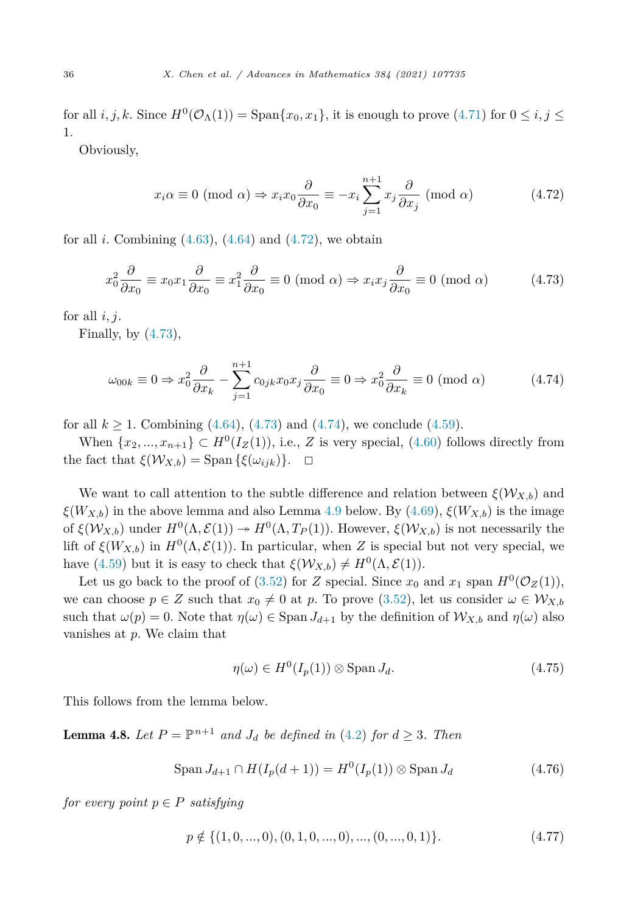<span id="page-35-0"></span>for all *i, j, k*. Since  $H^0(\mathcal{O}_\Lambda(1)) = \text{Span}\{x_0, x_1\}$ , it is enough to prove [\(4.71](#page-34-0)) for  $0 \le i, j \le n$ 1.

Obviously,

$$
x_i \alpha \equiv 0 \pmod{\alpha} \Rightarrow x_i x_0 \frac{\partial}{\partial x_0} \equiv -x_i \sum_{j=1}^{n+1} x_j \frac{\partial}{\partial x_j} \pmod{\alpha} \tag{4.72}
$$

for all *i*. Combining  $(4.63)$  $(4.63)$ ,  $(4.64)$  $(4.64)$  and  $(4.72)$ , we obtain

$$
x_0^2 \frac{\partial}{\partial x_0} \equiv x_0 x_1 \frac{\partial}{\partial x_0} \equiv x_1^2 \frac{\partial}{\partial x_0} \equiv 0 \pmod{\alpha} \Rightarrow x_i x_j \frac{\partial}{\partial x_0} \equiv 0 \pmod{\alpha} \tag{4.73}
$$

for all  $i, j$ .

Finally, by  $(4.73)$ ,

$$
\omega_{00k} \equiv 0 \Rightarrow x_0^2 \frac{\partial}{\partial x_k} - \sum_{j=1}^{n+1} c_{0jk} x_0 x_j \frac{\partial}{\partial x_0} \equiv 0 \Rightarrow x_0^2 \frac{\partial}{\partial x_k} \equiv 0 \pmod{\alpha} \tag{4.74}
$$

for all  $k \ge 1$ . Combining ([4.64\)](#page-33-0), (4.73) and (4.74), we conclude [\(4.59\)](#page-32-0).

When  $\{x_2, ..., x_{n+1}\} \subset H^0(I_Z(1))$ , i.e., *Z* is very special, [\(4.60](#page-33-0)) follows directly from the fact that  $\xi(\mathcal{W}_{X,b}) = \text{Span}\{\xi(\omega_{ijk})\}.$   $\Box$ 

We want to call attention to the subtle difference and relation between  $\xi(\mathcal{W}_{X,b})$  and  $\xi(W_{X,b})$  in the above lemma and also Lemma [4.9](#page-42-0) below. By [\(4.69\)](#page-34-0),  $\xi(W_{X,b})$  is the image of  $\xi(\mathcal{W}_{X,b})$  under  $H^0(\Lambda, \mathcal{E}(1)) \to H^0(\Lambda, T_P(1))$ . However,  $\xi(\mathcal{W}_{X,b})$  is not necessarily the lift of  $\xi(W_{X,b})$  in  $H^0(\Lambda, \mathcal{E}(1))$ . In particular, when *Z* is special but not very special, we have ([4.59\)](#page-32-0) but it is easy to check that  $\xi(\mathcal{W}_{X,b}) \neq H^0(\Lambda, \mathcal{E}(1)).$ 

Let us go back to the proof of [\(3.52](#page-17-0)) for *Z* special. Since  $x_0$  and  $x_1$  span  $H^0(\mathcal{O}_Z(1))$ , we can choose  $p \in Z$  such that  $x_0 \neq 0$  at p. To prove [\(3.52\)](#page-17-0), let us consider  $\omega \in \mathcal{W}_{X,b}$ such that  $\omega(p) = 0$ . Note that  $\eta(\omega) \in \text{Span } J_{d+1}$  by the definition of  $\mathcal{W}_{X,b}$  and  $\eta(\omega)$  also vanishes at *p*. We claim that

$$
\eta(\omega) \in H^0(I_p(1)) \otimes \text{Span } J_d. \tag{4.75}
$$

This follows from the lemma below.

**Lemma 4.8.** Let  $P = \mathbb{P}^{n+1}$  and  $J_d$  be defined in ([4.2\)](#page-22-0) for  $d \geq 3$ . Then

$$
\text{Span}\, J_{d+1} \cap H(I_p(d+1)) = H^0(I_p(1)) \otimes \text{Span}\, J_d \tag{4.76}
$$

*for every point*  $p \in P$  *satisfying* 

$$
p \notin \{ (1, 0, ..., 0), (0, 1, 0, ..., 0), ..., (0, ..., 0, 1) \}.
$$
\n
$$
(4.77)
$$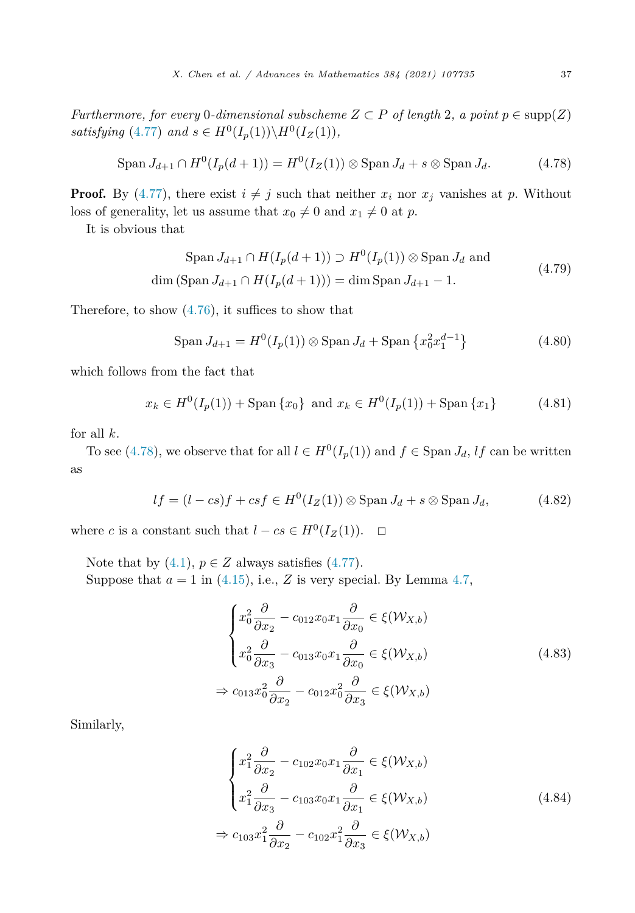*Furthermore, for every* 0*-dimensional subscheme*  $Z \subset P$  *of length* 2*, a point*  $p \in \text{supp}(Z)$ *satisfying* ([4.77\)](#page-35-0) *and*  $s \in H^0(I_p(1)) \setminus H^0(I_Z(1))$ *,* 

$$
\text{Span}\, J_{d+1} \cap H^0(I_p(d+1)) = H^0(I_Z(1)) \otimes \text{Span}\, J_d + s \otimes \text{Span}\, J_d. \tag{4.78}
$$

**Proof.** By [\(4.77](#page-35-0)), there exist  $i \neq j$  such that neither  $x_i$  nor  $x_j$  vanishes at p. Without loss of generality, let us assume that  $x_0 \neq 0$  and  $x_1 \neq 0$  at *p*.

It is obvious that

$$
\text{Span } J_{d+1} \cap H(I_p(d+1)) \supset H^0(I_p(1)) \otimes \text{Span } J_d \text{ and}
$$
\n
$$
\dim (\text{Span } J_{d+1} \cap H(I_p(d+1))) = \dim \text{Span } J_{d+1} - 1.
$$
\n(4.79)

Therefore, to show [\(4.76](#page-35-0)), it suffices to show that

$$
\text{Span}\, J_{d+1} = H^0(I_p(1)) \otimes \text{Span}\, J_d + \text{Span}\, \{x_0^2 x_1^{d-1}\} \tag{4.80}
$$

which follows from the fact that

$$
x_k \in H^0(I_p(1)) + \text{Span}\{x_0\} \text{ and } x_k \in H^0(I_p(1)) + \text{Span}\{x_1\} \tag{4.81}
$$

for all *k*.

To see (4.78), we observe that for all  $l \in H^0(I_p(1))$  and  $f \in \text{Span } J_d$ , *lf* can be written as

$$
lf = (l - cs)f + csf \in H^0(I_Z(1)) \otimes \text{Span } J_d + s \otimes \text{Span } J_d,
$$
 (4.82)

where *c* is a constant such that  $l - cs \in H^0(I_Z(1))$ .  $\Box$ 

Note that by  $(4.1)$  $(4.1)$ ,  $p \in Z$  always satisfies  $(4.77)$  $(4.77)$ . Suppose that  $a = 1$  in ([4.15\)](#page-24-0), i.e., *Z* is very special. By Lemma [4.7,](#page-32-0)

$$
\begin{cases}\nx_0^2 \frac{\partial}{\partial x_2} - c_{012} x_0 x_1 \frac{\partial}{\partial x_0} \in \xi(\mathcal{W}_{X,b}) \\
x_0^2 \frac{\partial}{\partial x_3} - c_{013} x_0 x_1 \frac{\partial}{\partial x_0} \in \xi(\mathcal{W}_{X,b}) \\
\Rightarrow c_{013} x_0^2 \frac{\partial}{\partial x_2} - c_{012} x_0^2 \frac{\partial}{\partial x_3} \in \xi(\mathcal{W}_{X,b})\n\end{cases} (4.83)
$$

Similarly,

$$
\begin{cases}\nx_1^2 \frac{\partial}{\partial x_2} - c_{102} x_0 x_1 \frac{\partial}{\partial x_1} \in \xi(\mathcal{W}_{X,b}) \\
x_1^2 \frac{\partial}{\partial x_3} - c_{103} x_0 x_1 \frac{\partial}{\partial x_1} \in \xi(\mathcal{W}_{X,b})\n\end{cases} \tag{4.84}
$$
\n
$$
\Rightarrow c_{103} x_1^2 \frac{\partial}{\partial x_2} - c_{102} x_1^2 \frac{\partial}{\partial x_3} \in \xi(\mathcal{W}_{X,b})
$$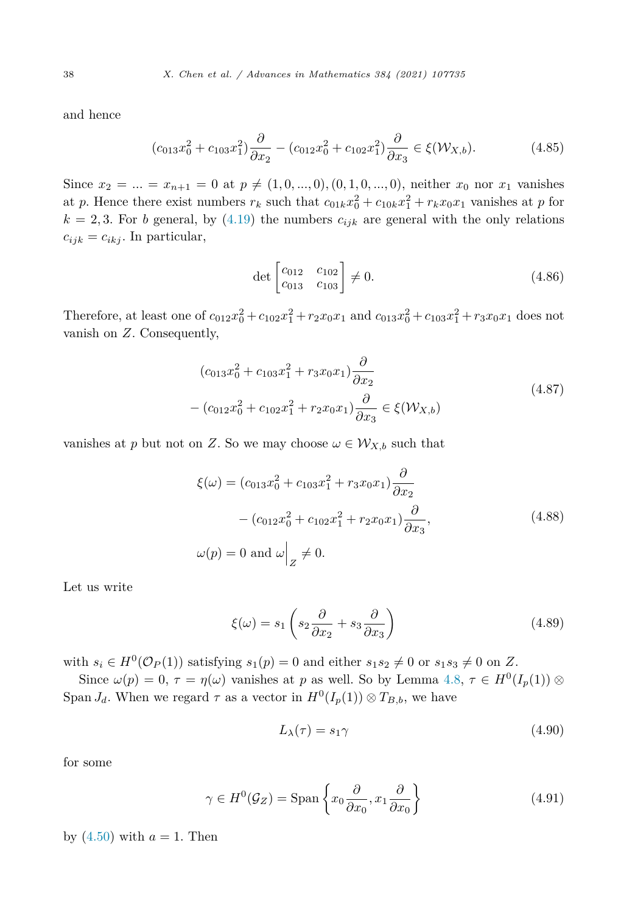and hence

$$
(c_{013}x_0^2 + c_{103}x_1^2)\frac{\partial}{\partial x_2} - (c_{012}x_0^2 + c_{102}x_1^2)\frac{\partial}{\partial x_3} \in \xi(\mathcal{W}_{X,b}).\tag{4.85}
$$

Since  $x_2 = ... = x_{n+1} = 0$  at  $p \neq (1, 0, ..., 0), (0, 1, 0, ..., 0)$ , neither  $x_0$  nor  $x_1$  vanishes at *p*. Hence there exist numbers  $r_k$  such that  $c_{01k}x_0^2 + c_{10k}x_1^2 + r_kx_0x_1$  vanishes at *p* for  $k = 2, 3$ . For *b* general, by ([4.19\)](#page-25-0) the numbers  $c_{ijk}$  are general with the only relations  $c_{ijk} = c_{ikj}$ . In particular,

$$
\det \begin{bmatrix} c_{012} & c_{102} \\ c_{013} & c_{103} \end{bmatrix} \neq 0.
$$
 (4.86)

Therefore, at least one of  $c_{012}x_0^2 + c_{102}x_1^2 + r_2x_0x_1$  and  $c_{013}x_0^2 + c_{103}x_1^2 + r_3x_0x_1$  does not vanish on *Z*. Consequently,

$$
(c_{013}x_0^2 + c_{103}x_1^2 + r_3x_0x_1)\frac{\partial}{\partial x_2}
$$
  
–  $(c_{012}x_0^2 + c_{102}x_1^2 + r_2x_0x_1)\frac{\partial}{\partial x_3} \in \xi(\mathcal{W}_{X,b})$  (4.87)

vanishes at *p* but not on *Z*. So we may choose  $\omega \in \mathcal{W}_{X,b}$  such that

$$
\xi(\omega) = (c_{013}x_0^2 + c_{103}x_1^2 + r_3x_0x_1)\frac{\partial}{\partial x_2} \n- (c_{012}x_0^2 + c_{102}x_1^2 + r_2x_0x_1)\frac{\partial}{\partial x_3},
$$
\n(4.88)\n
$$
\omega(p) = 0 \text{ and } \omega\Big|_Z \neq 0.
$$

Let us write

$$
\xi(\omega) = s_1 \left( s_2 \frac{\partial}{\partial x_2} + s_3 \frac{\partial}{\partial x_3} \right) \tag{4.89}
$$

with  $s_i \in H^0(\mathcal{O}_P(1))$  satisfying  $s_1(p) = 0$  and either  $s_1 s_2 \neq 0$  or  $s_1 s_3 \neq 0$  on Z.

Since  $\omega(p) = 0$ ,  $\tau = \eta(\omega)$  vanishes at *p* as well. So by Lemma [4.8](#page-35-0),  $\tau \in H^0(I_p(1))$  ⊗ Span  $J_d$ . When we regard  $\tau$  as a vector in  $H^0(I_p(1)) \otimes T_{B,b}$ , we have

$$
L_{\lambda}(\tau) = s_1 \gamma \tag{4.90}
$$

for some

$$
\gamma \in H^0(\mathcal{G}_Z) = \text{Span}\left\{x_0 \frac{\partial}{\partial x_0}, x_1 \frac{\partial}{\partial x_0}\right\} \tag{4.91}
$$

by  $(4.50)$  $(4.50)$  $(4.50)$  with  $a = 1$ . Then

<span id="page-37-0"></span>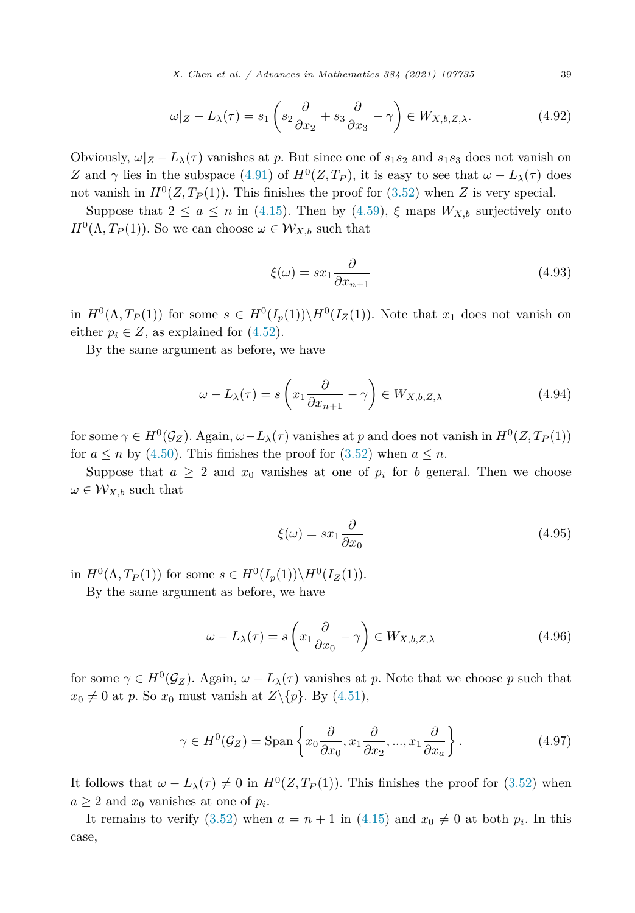*X. Chen et al. / Advances in Mathematics 384 (2021) 107735* 39

$$
\omega|_{Z} - L_{\lambda}(\tau) = s_1 \left( s_2 \frac{\partial}{\partial x_2} + s_3 \frac{\partial}{\partial x_3} - \gamma \right) \in W_{X,b,Z,\lambda}.
$$
 (4.92)

Obviously,  $\omega|_Z - L_\lambda(\tau)$  vanishes at *p*. But since one of  $s_1s_2$  and  $s_1s_3$  does not vanish on *Z* and  $\gamma$  lies in the subspace [\(4.91](#page-37-0)) of  $H^0(Z, T_P)$ , it is easy to see that  $\omega - L_\lambda(\tau)$  does not vanish in  $H^0(Z, T_P(1))$ . This finishes the proof for [\(3.52](#page-17-0)) when *Z* is very special.

Suppose that  $2 \le a \le n$  in [\(4.15](#page-24-0)). Then by ([4.59](#page-32-0)),  $\xi$  maps  $W_{X,b}$  surjectively onto  $H^{0}(\Lambda, T_{P}(1))$ . So we can choose  $\omega \in \mathcal{W}_{X,b}$  such that

$$
\xi(\omega) = sx_1 \frac{\partial}{\partial x_{n+1}}\tag{4.93}
$$

in  $H^0(\Lambda, T_P(1))$  for some  $s \in H^0(I_p(1)) \backslash H^0(I_Z(1))$ . Note that  $x_1$  does not vanish on either  $p_i \in Z$ , as explained for  $(4.52)$ .

By the same argument as before, we have

$$
\omega - L_{\lambda}(\tau) = s \left( x_1 \frac{\partial}{\partial x_{n+1}} - \gamma \right) \in W_{X,b,Z,\lambda}
$$
\n(4.94)

for some  $\gamma \in H^0(\mathcal{G}_Z)$ . Again,  $\omega - L_\lambda(\tau)$  vanishes at p and does not vanish in  $H^0(Z, T_P(1))$ for  $a \le n$  by [\(4.50](#page-31-0)). This finishes the proof for ([3.52\)](#page-17-0) when  $a \le n$ .

Suppose that  $a \geq 2$  and  $x_0$  vanishes at one of  $p_i$  for *b* general. Then we choose  $\omega \in \mathcal{W}_{X,b}$  such that

$$
\xi(\omega) = sx_1 \frac{\partial}{\partial x_0} \tag{4.95}
$$

in  $H^0(\Lambda, T_P(1))$  for some  $s \in H^0(I_p(1)) \backslash H^0(I_Z(1)).$ 

By the same argument as before, we have

$$
\omega - L_{\lambda}(\tau) = s \left( x_1 \frac{\partial}{\partial x_0} - \gamma \right) \in W_{X,b,Z,\lambda}
$$
\n(4.96)

for some  $\gamma \in H^0(\mathcal{G}_Z)$ . Again,  $\omega - L_\lambda(\tau)$  vanishes at p. Note that we choose p such that  $x_0 \neq 0$  at *p*. So  $x_0$  must vanish at  $Z \setminus \{p\}$ . By [\(4.51\)](#page-31-0),

$$
\gamma \in H^0(\mathcal{G}_Z) = \text{Span}\left\{x_0 \frac{\partial}{\partial x_0}, x_1 \frac{\partial}{\partial x_2}, ..., x_1 \frac{\partial}{\partial x_a}\right\}.
$$
 (4.97)

It follows that  $\omega - L_{\lambda}(\tau) \neq 0$  in  $H^{0}(Z, T_{P}(1))$ . This finishes the proof for ([3.52\)](#page-17-0) when  $a \geq 2$  and  $x_0$  vanishes at one of  $p_i$ .

It remains to verify [\(3.52](#page-17-0)) when  $a = n + 1$  in [\(4.15](#page-24-0)) and  $x_0 \neq 0$  at both  $p_i$ . In this case,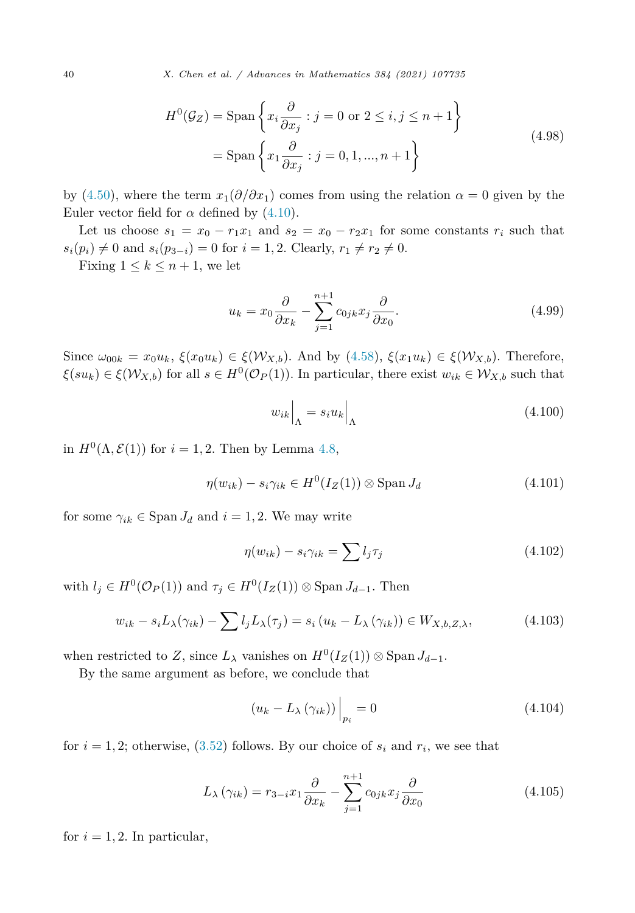<span id="page-39-0"></span>
$$
H^{0}(\mathcal{G}_{Z}) = \text{Span}\left\{x_{i}\frac{\partial}{\partial x_{j}} : j = 0 \text{ or } 2 \leq i, j \leq n+1\right\}
$$
  
= 
$$
\text{Span}\left\{x_{1}\frac{\partial}{\partial x_{j}} : j = 0, 1, ..., n+1\right\}
$$
 (4.98)

by ([4.50\)](#page-31-0), where the term  $x_1(\partial/\partial x_1)$  comes from using the relation  $\alpha = 0$  given by the Euler vector field for  $\alpha$  defined by  $(4.10)$  $(4.10)$  $(4.10)$ .

Let us choose  $s_1 = x_0 - r_1x_1$  and  $s_2 = x_0 - r_2x_1$  for some constants  $r_i$  such that  $s_i(p_i) \neq 0$  and  $s_i(p_{3-i}) = 0$  for  $i = 1, 2$ . Clearly,  $r_1 \neq r_2 \neq 0$ .

Fixing  $1 \leq k \leq n+1$ , we let

$$
u_k = x_0 \frac{\partial}{\partial x_k} - \sum_{j=1}^{n+1} c_{0jk} x_j \frac{\partial}{\partial x_0}.
$$
 (4.99)

Since  $\omega_{00k} = x_0 u_k$ ,  $\xi(x_0 u_k) \in \xi(\mathcal{W}_{X,b})$ . And by [\(4.58](#page-32-0)),  $\xi(x_1 u_k) \in \xi(\mathcal{W}_{X,b})$ . Therefore,  $\xi(su_k) \in \xi(\mathcal{W}_{X,b})$  for all  $s \in H^0(\mathcal{O}_P(1))$ . In particular, there exist  $w_{ik} \in \mathcal{W}_{X,b}$  such that

$$
w_{ik}\Big|_{\Lambda} = s_i u_k \Big|_{\Lambda} \tag{4.100}
$$

in  $H^0(\Lambda, \mathcal{E}(1))$  for  $i = 1, 2$ . Then by Lemma [4.8,](#page-35-0)

$$
\eta(w_{ik}) - s_i \gamma_{ik} \in H^0(I_Z(1)) \otimes \text{Span } J_d \tag{4.101}
$$

for some  $\gamma_{ik} \in \text{Span } J_d$  and  $i = 1, 2$ . We may write

$$
\eta(w_{ik}) - s_i \gamma_{ik} = \sum l_j \tau_j \tag{4.102}
$$

with  $l_j \in H^0(\mathcal{O}_P(1))$  and  $\tau_j \in H^0(I_Z(1)) \otimes \text{Span } J_{d-1}$ . Then

$$
w_{ik} - s_i L_\lambda(\gamma_{ik}) - \sum l_j L_\lambda(\tau_j) = s_i (u_k - L_\lambda(\gamma_{ik})) \in W_{X,b,Z,\lambda}, \qquad (4.103)
$$

when restricted to *Z*, since  $L_{\lambda}$  vanishes on  $H^0(I_Z(1)) \otimes \text{Span } J_{d-1}$ .

By the same argument as before, we conclude that

$$
\left(u_k - L_{\lambda} \left(\gamma_{ik}\right)\right)\Big|_{p_i} = 0 \tag{4.104}
$$

for  $i = 1, 2$ ; otherwise,  $(3.52)$  $(3.52)$  $(3.52)$  follows. By our choice of  $s_i$  and  $r_i$ , we see that

$$
L_{\lambda}(\gamma_{ik}) = r_{3-i}x_1 \frac{\partial}{\partial x_k} - \sum_{j=1}^{n+1} c_{0jk} x_j \frac{\partial}{\partial x_0}
$$
(4.105)

for  $i = 1, 2$ . In particular,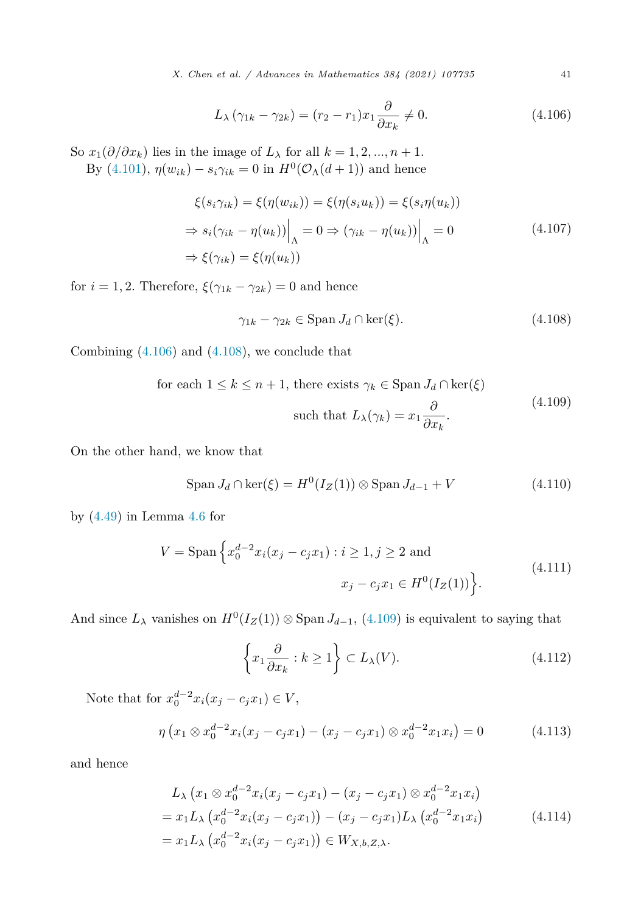*X. Chen et al. / Advances in Mathematics 384 (2021) 107735* 41

$$
L_{\lambda} \left( \gamma_{1k} - \gamma_{2k} \right) = (r_2 - r_1)x_1 \frac{\partial}{\partial x_k} \neq 0. \tag{4.106}
$$

<span id="page-40-0"></span>So  $x_1(\partial/\partial x_k)$  lies in the image of  $L_\lambda$  for all  $k = 1, 2, ..., n + 1$ . By  $(4.101)$  $(4.101)$ ,  $η(w_{ik}) - s_i γ_{ik} = 0$  in  $H^0(\mathcal{O}_\Lambda(d+1))$  and hence

$$
\xi(s_i \gamma_{ik}) = \xi(\eta(w_{ik})) = \xi(\eta(s_i u_k)) = \xi(s_i \eta(u_k))
$$
  
\n
$$
\Rightarrow s_i(\gamma_{ik} - \eta(u_k))\Big|_{\Lambda} = 0 \Rightarrow (\gamma_{ik} - \eta(u_k))\Big|_{\Lambda} = 0
$$
  
\n
$$
\Rightarrow \xi(\gamma_{ik}) = \xi(\eta(u_k))
$$
\n(4.107)

for  $i = 1, 2$ . Therefore,  $\xi(\gamma_{1k} - \gamma_{2k}) = 0$  and hence

$$
\gamma_{1k} - \gamma_{2k} \in \text{Span } J_d \cap \ker(\xi). \tag{4.108}
$$

Combining (4.106) and (4.108), we conclude that

for each 
$$
1 \le k \le n + 1
$$
, there exists  $\gamma_k \in \text{Span } J_d \cap \ker(\xi)$   
such that  $L_{\lambda}(\gamma_k) = x_1 \frac{\partial}{\partial x_k}$ . (4.109)

On the other hand, we know that

$$
\text{Span } J_d \cap \ker(\xi) = H^0(I_Z(1)) \otimes \text{Span } J_{d-1} + V \tag{4.110}
$$

by [\(4.49\)](#page-31-0) in Lemma [4.6](#page-30-0) for

$$
V = \text{Span}\left\{x_0^{d-2}x_i(x_j - c_jx_1) : i \ge 1, j \ge 2 \text{ and } x_j - c_jx_1 \in H^0(I_Z(1))\right\}.
$$
\n(4.111)

And since  $L_{\lambda}$  vanishes on  $H^0(I_Z(1)) \otimes \text{Span } J_{d-1}$ , (4.109) is equivalent to saying that

$$
\left\{x_1 \frac{\partial}{\partial x_k} : k \ge 1\right\} \subset L_\lambda(V). \tag{4.112}
$$

Note that for  $x_0^{d-2}x_i(x_j - c_jx_1) \in V$ ,

$$
\eta \left( x_1 \otimes x_0^{d-2} x_i (x_j - c_j x_1) - (x_j - c_j x_1) \otimes x_0^{d-2} x_1 x_i \right) = 0 \tag{4.113}
$$

and hence

$$
L_{\lambda} (x_1 \otimes x_0^{d-2} x_i (x_j - c_j x_1) - (x_j - c_j x_1) \otimes x_0^{d-2} x_1 x_i)
$$
  
=  $x_1 L_{\lambda} (x_0^{d-2} x_i (x_j - c_j x_1)) - (x_j - c_j x_1) L_{\lambda} (x_0^{d-2} x_1 x_i)$   
=  $x_1 L_{\lambda} (x_0^{d-2} x_i (x_j - c_j x_1)) \in W_{X, b, Z, \lambda}.$  (4.114)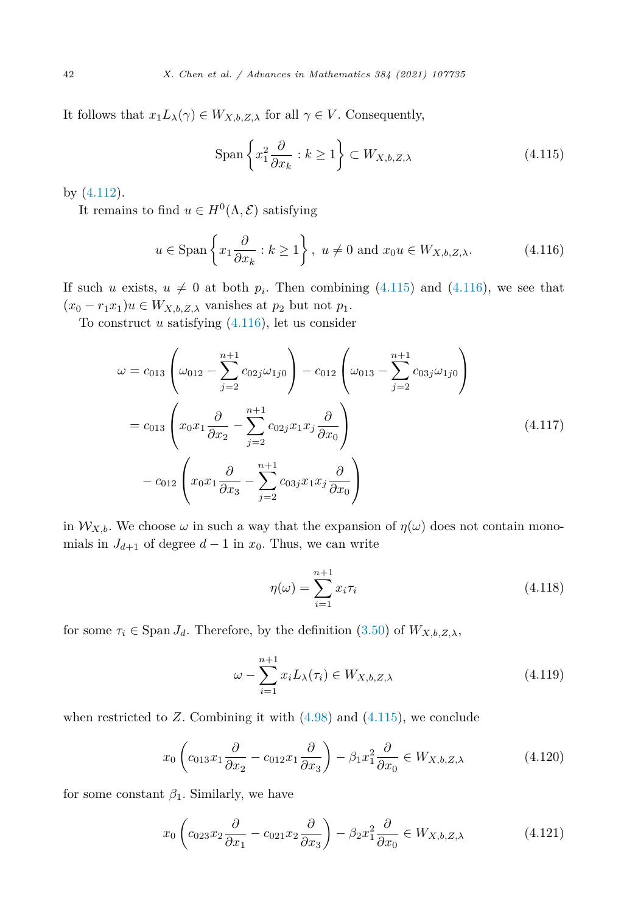<span id="page-41-0"></span>It follows that  $x_1L_\lambda(\gamma) \in W_{X,b,Z,\lambda}$  for all  $\gamma \in V$ . Consequently,

$$
\text{Span}\left\{x_1^2 \frac{\partial}{\partial x_k} : k \ge 1\right\} \subset W_{X,b,Z,\lambda} \tag{4.115}
$$

by ([4.112](#page-40-0)).

It remains to find  $u \in H^0(\Lambda, \mathcal{E})$  satisfying

$$
u \in \text{Span}\left\{x_1 \frac{\partial}{\partial x_k} : k \ge 1\right\}, u \ne 0 \text{ and } x_0 u \in W_{X,b,Z,\lambda}.
$$
 (4.116)

If such *u* exists,  $u \neq 0$  at both  $p_i$ . Then combining (4.115) and (4.116), we see that  $(x_0 - r_1 x_1)u \in W_{X,b,Z,\lambda}$  vanishes at  $p_2$  but not  $p_1$ .

To construct *u* satisfying (4.116), let us consider

$$
\omega = c_{013} \left( \omega_{012} - \sum_{j=2}^{n+1} c_{02j} \omega_{1j0} \right) - c_{012} \left( \omega_{013} - \sum_{j=2}^{n+1} c_{03j} \omega_{1j0} \right)
$$
  
=  $c_{013} \left( x_0 x_1 \frac{\partial}{\partial x_2} - \sum_{j=2}^{n+1} c_{02j} x_1 x_j \frac{\partial}{\partial x_0} \right)$   
-  $c_{012} \left( x_0 x_1 \frac{\partial}{\partial x_3} - \sum_{j=2}^{n+1} c_{03j} x_1 x_j \frac{\partial}{\partial x_0} \right)$  (4.117)

in  $W_{X,b}$ . We choose  $\omega$  in such a way that the expansion of  $\eta(\omega)$  does not contain monomials in  $J_{d+1}$  of degree  $d-1$  in  $x_0$ . Thus, we can write

$$
\eta(\omega) = \sum_{i=1}^{n+1} x_i \tau_i \tag{4.118}
$$

for some  $\tau_i \in \text{Span } J_d$ . Therefore, by the definition [\(3.50](#page-17-0)) of  $W_{X,b,Z,\lambda}$ ,

$$
\omega - \sum_{i=1}^{n+1} x_i L_\lambda(\tau_i) \in W_{X,b,Z,\lambda}
$$
\n(4.119)

when restricted to  $Z$ . Combining it with  $(4.98)$  $(4.98)$  and  $(4.115)$ , we conclude

$$
x_0 \left( c_{013} x_1 \frac{\partial}{\partial x_2} - c_{012} x_1 \frac{\partial}{\partial x_3} \right) - \beta_1 x_1^2 \frac{\partial}{\partial x_0} \in W_{X,b,Z,\lambda}
$$
(4.120)

for some constant  $\beta_1$ . Similarly, we have

$$
x_0 \left( c_{023} x_2 \frac{\partial}{\partial x_1} - c_{021} x_2 \frac{\partial}{\partial x_3} \right) - \beta_2 x_1^2 \frac{\partial}{\partial x_0} \in W_{X,b,Z,\lambda}
$$
(4.121)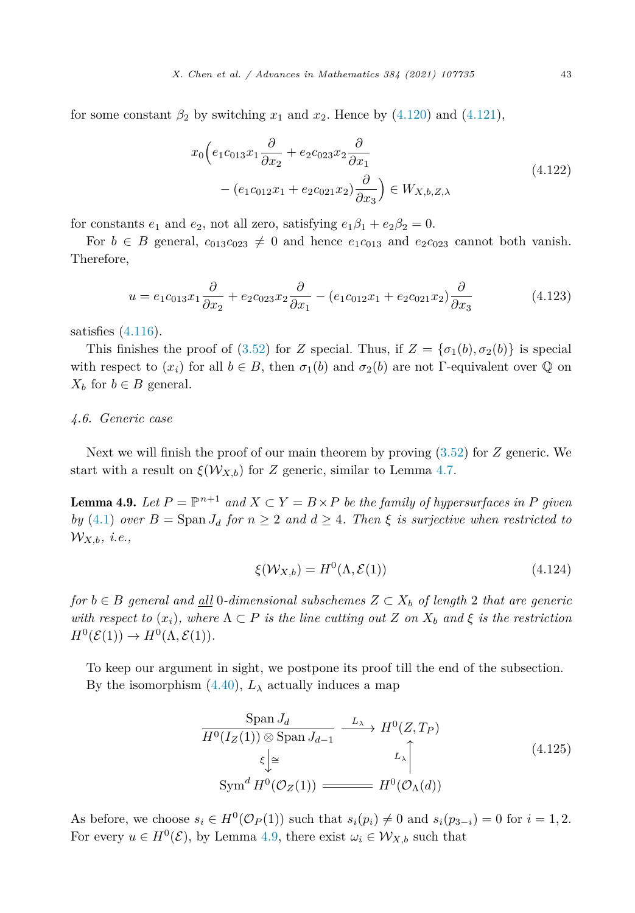<span id="page-42-0"></span>for some constant  $\beta_2$  by switching  $x_1$  and  $x_2$ . Hence by [\(4.120](#page-41-0)) and ([4.121\)](#page-41-0),

$$
x_0 \left( e_1 c_{013} x_1 \frac{\partial}{\partial x_2} + e_2 c_{023} x_2 \frac{\partial}{\partial x_1} \right.- \left( e_1 c_{012} x_1 + e_2 c_{021} x_2 \right) \frac{\partial}{\partial x_3} \left( \frac{\partial}{\partial x_3} x_2 \right) \in W_{X, b, Z, \lambda}
$$
\n
$$
(4.122)
$$

for constants  $e_1$  and  $e_2$ , not all zero, satisfying  $e_1\beta_1 + e_2\beta_2 = 0$ .

For  $b \in B$  general,  $c_{013}c_{023} \neq 0$  and hence  $e_1c_{013}$  and  $e_2c_{023}$  cannot both vanish. Therefore,

$$
u = e_1 c_{013} x_1 \frac{\partial}{\partial x_2} + e_2 c_{023} x_2 \frac{\partial}{\partial x_1} - (e_1 c_{012} x_1 + e_2 c_{021} x_2) \frac{\partial}{\partial x_3}
$$
(4.123)

satisfies [\(4.116\)](#page-41-0).

This finishes the proof of [\(3.52](#page-17-0)) for *Z* special. Thus, if  $Z = {\sigma_1(b), \sigma_2(b)}$  is special with respect to  $(x_i)$  for all  $b \in B$ , then  $\sigma_1(b)$  and  $\sigma_2(b)$  are not Γ-equivalent over  $\mathbb Q$  on  $X_b$  for  $b \in B$  general.

# *4.6. Generic case*

Next we will finish the proof of our main theorem by proving ([3.52\)](#page-17-0) for *Z* generic. We start with a result on  $\xi(\mathcal{W}_{X,b})$  for *Z* generic, similar to Lemma [4.7.](#page-32-0)

**Lemma 4.9.** Let  $P = \mathbb{P}^{n+1}$  and  $X \subset Y = B \times P$  be the family of hypersurfaces in P given *by* [\(4.1](#page-22-0)) *over*  $B = \text{Span } J_d$  *for*  $n \geq 2$  *and*  $d \geq 4$ *. Then*  $\xi$  *is surjective when restricted to* W*X,b, i.e.,*

$$
\xi(\mathcal{W}_{X,b}) = H^0(\Lambda, \mathcal{E}(1)) \tag{4.124}
$$

*for b* ∈ *B general and all* 0*-dimensional subschemes Z* ⊂ *X<sup>b</sup> of length* 2 *that are generic* with respect to  $(x_i)$ , where  $\Lambda \subset P$  is the line cutting out Z on  $X_b$  and  $\xi$  is the restriction  $H^0(\mathcal{E}(1)) \to H^0(\Lambda, \mathcal{E}(1)).$ 

To keep our argument in sight, we postpone its proof till the end of the subsection. By the isomorphism  $(4.40)$  $(4.40)$  $(4.40)$ ,  $L_{\lambda}$  actually induces a map

$$
\frac{\text{Span } J_d}{H^0(I_Z(1)) \otimes \text{Span } J_{d-1}} \xrightarrow{L_{\lambda}} H^0(Z, T_P)
$$
\n
$$
\xi \downarrow \approx
$$
\n
$$
\text{Sym}^d H^0(\mathcal{O}_Z(1)) \xrightarrow{L_{\lambda}} H^0(\mathcal{O}_{\Lambda}(d))
$$
\n(4.125)

As before, we choose  $s_i \in H^0(\mathcal{O}_P(1))$  such that  $s_i(p_i) \neq 0$  and  $s_i(p_{3-i}) = 0$  for  $i = 1, 2$ . For every  $u \in H^0(\mathcal{E})$ , by Lemma 4.9, there exist  $\omega_i \in \mathcal{W}_{X,b}$  such that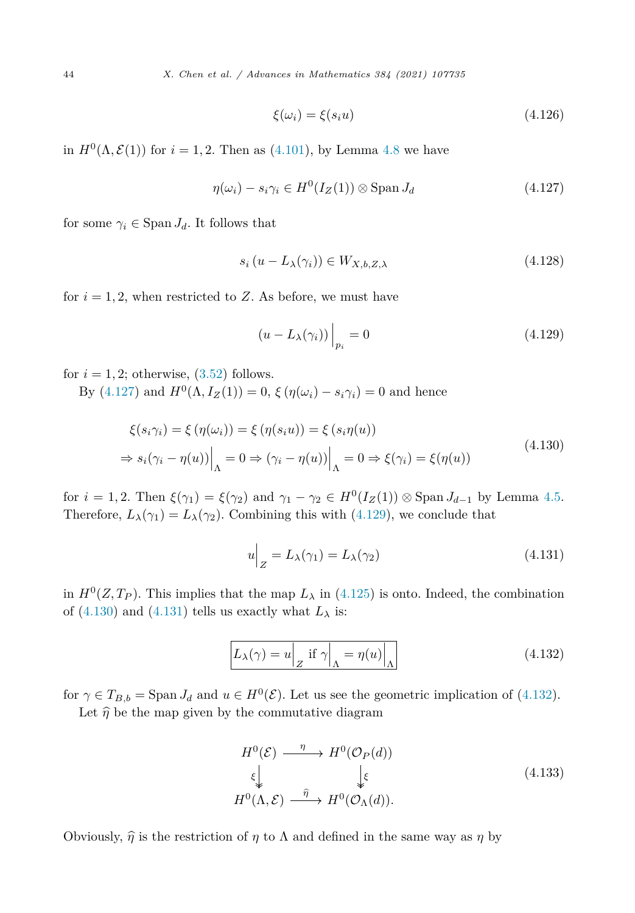$$
\xi(\omega_i) = \xi(s_i u) \tag{4.126}
$$

<span id="page-43-0"></span>in  $H^{0}(\Lambda, \mathcal{E}(1))$  for  $i = 1, 2$ . Then as [\(4.101](#page-39-0)), by Lemma [4.8](#page-35-0) we have

$$
\eta(\omega_i) - s_i \gamma_i \in H^0(I_Z(1)) \otimes \text{Span } J_d \tag{4.127}
$$

for some  $\gamma_i \in \text{Span } J_d$ . It follows that

$$
s_i (u - L_\lambda(\gamma_i)) \in W_{X,b,Z,\lambda} \tag{4.128}
$$

for  $i = 1, 2$ , when restricted to  $Z$ . As before, we must have

$$
(u - L_{\lambda}(\gamma_i))\Big|_{p_i} = 0 \tag{4.129}
$$

for  $i = 1, 2$ ; otherwise,  $(3.52)$  $(3.52)$  $(3.52)$  follows.

By  $(4.127)$  and  $H^{0}(\Lambda, I_{Z}(1)) = 0$ ,  $\xi(\eta(\omega_i) - s_i\gamma_i) = 0$  and hence

$$
\xi(s_i \gamma_i) = \xi(\eta(\omega_i)) = \xi(\eta(s_i u)) = \xi(s_i \eta(u))
$$
  
\n
$$
\Rightarrow s_i(\gamma_i - \eta(u))\Big|_{\Lambda} = 0 \Rightarrow (\gamma_i - \eta(u))\Big|_{\Lambda} = 0 \Rightarrow \xi(\gamma_i) = \xi(\eta(u))
$$
\n(4.130)

for  $i = 1, 2$ . Then  $\xi(\gamma_1) = \xi(\gamma_2)$  and  $\gamma_1 - \gamma_2 \in H^0(I_Z(1)) \otimes \text{Span } J_{d-1}$  by Lemma [4.5.](#page-27-0) Therefore,  $L_{\lambda}(\gamma_1) = L_{\lambda}(\gamma_2)$ . Combining this with (4.129), we conclude that

$$
u\Big|_Z = L_\lambda(\gamma_1) = L_\lambda(\gamma_2) \tag{4.131}
$$

in  $H^0(Z, T_P)$ . This implies that the map  $L_\lambda$  in [\(4.125](#page-42-0)) is onto. Indeed, the combination of  $(4.130)$  and  $(4.131)$  tells us exactly what  $L_{\lambda}$  is:

$$
L_{\lambda}(\gamma) = u \Big|_{Z} \text{ if } \gamma \Big|_{\Lambda} = \eta(u) \Big|_{\Lambda} \tag{4.132}
$$

for  $\gamma \in T_{B,b} = \text{Span } J_d$  and  $u \in H^0(\mathcal{E})$ . Let us see the geometric implication of (4.132).

Let  $\hat{\eta}$  be the map given by the commutative diagram

$$
H^{0}(\mathcal{E}) \xrightarrow{\eta} H^{0}(\mathcal{O}_{P}(d))
$$
  
\n
$$
\xi \downarrow \qquad \qquad \xi
$$
  
\n
$$
H^{0}(\Lambda, \mathcal{E}) \xrightarrow{\hat{\eta}} H^{0}(\mathcal{O}_{\Lambda}(d)).
$$
\n(4.133)

Obviously,  $\hat{\eta}$  is the restriction of  $\eta$  to  $\Lambda$  and defined in the same way as  $\eta$  by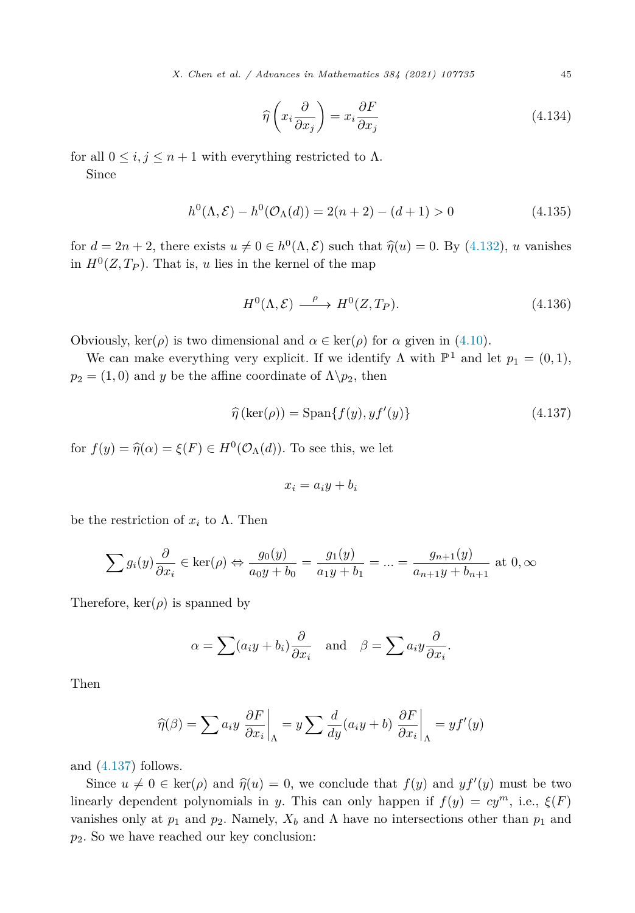*X. Chen et al. / Advances in Mathematics 384 (2021) 107735* 45

$$
\widehat{\eta}\left(x_i \frac{\partial}{\partial x_j}\right) = x_i \frac{\partial F}{\partial x_j} \tag{4.134}
$$

for all  $0 \le i, j \le n+1$  with everything restricted to  $\Lambda$ .

Since

$$
h^{0}(\Lambda, \mathcal{E}) - h^{0}(\mathcal{O}_{\Lambda}(d)) = 2(n+2) - (d+1) > 0
$$
\n(4.135)

for  $d = 2n + 2$ , there exists  $u \neq 0 \in h^0(\Lambda, \mathcal{E})$  such that  $\hat{\eta}(u) = 0$ . By [\(4.132\)](#page-43-0), *u* vanishes in  $H^0(Z, T_P)$ . That is, *u* lies in the kernel of the map

$$
H^{0}(\Lambda, \mathcal{E}) \xrightarrow{\rho} H^{0}(Z, T_{P}). \tag{4.136}
$$

Obviously, ker( $\rho$ ) is two dimensional and  $\alpha \in \text{ker}(\rho)$  for  $\alpha$  given in [\(4.10](#page-23-0)).

We can make everything very explicit. If we identify  $\Lambda$  with  $\mathbb{P}^1$  and let  $p_1 = (0,1)$ ,  $p_2 = (1,0)$  and *y* be the affine coordinate of  $\Lambda \backslash p_2$ , then

$$
\widehat{\eta}\left(\ker(\rho)\right) = \text{Span}\{f(y), y f'(y)\}\tag{4.137}
$$

for  $f(y) = \hat{\eta}(\alpha) = \xi(F) \in H^0(\mathcal{O}_\Lambda(d))$ . To see this, we let

$$
x_i = a_i y + b_i
$$

be the restriction of  $x_i$  to  $\Lambda$ . Then

$$
\sum g_i(y) \frac{\partial}{\partial x_i} \in \ker(\rho) \Leftrightarrow \frac{g_0(y)}{a_0 y + b_0} = \frac{g_1(y)}{a_1 y + b_1} = \dots = \frac{g_{n+1}(y)}{a_{n+1} y + b_{n+1}} \text{ at } 0, \infty
$$

Therefore,  $\ker(\rho)$  is spanned by

$$
\alpha = \sum (a_i y + b_i) \frac{\partial}{\partial x_i}
$$
 and  $\beta = \sum a_i y \frac{\partial}{\partial x_i}$ .

Then

$$
\widehat{\eta}(\beta) = \sum a_i y \left. \frac{\partial F}{\partial x_i} \right|_{\Lambda} = y \sum \frac{d}{dy} (a_i y + b) \left. \frac{\partial F}{\partial x_i} \right|_{\Lambda} = y f'(y)
$$

and (4.137) follows.

Since  $u \neq 0 \in \text{ker}(\rho)$  and  $\hat{\eta}(u) = 0$ , we conclude that  $f(y)$  and  $y f'(y)$  must be two<br>contractor polynomials in x. This can sply happen if  $f(x) = x_i^m$ , i.e.,  $f(F)$ linearly dependent polynomials in *y*. This can only happen if  $f(y) = cy^m$ , i.e.,  $\xi(F)$ vanishes only at  $p_1$  and  $p_2$ . Namely,  $X_b$  and  $\Lambda$  have no intersections other than  $p_1$  and *p*2. So we have reached our key conclusion: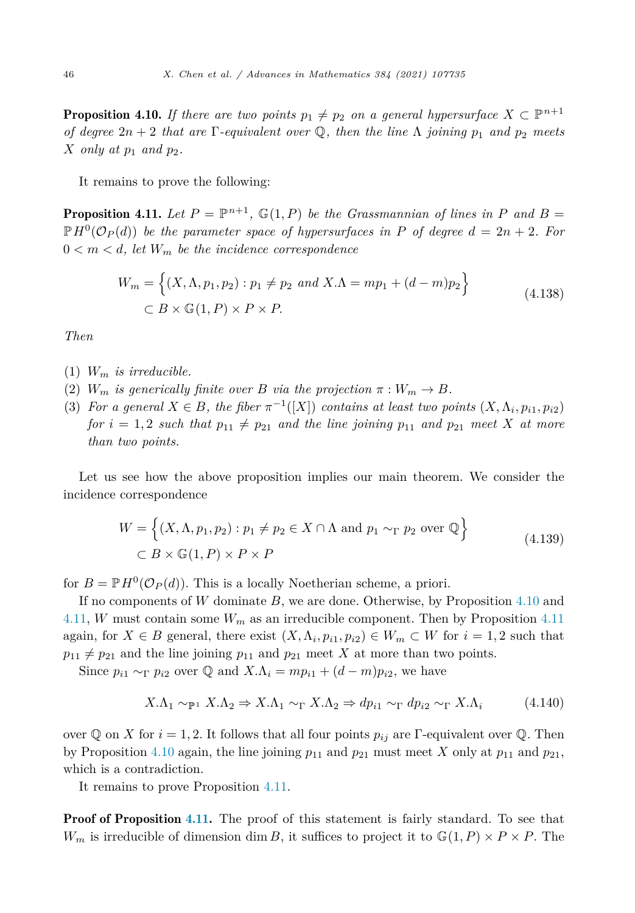<span id="page-45-0"></span>**Proposition 4.10.** *If there are two points*  $p_1 \neq p_2$  *on a general hypersurface*  $X \subset \mathbb{P}^{n+1}$ *of degree*  $2n + 2$  *that are*  $\Gamma$ *-equivalent over*  $\mathbb{Q}$ *, then the line*  $\Lambda$  *joining*  $p_1$  *and*  $p_2$  *meets X only at*  $p_1$  *and*  $p_2$ *.* 

It remains to prove the following:

**Proposition 4.11.** Let  $P = \mathbb{P}^{n+1}$ ,  $\mathbb{G}(1, P)$  be the *Grassmannian* of lines in P and B  $\mathbb{P}H^{0}(\mathcal{O}_{P}(d))$  *be the parameter space of hypersurfaces in P of degree*  $d = 2n + 2$ *. For*  $0 < m < d$ , let  $W_m$  be the incidence correspondence

$$
W_m = \left\{ (X, \Lambda, p_1, p_2) : p_1 \neq p_2 \text{ and } X.\Lambda = mp_1 + (d - m)p_2 \right\}
$$
  

$$
\subset B \times \mathbb{G}(1, P) \times P \times P.
$$
 (4.138)

*Then*

- $(1)$  *W<sub>m</sub> is irreducible.*
- (2)  $W_m$  *is generically finite over B via the projection*  $\pi : W_m \to B$ *.*
- (3) For a general  $X \in B$ , the fiber  $\pi^{-1}([X])$  contains at least two points  $(X, \Lambda_i, p_{i1}, p_{i2})$ *for*  $i = 1, 2$  *such that*  $p_{11} \neq p_{21}$  *and the line joining*  $p_{11}$  *and*  $p_{21}$  *meet X at more than two points.*

Let us see how the above proposition implies our main theorem. We consider the incidence correspondence

$$
W = \left\{ (X, \Lambda, p_1, p_2) : p_1 \neq p_2 \in X \cap \Lambda \text{ and } p_1 \sim_{\Gamma} p_2 \text{ over } \mathbb{Q} \right\}
$$
  

$$
\subset B \times \mathbb{G}(1, P) \times P \times P
$$
 (4.139)

for  $B = \mathbb{P}H^0(\mathcal{O}_P(d))$ . This is a locally Noetherian scheme, a priori.

If no components of *W* dominate *B*, we are done. Otherwise, by Proposition 4.10 and 4.11, *W* must contain some *W<sup>m</sup>* as an irreducible component. Then by Proposition 4.11 again, for  $X \in B$  general, there exist  $(X, \Lambda_i, p_{i1}, p_{i2}) \in W_m \subset W$  for  $i = 1, 2$  such that  $p_{11} \neq p_{21}$  and the line joining  $p_{11}$  and  $p_{21}$  meet *X* at more than two points.

Since  $p_{i1} \sim_{\Gamma} p_{i2}$  over  $\mathbb{Q}$  and  $X.\Lambda_i = mp_{i1} + (d-m)p_{i2}$ , we have

$$
X.\Lambda_1 \sim_{\mathbb{P}^1} X.\Lambda_2 \Rightarrow X.\Lambda_1 \sim_{\Gamma} X.\Lambda_2 \Rightarrow dp_{i1} \sim_{\Gamma} dp_{i2} \sim_{\Gamma} X.\Lambda_i \tag{4.140}
$$

over Q on *X* for  $i = 1, 2$ . It follows that all four points  $p_{ij}$  are Γ-equivalent over Q. Then by Proposition 4.10 again, the line joining  $p_{11}$  and  $p_{21}$  must meet X only at  $p_{11}$  and  $p_{21}$ , which is a contradiction.

It remains to prove Proposition 4.11.

**Proof of Proposition 4.11.** The proof of this statement is fairly standard. To see that *W<sub>m</sub>* is irreducible of dimension dim *B*, it suffices to project it to  $\mathbb{G}(1, P) \times P \times P$ . The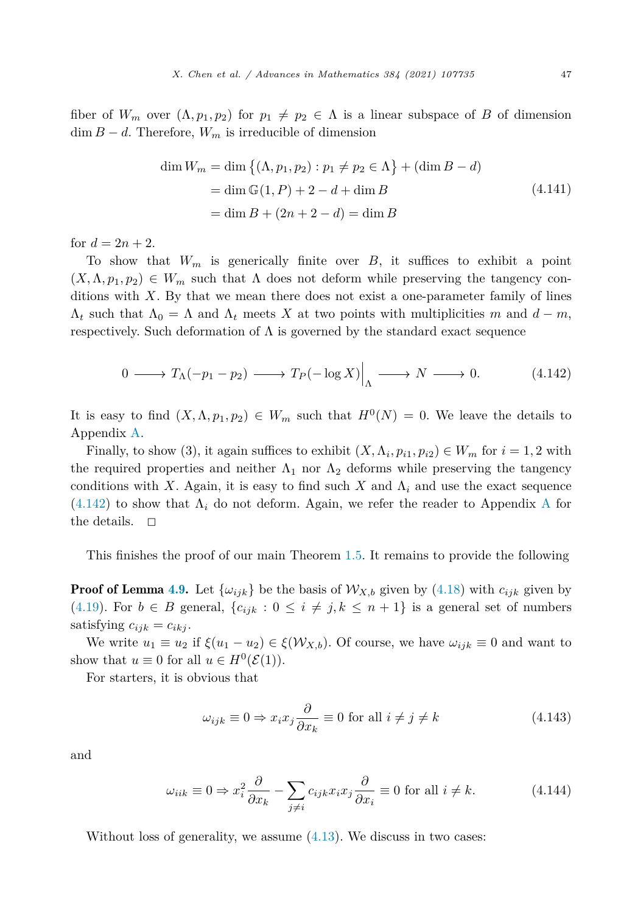<span id="page-46-0"></span>fiber of  $W_m$  over  $(\Lambda, p_1, p_2)$  for  $p_1 \neq p_2 \in \Lambda$  is a linear subspace of *B* of dimension  $\dim B - d$ . Therefore,  $W_m$  is irreducible of dimension

$$
\dim W_m = \dim \{ (\Lambda, p_1, p_2) : p_1 \neq p_2 \in \Lambda \} + (\dim B - d)
$$
  
= 
$$
\dim \mathbb{G}(1, P) + 2 - d + \dim B
$$
  
= 
$$
\dim B + (2n + 2 - d) = \dim B
$$
 (4.141)

for  $d = 2n + 2$ .

To show that  $W_m$  is generically finite over  $B$ , it suffices to exhibit a point  $(X, \Lambda, p_1, p_2) \in W_m$  such that  $\Lambda$  does not deform while preserving the tangency conditions with *X*. By that we mean there does not exist a one-parameter family of lines  $\Lambda_t$  such that  $\Lambda_0 = \Lambda$  and  $\Lambda_t$  meets X at two points with multiplicities m and  $d - m$ , respectively. Such deformation of  $\Lambda$  is governed by the standard exact sequence

$$
0 \longrightarrow T_{\Lambda}(-p_1 - p_2) \longrightarrow T_P(-\log X)\Big|_{\Lambda} \longrightarrow N \longrightarrow 0. \tag{4.142}
$$

It is easy to find  $(X, \Lambda, p_1, p_2) \in W_m$  such that  $H^0(N) = 0$ . We leave the details to Appendix [A.](#page-52-0)

Finally, to show (3), it again suffices to exhibit  $(X, \Lambda_i, p_{i1}, p_{i2}) \in W_m$  for  $i = 1, 2$  with the required properties and neither  $\Lambda_1$  nor  $\Lambda_2$  deforms while preserving the tangency conditions with *X*. Again, it is easy to find such *X* and  $\Lambda_i$  and use the exact sequence  $(4.142)$  to show that  $\Lambda_i$  do not deform. [A](#page-52-0)gain, we refer the reader to Appendix A for the details.  $\Box$ 

This finishes the proof of our main Theorem [1.5.](#page-2-0) It remains to provide the following

**Proof of Lemma [4.9.](#page-42-0)** Let  $\{\omega_{ijk}\}\$  be the basis of  $\mathcal{W}_{X,b}$  given by [\(4.18\)](#page-24-0) with  $c_{ijk}$  given by [\(4.19](#page-25-0)). For  $b \in B$  general,  $\{c_{ijk} : 0 \le i \ne j, k \le n+1\}$  is a general set of numbers satisfying  $c_{ijk} = c_{ikj}$ .

We write  $u_1 \equiv u_2$  if  $\xi(u_1 - u_2) \in \xi(\mathcal{W}_{X,b})$ . Of course, we have  $\omega_{ijk} \equiv 0$  and want to show that  $u \equiv 0$  for all  $u \in H^0(\mathcal{E}(1))$ .

For starters, it is obvious that

$$
\omega_{ijk} \equiv 0 \Rightarrow x_i x_j \frac{\partial}{\partial x_k} \equiv 0 \text{ for all } i \neq j \neq k \tag{4.143}
$$

and

$$
\omega_{iik} \equiv 0 \Rightarrow x_i^2 \frac{\partial}{\partial x_k} - \sum_{j \neq i} c_{ijk} x_i x_j \frac{\partial}{\partial x_i} \equiv 0 \text{ for all } i \neq k. \tag{4.144}
$$

Without loss of generality, we assume  $(4.13)$  $(4.13)$ . We discuss in two cases: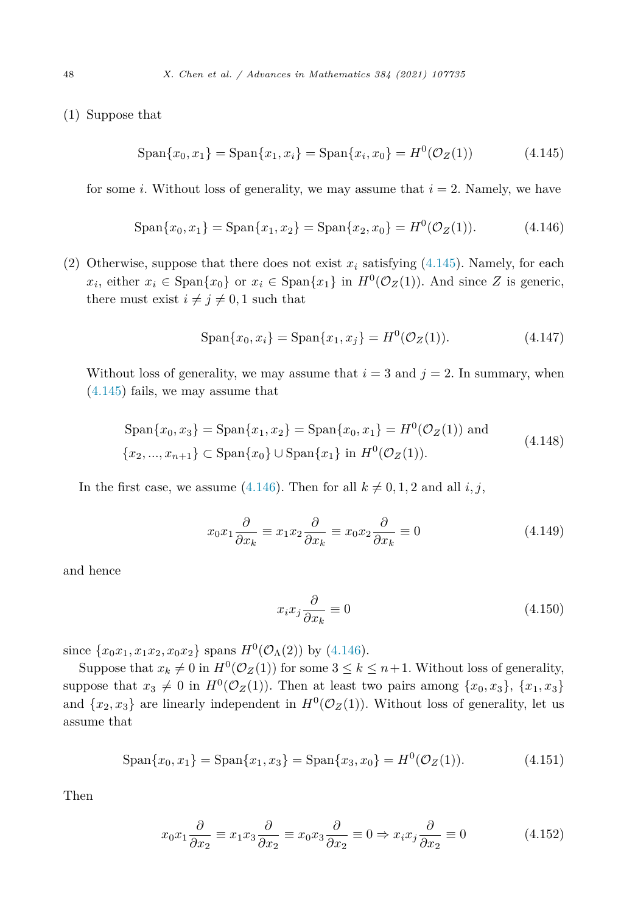<span id="page-47-0"></span>(1) Suppose that

$$
\text{Span}\{x_0, x_1\} = \text{Span}\{x_1, x_i\} = \text{Span}\{x_i, x_0\} = H^0(\mathcal{O}_Z(1))
$$
\n(4.145)

for some *i*. Without loss of generality, we may assume that  $i = 2$ . Namely, we have

$$
\text{Span}\{x_0, x_1\} = \text{Span}\{x_1, x_2\} = \text{Span}\{x_2, x_0\} = H^0(\mathcal{O}_Z(1)).\tag{4.146}
$$

(2) Otherwise, suppose that there does not exist  $x_i$  satisfying  $(4.145)$ . Namely, for each *x*<sub>*i*</sub>, either *x*<sub>*i*</sub> ∈ Span{*x*<sub>0</sub>} or *x*<sub>*i*</sub> ∈ Span{*x*<sub>1</sub>} in *H*<sup>0</sup>( $\mathcal{O}_Z(1)$ ). And since *Z* is generic, there must exist  $i \neq j \neq 0, 1$  such that

$$
\text{Span}\{x_0, x_i\} = \text{Span}\{x_1, x_j\} = H^0(\mathcal{O}_Z(1)).\tag{4.147}
$$

Without loss of generality, we may assume that  $i = 3$  and  $j = 2$ . In summary, when (4.145) fails, we may assume that

$$
\text{Span}\{x_0, x_3\} = \text{Span}\{x_1, x_2\} = \text{Span}\{x_0, x_1\} = H^0(\mathcal{O}_Z(1)) \text{ and}
$$
\n
$$
\{x_2, ..., x_{n+1}\} \subset \text{Span}\{x_0\} \cup \text{Span}\{x_1\} \text{ in } H^0(\mathcal{O}_Z(1)).
$$
\n(4.148)

In the first case, we assume (4.146). Then for all  $k \neq 0, 1, 2$  and all *i*, *j*,

$$
x_0 x_1 \frac{\partial}{\partial x_k} \equiv x_1 x_2 \frac{\partial}{\partial x_k} \equiv x_0 x_2 \frac{\partial}{\partial x_k} \equiv 0 \tag{4.149}
$$

and hence

$$
x_i x_j \frac{\partial}{\partial x_k} \equiv 0 \tag{4.150}
$$

since  $\{x_0x_1, x_1x_2, x_0x_2\}$  spans  $H^0(\mathcal{O}_\Lambda(2))$  by (4.146).

Suppose that  $x_k \neq 0$  in  $H^0(\mathcal{O}_Z(1))$  for some  $3 \leq k \leq n+1$ . Without loss of generality, suppose that  $x_3 \neq 0$  in  $H^0(\mathcal{O}_Z(1))$ . Then at least two pairs among  $\{x_0, x_3\}, \{x_1, x_3\}$ and  $\{x_2, x_3\}$  are linearly independent in  $H^0(\mathcal{O}_Z(1))$ . Without loss of generality, let us assume that

$$
\text{Span}\{x_0, x_1\} = \text{Span}\{x_1, x_3\} = \text{Span}\{x_3, x_0\} = H^0(\mathcal{O}_Z(1)).\tag{4.151}
$$

Then

$$
x_0 x_1 \frac{\partial}{\partial x_2} \equiv x_1 x_3 \frac{\partial}{\partial x_2} \equiv x_0 x_3 \frac{\partial}{\partial x_2} \equiv 0 \Rightarrow x_i x_j \frac{\partial}{\partial x_2} \equiv 0 \tag{4.152}
$$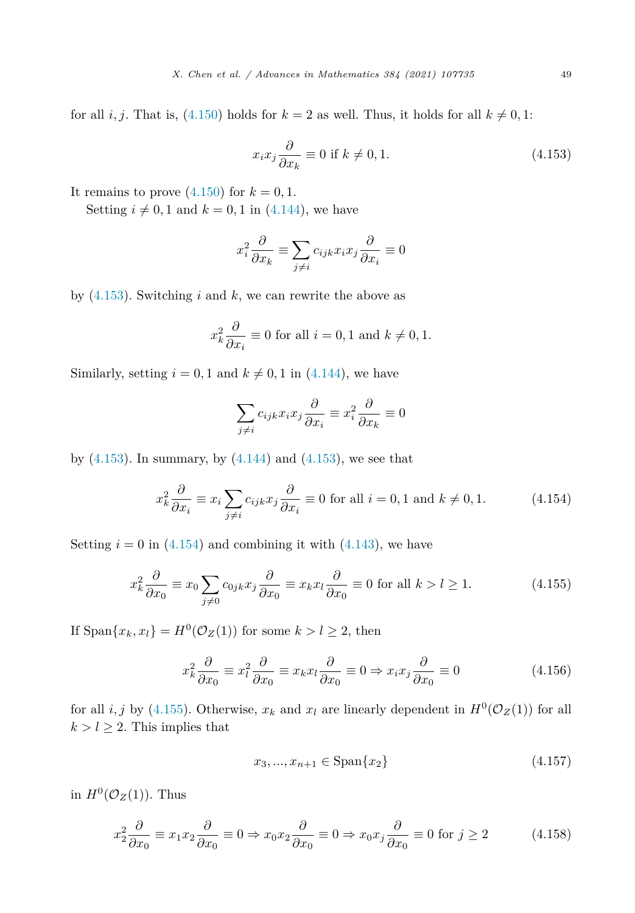<span id="page-48-0"></span>for all *i*, *j*. That is, ([4.150\)](#page-47-0) holds for  $k = 2$  as well. Thus, it holds for all  $k \neq 0, 1$ :

$$
x_i x_j \frac{\partial}{\partial x_k} \equiv 0 \text{ if } k \neq 0, 1. \tag{4.153}
$$

It remains to prove  $(4.150)$  $(4.150)$  $(4.150)$  for  $k = 0, 1$ .

Setting  $i \neq 0, 1$  and  $k = 0, 1$  in ([4.144\)](#page-46-0), we have

$$
x_i^2 \frac{\partial}{\partial x_k} \equiv \sum_{j \neq i} c_{ijk} x_i x_j \frac{\partial}{\partial x_i} \equiv 0
$$

by (4.153). Switching *i* and *k*, we can rewrite the above as

$$
x_k^2 \frac{\partial}{\partial x_i} \equiv 0 \text{ for all } i = 0, 1 \text{ and } k \neq 0, 1.
$$

Similarly, setting  $i = 0, 1$  and  $k \neq 0, 1$  in  $(4.144)$  $(4.144)$ , we have

$$
\sum_{j\neq i} c_{ijk} x_i x_j \frac{\partial}{\partial x_i} \equiv x_i^2 \frac{\partial}{\partial x_k} \equiv 0
$$

by  $(4.153)$ . In summary, by  $(4.144)$  $(4.144)$  and  $(4.153)$ , we see that

$$
x_k^2 \frac{\partial}{\partial x_i} \equiv x_i \sum_{j \neq i} c_{ijk} x_j \frac{\partial}{\partial x_i} \equiv 0 \text{ for all } i = 0, 1 \text{ and } k \neq 0, 1. \tag{4.154}
$$

Setting  $i = 0$  in (4.154) and combining it with ([4.143](#page-46-0)), we have

$$
x_k^2 \frac{\partial}{\partial x_0} \equiv x_0 \sum_{j \neq 0} c_{0jk} x_j \frac{\partial}{\partial x_0} \equiv x_k x_l \frac{\partial}{\partial x_0} \equiv 0 \text{ for all } k > l \ge 1.
$$
 (4.155)

If  $\text{Span}\{x_k, x_l\} = H^0(\mathcal{O}_Z(1))$  for some  $k > l \geq 2$ , then

$$
x_k^2 \frac{\partial}{\partial x_0} \equiv x_l^2 \frac{\partial}{\partial x_0} \equiv x_k x_l \frac{\partial}{\partial x_0} \equiv 0 \Rightarrow x_i x_j \frac{\partial}{\partial x_0} \equiv 0 \tag{4.156}
$$

for all *i, j* by (4.155). Otherwise,  $x_k$  and  $x_l$  are linearly dependent in  $H^0(\mathcal{O}_Z(1))$  for all  $k > l \geq 2$ . This implies that

$$
x_3, ..., x_{n+1} \in \text{Span}\{x_2\} \tag{4.157}
$$

in  $H^0(\mathcal{O}_Z(1))$ . Thus

$$
x_2^2 \frac{\partial}{\partial x_0} \equiv x_1 x_2 \frac{\partial}{\partial x_0} \equiv 0 \Rightarrow x_0 x_2 \frac{\partial}{\partial x_0} \equiv 0 \Rightarrow x_0 x_j \frac{\partial}{\partial x_0} \equiv 0 \text{ for } j \ge 2 \tag{4.158}
$$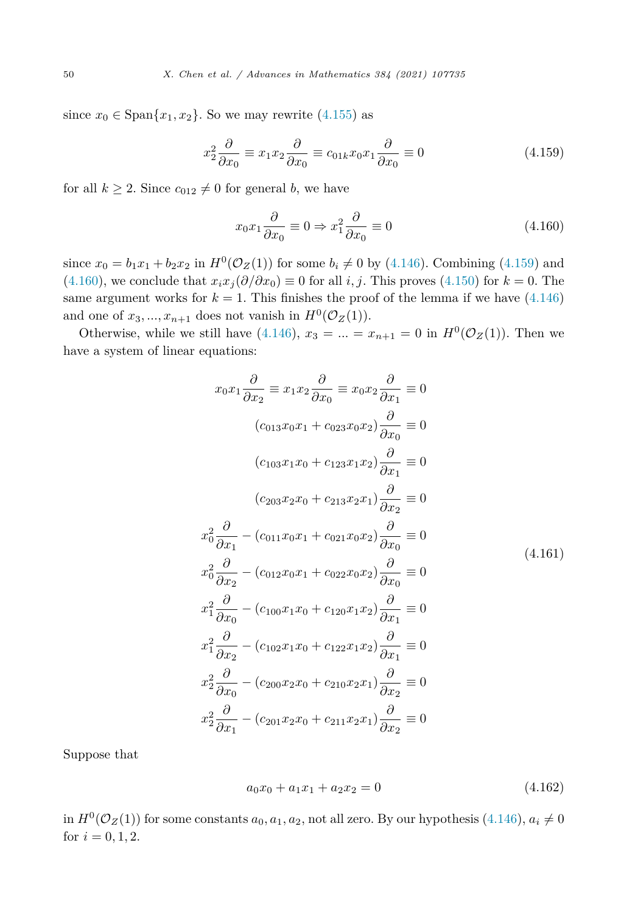<span id="page-49-0"></span>since  $x_0 \in \text{Span}\{x_1, x_2\}$ . So we may rewrite [\(4.155](#page-48-0)) as

$$
x_2^2 \frac{\partial}{\partial x_0} \equiv x_1 x_2 \frac{\partial}{\partial x_0} \equiv c_{01k} x_0 x_1 \frac{\partial}{\partial x_0} \equiv 0 \tag{4.159}
$$

for all  $k \geq 2$ . Since  $c_{012} \neq 0$  for general *b*, we have

$$
x_0 x_1 \frac{\partial}{\partial x_0} \equiv 0 \Rightarrow x_1^2 \frac{\partial}{\partial x_0} \equiv 0 \tag{4.160}
$$

since  $x_0 = b_1x_1 + b_2x_2$  in  $H^0(\mathcal{O}_Z(1))$  for some  $b_i \neq 0$  by [\(4.146](#page-47-0)). Combining (4.159) and (4.160), we conclude that  $x_i x_j (\partial/\partial x_0) \equiv 0$  for all *i*, *j*. This proves [\(4.150\)](#page-47-0) for  $k = 0$ . The same argument works for  $k = 1$ . This finishes the proof of the lemma if we have  $(4.146)$  $(4.146)$ and one of  $x_3, \ldots, x_{n+1}$  does not vanish in  $H^0(\mathcal{O}_Z(1))$ .

Otherwise, while we still have [\(4.146](#page-47-0)),  $x_3 = ... = x_{n+1} = 0$  in  $H^0(\mathcal{O}_Z(1))$ . Then we have a system of linear equations:

$$
x_0x_1\frac{\partial}{\partial x_2} \equiv x_1x_2\frac{\partial}{\partial x_0} \equiv x_0x_2\frac{\partial}{\partial x_1} \equiv 0
$$
  
\n
$$
(c_{013}x_0x_1 + c_{023}x_0x_2)\frac{\partial}{\partial x_0} \equiv 0
$$
  
\n
$$
(c_{103}x_1x_0 + c_{123}x_1x_2)\frac{\partial}{\partial x_1} \equiv 0
$$
  
\n
$$
(c_{203}x_2x_0 + c_{213}x_2x_1)\frac{\partial}{\partial x_2} \equiv 0
$$
  
\n
$$
x_0^2\frac{\partial}{\partial x_1} - (c_{011}x_0x_1 + c_{021}x_0x_2)\frac{\partial}{\partial x_0} \equiv 0
$$
  
\n
$$
x_0^2\frac{\partial}{\partial x_2} - (c_{012}x_0x_1 + c_{022}x_0x_2)\frac{\partial}{\partial x_0} \equiv 0
$$
  
\n
$$
x_1^2\frac{\partial}{\partial x_0} - (c_{100}x_1x_0 + c_{120}x_1x_2)\frac{\partial}{\partial x_1} \equiv 0
$$
  
\n
$$
x_1^2\frac{\partial}{\partial x_2} - (c_{102}x_1x_0 + c_{122}x_1x_2)\frac{\partial}{\partial x_1} \equiv 0
$$
  
\n
$$
x_2^2\frac{\partial}{\partial x_0} - (c_{200}x_2x_0 + c_{210}x_2x_1)\frac{\partial}{\partial x_2} \equiv 0
$$
  
\n
$$
x_2^2\frac{\partial}{\partial x_1} - (c_{201}x_2x_0 + c_{211}x_2x_1)\frac{\partial}{\partial x_2} \equiv 0
$$

Suppose that

$$
a_0x_0 + a_1x_1 + a_2x_2 = 0 \tag{4.162}
$$

in  $H^0(\mathcal{O}_Z(1))$  for some constants  $a_0, a_1, a_2$ , not all zero. By our hypothesis [\(4.146](#page-47-0)),  $a_i \neq 0$ for  $i = 0, 1, 2$ .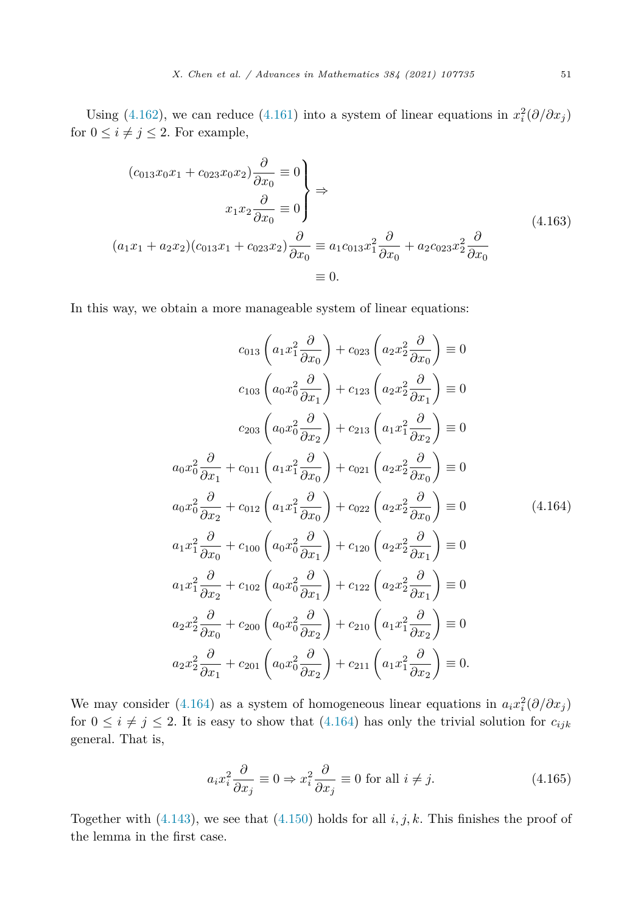Using ([4.162\)](#page-49-0), we can reduce ([4.161\)](#page-49-0) into a system of linear equations in  $x_i^2(\partial/\partial x_j)$ for  $0 \leq i \neq j \leq 2$ . For example,

$$
(c_{013}x_0x_1 + c_{023}x_0x_2)\frac{\partial}{\partial x_0} \equiv 0
$$
  

$$
x_1x_2\frac{\partial}{\partial x_0} \equiv 0
$$
  

$$
(a_1x_1 + a_2x_2)(c_{013}x_1 + c_{023}x_2)\frac{\partial}{\partial x_0} \equiv a_1c_{013}x_1^2\frac{\partial}{\partial x_0} + a_2c_{023}x_2^2\frac{\partial}{\partial x_0}
$$
  

$$
\equiv 0.
$$
 (4.163)

In this way, we obtain a more manageable system of linear equations:

$$
c_{013}\left(a_1x_1^2\frac{\partial}{\partial x_0}\right)+c_{023}\left(a_2x_2^2\frac{\partial}{\partial x_0}\right)\equiv 0
$$
  

$$
c_{103}\left(a_0x_0^2\frac{\partial}{\partial x_1}\right)+c_{123}\left(a_2x_2^2\frac{\partial}{\partial x_1}\right)\equiv 0
$$
  

$$
c_{203}\left(a_0x_0^2\frac{\partial}{\partial x_2}\right)+c_{213}\left(a_1x_1^2\frac{\partial}{\partial x_2}\right)\equiv 0
$$
  

$$
a_0x_0^2\frac{\partial}{\partial x_1}+c_{011}\left(a_1x_1^2\frac{\partial}{\partial x_0}\right)+c_{021}\left(a_2x_2^2\frac{\partial}{\partial x_0}\right)\equiv 0
$$
  

$$
a_0x_0^2\frac{\partial}{\partial x_2}+c_{012}\left(a_1x_1^2\frac{\partial}{\partial x_0}\right)+c_{022}\left(a_2x_2^2\frac{\partial}{\partial x_0}\right)\equiv 0
$$
  

$$
a_1x_1^2\frac{\partial}{\partial x_0}+c_{100}\left(a_0x_0^2\frac{\partial}{\partial x_1}\right)+c_{120}\left(a_2x_2^2\frac{\partial}{\partial x_1}\right)\equiv 0
$$
  

$$
a_1x_1^2\frac{\partial}{\partial x_2}+c_{102}\left(a_0x_0^2\frac{\partial}{\partial x_1}\right)+c_{122}\left(a_2x_2^2\frac{\partial}{\partial x_1}\right)\equiv 0
$$
  

$$
a_2x_2^2\frac{\partial}{\partial x_0}+c_{200}\left(a_0x_0^2\frac{\partial}{\partial x_2}\right)+c_{210}\left(a_1x_1^2\frac{\partial}{\partial x_2}\right)\equiv 0
$$
  

$$
a_2x_2^2\frac{\partial}{\partial x_1}+c_{201}\left(a_0x_0^2\frac{\partial}{\partial x_2}\right)+c_{211}\left(a_1x_1^2\frac{\partial}{\partial x_2}\right)\equiv 0.
$$

We may consider (4.164) as a system of homogeneous linear equations in  $a_i x_i^2 (\partial/\partial x_j)$ for  $0 \le i \ne j \le 2$ . It is easy to show that (4.164) has only the trivial solution for  $c_{ijk}$ general. That is,

$$
a_i x_i^2 \frac{\partial}{\partial x_j} \equiv 0 \Rightarrow x_i^2 \frac{\partial}{\partial x_j} \equiv 0 \text{ for all } i \neq j.
$$
 (4.165)

Together with  $(4.143)$  $(4.143)$ , we see that  $(4.150)$  holds for all  $i, j, k$ . This finishes the proof of the lemma in the first case.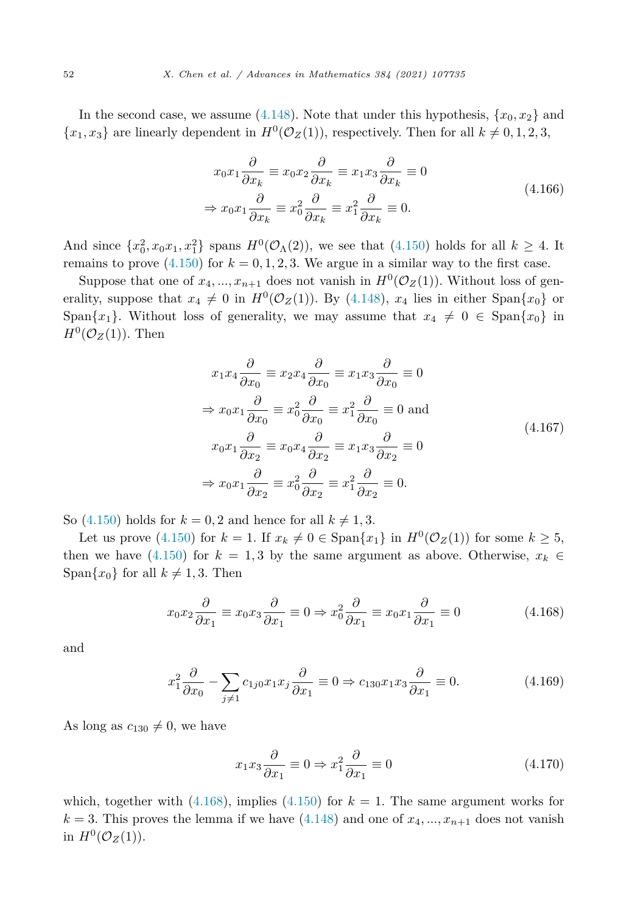In the second case, we assume  $(4.148)$  $(4.148)$ . Note that under this hypothesis,  $\{x_0, x_2\}$  and  ${x_1, x_3}$  are linearly dependent in  $H^0(\mathcal{O}_Z(1))$ , respectively. Then for all  $k \neq 0, 1, 2, 3$ ,

$$
x_0 x_1 \frac{\partial}{\partial x_k} \equiv x_0 x_2 \frac{\partial}{\partial x_k} \equiv x_1 x_3 \frac{\partial}{\partial x_k} \equiv 0
$$
  

$$
\Rightarrow x_0 x_1 \frac{\partial}{\partial x_k} \equiv x_0^2 \frac{\partial}{\partial x_k} \equiv x_1^2 \frac{\partial}{\partial x_k} \equiv 0.
$$
 (4.166)

And since  $\{x_0^2, x_0x_1, x_1^2\}$  spans  $H^0(\mathcal{O}_\Lambda(2))$ , we see that [\(4.150](#page-47-0)) holds for all  $k \geq 4$ . It remains to prove  $(4.150)$  $(4.150)$  for  $k = 0, 1, 2, 3$ . We argue in a similar way to the first case.

Suppose that one of  $x_4, ..., x_{n+1}$  does not vanish in  $H^0(\mathcal{O}_Z(1))$ . Without loss of generality, suppose that  $x_4 \neq 0$  in  $H^0(\mathcal{O}_Z(1))$ . By [\(4.148\)](#page-47-0),  $x_4$  lies in either Span $\{x_0\}$  or Span ${x_1}$ . Without loss of generality, we may assume that  $x_4 \neq 0 \in Span\{x_0\}$  in  $H^0(\mathcal{O}_Z(1))$ . Then

$$
x_1 x_4 \frac{\partial}{\partial x_0} \equiv x_2 x_4 \frac{\partial}{\partial x_0} \equiv x_1 x_3 \frac{\partial}{\partial x_0} \equiv 0
$$
  
\n
$$
\Rightarrow x_0 x_1 \frac{\partial}{\partial x_0} \equiv x_0^2 \frac{\partial}{\partial x_0} \equiv x_1^2 \frac{\partial}{\partial x_0} \equiv 0 \text{ and}
$$
  
\n
$$
x_0 x_1 \frac{\partial}{\partial x_2} \equiv x_0 x_4 \frac{\partial}{\partial x_2} \equiv x_1 x_3 \frac{\partial}{\partial x_2} \equiv 0
$$
  
\n
$$
\Rightarrow x_0 x_1 \frac{\partial}{\partial x_2} \equiv x_0^2 \frac{\partial}{\partial x_2} \equiv x_1^2 \frac{\partial}{\partial x_2} \equiv 0.
$$
  
\n(4.167)

So  $(4.150)$  $(4.150)$  $(4.150)$  holds for  $k = 0, 2$  and hence for all  $k \neq 1, 3$ .

Let us prove [\(4.150](#page-47-0)) for  $k = 1$ . If  $x_k \neq 0 \in \text{Span}\{x_1\}$  in  $H^0(\mathcal{O}_Z(1))$  for some  $k \geq 5$ , then we have ([4.150\)](#page-47-0) for  $k = 1,3$  by the same argument as above. Otherwise,  $x_k \in$  $\text{Span}\{x_0\}$  for all  $k \neq 1, 3$ . Then

$$
x_0 x_2 \frac{\partial}{\partial x_1} \equiv x_0 x_3 \frac{\partial}{\partial x_1} \equiv 0 \Rightarrow x_0^2 \frac{\partial}{\partial x_1} \equiv x_0 x_1 \frac{\partial}{\partial x_1} \equiv 0 \tag{4.168}
$$

and

$$
x_1^2 \frac{\partial}{\partial x_0} - \sum_{j \neq 1} c_{1j0} x_1 x_j \frac{\partial}{\partial x_1} \equiv 0 \Rightarrow c_{130} x_1 x_3 \frac{\partial}{\partial x_1} \equiv 0. \tag{4.169}
$$

As long as  $c_{130} \neq 0$ , we have

$$
x_1 x_3 \frac{\partial}{\partial x_1} \equiv 0 \Rightarrow x_1^2 \frac{\partial}{\partial x_1} \equiv 0 \tag{4.170}
$$

which, together with  $(4.168)$ , implies  $(4.150)$  $(4.150)$  $(4.150)$  for  $k = 1$ . The same argument works for  $k = 3$ . This proves the lemma if we have  $(4.148)$  $(4.148)$  and one of  $x_4, \ldots, x_{n+1}$  does not vanish in  $H^0(\mathcal{O}_Z(1))$ .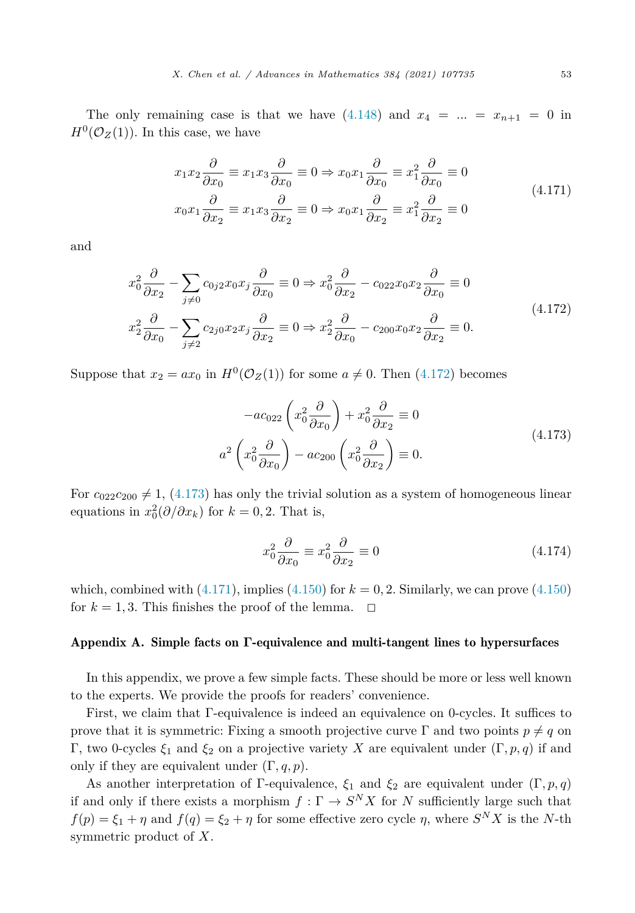<span id="page-52-0"></span>The only remaining case is that we have  $(4.148)$  $(4.148)$  $(4.148)$  and  $x_4 = ... = x_{n+1} = 0$  in  $H^0(\mathcal{O}_Z(1))$ . In this case, we have

$$
x_1 x_2 \frac{\partial}{\partial x_0} \equiv x_1 x_3 \frac{\partial}{\partial x_0} \equiv 0 \Rightarrow x_0 x_1 \frac{\partial}{\partial x_0} \equiv x_1^2 \frac{\partial}{\partial x_0} \equiv 0
$$
  

$$
x_0 x_1 \frac{\partial}{\partial x_2} \equiv x_1 x_3 \frac{\partial}{\partial x_2} \equiv 0 \Rightarrow x_0 x_1 \frac{\partial}{\partial x_2} \equiv x_1^2 \frac{\partial}{\partial x_2} \equiv 0
$$
 (4.171)

and

$$
x_0^2 \frac{\partial}{\partial x_2} - \sum_{j \neq 0} c_{0j2} x_0 x_j \frac{\partial}{\partial x_0} \equiv 0 \Rightarrow x_0^2 \frac{\partial}{\partial x_2} - c_{022} x_0 x_2 \frac{\partial}{\partial x_0} \equiv 0
$$
  

$$
x_2^2 \frac{\partial}{\partial x_0} - \sum_{j \neq 2} c_{2j0} x_2 x_j \frac{\partial}{\partial x_2} \equiv 0 \Rightarrow x_2^2 \frac{\partial}{\partial x_0} - c_{200} x_0 x_2 \frac{\partial}{\partial x_2} \equiv 0.
$$
 (4.172)

Suppose that  $x_2 = ax_0$  in  $H^0(\mathcal{O}_Z(1))$  for some  $a \neq 0$ . Then (4.172) becomes

$$
-ac_{022}\left(x_0^2\frac{\partial}{\partial x_0}\right) + x_0^2\frac{\partial}{\partial x_2} \equiv 0
$$
  

$$
a^2\left(x_0^2\frac{\partial}{\partial x_0}\right) - ac_{200}\left(x_0^2\frac{\partial}{\partial x_2}\right) \equiv 0.
$$
 (4.173)

For  $c_{022}c_{200} \neq 1$ , (4.173) has only the trivial solution as a system of homogeneous linear equations in  $x_0^2(\partial/\partial x_k)$  for  $k = 0, 2$ . That is,

$$
x_0^2 \frac{\partial}{\partial x_0} \equiv x_0^2 \frac{\partial}{\partial x_2} \equiv 0 \tag{4.174}
$$

which, combined with  $(4.171)$ , implies  $(4.150)$  $(4.150)$  for  $k = 0, 2$ . Similarly, we can prove  $(4.150)$ for  $k = 1, 3$ . This finishes the proof of the lemma.  $\Box$ 

#### Appendix A. Simple facts on **Γ**-equivalence and multi-tangent lines to hypersurfaces

In this appendix, we prove a few simple facts. These should be more or less well known to the experts. We provide the proofs for readers' convenience.

First, we claim that Γ-equivalence is indeed an equivalence on 0-cycles. It suffices to prove that it is symmetric: Fixing a smooth projective curve  $\Gamma$  and two points  $p \neq q$  on Γ, two 0-cycles *ξ*<sup>1</sup> and *ξ*<sup>2</sup> on a projective variety *X* are equivalent under (Γ*, p, q*) if and only if they are equivalent under  $(\Gamma, q, p)$ .

As another interpretation of Γ-equivalence,  $\xi_1$  and  $\xi_2$  are equivalent under  $(\Gamma, p, q)$ if and only if there exists a morphism  $f : \Gamma \to S^N X$  for *N* sufficiently large such that  $f(p) = \xi_1 + \eta$  and  $f(q) = \xi_2 + \eta$  for some effective zero cycle  $\eta$ , where  $S^N X$  is the *N*-th symmetric product of *X*.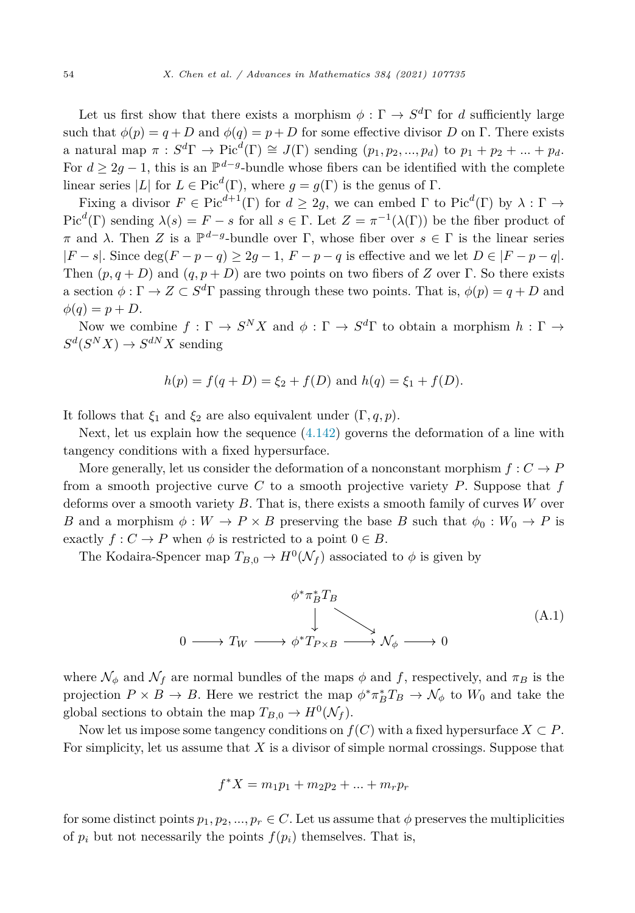<span id="page-53-0"></span>Let us first show that there exists a morphism  $\phi : \Gamma \to S^d \Gamma$  for *d* sufficiently large such that  $\phi(p) = q + D$  and  $\phi(q) = p + D$  for some effective divisor *D* on Γ. There exists a natural map  $\pi : S^d\Gamma \to \text{Pic}^d(\Gamma) \cong J(\Gamma)$  sending  $(p_1, p_2, ..., p_d)$  to  $p_1 + p_2 + ... + p_d$ . For  $d > 2q - 1$ , this is an  $\mathbb{P}^{d-g}$ -bundle whose fibers can be identified with the complete linear series  $|L|$  for  $L \in Pic^d(\Gamma)$ , where  $g = g(\Gamma)$  is the genus of  $\Gamma$ .

Fixing a divisor  $F \in Pic^{d+1}(\Gamma)$  for  $d \geq 2g$ , we can embed  $\Gamma$  to Pic<sup>d</sup>(Γ) by  $\lambda : \Gamma \to$ Pic<sup>*d*</sup>(Γ) sending  $\lambda(s) = F - s$  for all  $s \in \Gamma$ . Let  $Z = \pi^{-1}(\lambda(\Gamma))$  be the fiber product of *π* and *λ*. Then *Z* is a  $\mathbb{P}^{d-g}$ -bundle over Γ, whose fiber over *s* ∈ Γ is the linear series |*F* − *s*|. Since deg(*F* − *p* − *q*) ≥ 2*g* − 1, *F* − *p* − *q* is effective and we let *D* ∈ |*F* − *p* − *q*|. Then  $(p, q + D)$  and  $(q, p + D)$  are two points on two fibers of *Z* over Γ. So there exists a section  $\phi : \Gamma \to Z \subset S^d\Gamma$  passing through these two points. That is,  $\phi(p) = q + D$  and  $\phi(q) = p + D$ .

Now we combine  $f : \Gamma \to S^N X$  and  $\phi : \Gamma \to S^d \Gamma$  to obtain a morphism  $h : \Gamma \to$  $S^d(S^NX) \to S^{dN}X$  sending

$$
h(p) = f(q + D) = \xi_2 + f(D) \text{ and } h(q) = \xi_1 + f(D).
$$

It follows that  $\xi_1$  and  $\xi_2$  are also equivalent under  $(\Gamma, q, p)$ .

Next, let us explain how the sequence  $(4.142)$  $(4.142)$  governs the deformation of a line with tangency conditions with a fixed hypersurface.

More generally, let us consider the deformation of a nonconstant morphism  $f: C \to P$ from a smooth projective curve *C* to a smooth projective variety *P*. Suppose that *f* deforms over a smooth variety *B*. That is, there exists a smooth family of curves *W* over *B* and a morphism  $\phi: W \to P \times B$  preserving the base *B* such that  $\phi_0: W_0 \to P$  is exactly  $f: C \to P$  when  $\phi$  is restricted to a point  $0 \in B$ .

The Kodaira-Spencer map  $T_{B,0} \to H^0(\mathcal{N}_f)$  associated to  $\phi$  is given by

$$
\phi^* \pi_B^* T_B
$$
\n
$$
\downarrow
$$
\n
$$
0 \longrightarrow T_W \longrightarrow \phi^* T_{P \times B} \longrightarrow \mathcal{N}_{\phi} \longrightarrow 0
$$
\n(A.1)

where  $\mathcal{N}_{\phi}$  and  $\mathcal{N}_f$  are normal bundles of the maps  $\phi$  and f, respectively, and  $\pi_B$  is the projection  $P \times B \to B$ . Here we restrict the map  $\phi^* \pi_B^* T_B \to \mathcal{N}_{\phi}$  to  $W_0$  and take the global sections to obtain the map  $T_{B,0} \to H^0(\mathcal{N}_f)$ .

Now let us impose some tangency conditions on  $f(C)$  with a fixed hypersurface  $X \subset P$ . For simplicity, let us assume that *X* is a divisor of simple normal crossings. Suppose that

$$
f^*X = m_1p_1 + m_2p_2 + \dots + m_rp_r
$$

for some distinct points  $p_1, p_2, ..., p_r \in C$ . Let us assume that  $\phi$  preserves the multiplicities of  $p_i$  but not necessarily the points  $f(p_i)$  themselves. That is,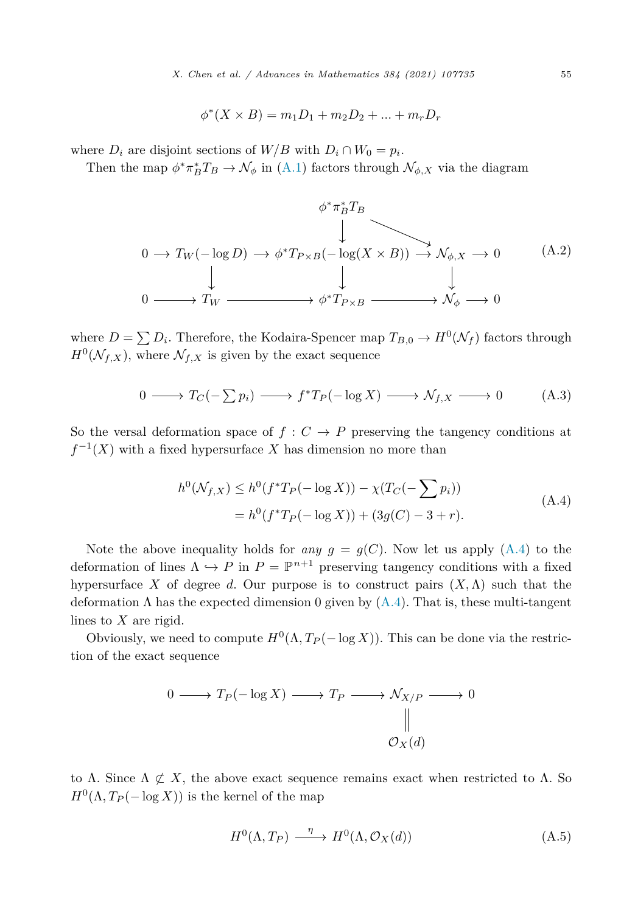$$
\phi^*(X \times B) = m_1 D_1 + m_2 D_2 + \dots + m_r D_r
$$

<span id="page-54-0"></span>where  $D_i$  are disjoint sections of  $W/B$  with  $D_i \cap W_0 = p_i$ .

Then the map  $\phi^* \pi_B^* T_B \to \mathcal{N}_{\phi}$  in ([A.1\)](#page-53-0) factors through  $\mathcal{N}_{\phi,X}$  via the diagram

$$
\phi^* \pi_B^* T_B
$$
\n
$$
\downarrow
$$
\n
$$
0 \to T_W(-\log D) \to \phi^* T_{P \times B}(-\log(X \times B)) \to \mathcal{N}_{\phi, X} \to 0
$$
\n
$$
\downarrow \qquad \qquad \downarrow
$$
\n
$$
0 \longrightarrow T_W \longrightarrow \phi^* T_{P \times B} \longrightarrow \mathcal{N}_{\phi} \longrightarrow 0
$$
\n(A.2)

where  $D = \sum D_i$ . Therefore, the Kodaira-Spencer map  $T_{B,0} \to H^0(\mathcal{N}_f)$  factors through  $H^0(\mathcal{N}_{f,X})$ , where  $\mathcal{N}_{f,X}$  is given by the exact sequence

$$
0 \longrightarrow T_C(-\sum p_i) \longrightarrow f^*T_P(-\log X) \longrightarrow \mathcal{N}_{f,X} \longrightarrow 0 \tag{A.3}
$$

So the versal deformation space of  $f : C \to P$  preserving the tangency conditions at  $f^{-1}(X)$  with a fixed hypersurface *X* has dimension no more than

$$
h^{0}(\mathcal{N}_{f,X}) \leq h^{0}(f^{*}T_{P}(-\log X)) - \chi(T_{C}(-\sum p_{i}))
$$
  
= 
$$
h^{0}(f^{*}T_{P}(-\log X)) + (3g(C) - 3 + r).
$$
 (A.4)

Note the above inequality holds for *any*  $q = q(C)$ . Now let us apply (A.4) to the deformation of lines  $\Lambda \hookrightarrow P$  in  $P = \mathbb{P}^{n+1}$  preserving tangency conditions with a fixed hypersurface *X* of degree *d*. Our purpose is to construct pairs  $(X, \Lambda)$  such that the deformation  $\Lambda$  has the expected dimension 0 given by  $(A.4)$ . That is, these multi-tangent lines to *X* are rigid.

Obviously, we need to compute  $H^0(\Lambda, T_P(-\log X))$ . This can be done via the restriction of the exact sequence

$$
0 \longrightarrow T_P(-\log X) \longrightarrow T_P \longrightarrow \mathcal{N}_{X/P} \longrightarrow 0
$$
  
 
$$
\parallel
$$
  
 
$$
\mathcal{O}_X(d)
$$

to Λ. Since  $\Lambda \not\subset X$ , the above exact sequence remains exact when restricted to Λ. So  $H^{0}(\Lambda, T_{P}(-\log X))$  is the kernel of the map

$$
H^{0}(\Lambda, T_{P}) \xrightarrow{\eta} H^{0}(\Lambda, \mathcal{O}_{X}(d))
$$
\n(A.5)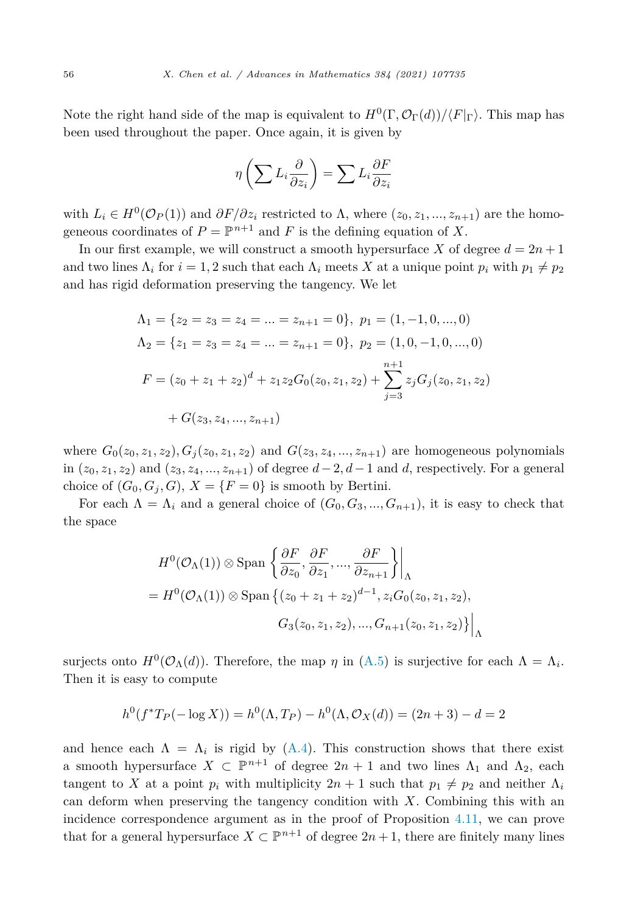Note the right hand side of the map is equivalent to  $H^0(\Gamma, \mathcal{O}_{\Gamma}(d))/\langle F|_{\Gamma}$ . This map has been used throughout the paper. Once again, it is given by

$$
\eta\left(\sum L_i \frac{\partial}{\partial z_i}\right) = \sum L_i \frac{\partial F}{\partial z_i}
$$

with  $L_i \in H^0(\mathcal{O}_P(1))$  and  $\partial F/\partial z_i$  restricted to  $\Lambda$ , where  $(z_0, z_1, ..., z_{n+1})$  are the homogeneous coordinates of  $P = \mathbb{P}^{n+1}$  and *F* is the defining equation of *X*.

In our first example, we will construct a smooth hypersurface *X* of degree  $d = 2n + 1$ and two lines  $\Lambda_i$  for  $i = 1, 2$  such that each  $\Lambda_i$  meets X at a unique point  $p_i$  with  $p_1 \neq p_2$ and has rigid deformation preserving the tangency. We let

$$
\Lambda_1 = \{ z_2 = z_3 = z_4 = \dots = z_{n+1} = 0 \}, \ p_1 = (1, -1, 0, \dots, 0)
$$
  
\n
$$
\Lambda_2 = \{ z_1 = z_3 = z_4 = \dots = z_{n+1} = 0 \}, \ p_2 = (1, 0, -1, 0, \dots, 0)
$$
  
\n
$$
F = (z_0 + z_1 + z_2)^d + z_1 z_2 G_0(z_0, z_1, z_2) + \sum_{j=3}^{n+1} z_j G_j(z_0, z_1, z_2)
$$
  
\n
$$
+ G(z_3, z_4, \dots, z_{n+1})
$$

where  $G_0(z_0, z_1, z_2), G_1(z_0, z_1, z_2)$  and  $G(z_3, z_4, ..., z_{n+1})$  are homogeneous polynomials in  $(z_0, z_1, z_2)$  and  $(z_3, z_4, \ldots, z_{n+1})$  of degree  $d-2, d-1$  and  $d$ , respectively. For a general choice of  $(G_0, G_j, G)$ ,  $X = \{F = 0\}$  is smooth by Bertini.

For each  $\Lambda = \Lambda_i$  and a general choice of  $(G_0, G_3, ..., G_{n+1})$ , it is easy to check that the space

$$
H^{0}(\mathcal{O}_{\Lambda}(1)) \otimes \text{Span}\left\{\frac{\partial F}{\partial z_{0}}, \frac{\partial F}{\partial z_{1}}, \dots, \frac{\partial F}{\partial z_{n+1}}\right\} \Big|_{\Lambda}
$$
  
=  $H^{0}(\mathcal{O}_{\Lambda}(1)) \otimes \text{Span}\left\{(z_{0} + z_{1} + z_{2})^{d-1}, z_{i}G_{0}(z_{0}, z_{1}, z_{2}), G_{3}(z_{0}, z_{1}, z_{2}), \dots, G_{n+1}(z_{0}, z_{1}, z_{2})\right\} \Big|_{\Lambda}$ 

surjects onto  $H^0(\mathcal{O}_\Lambda(d))$ . Therefore, the map *η* in [\(A.5\)](#page-54-0) is surjective for each  $\Lambda = \Lambda_i$ . Then it is easy to compute

$$
h^{0}(f^{*}T_{P}(-\log X)) = h^{0}(\Lambda, T_{P}) - h^{0}(\Lambda, \mathcal{O}_{X}(d)) = (2n + 3) - d = 2
$$

and hence each  $\Lambda = \Lambda_i$  is rigid by [\(A.4](#page-54-0)). This construction shows that there exist a smooth hypersurface  $X \subset \mathbb{P}^{n+1}$  of degree  $2n+1$  and two lines  $\Lambda_1$  and  $\Lambda_2$ , each tangent to *X* at a point  $p_i$  with multiplicity  $2n + 1$  such that  $p_1 \neq p_2$  and neither  $\Lambda_i$ can deform when preserving the tangency condition with *X*. Combining this with an incidence correspondence argument as in the proof of Proposition [4.11,](#page-45-0) we can prove that for a general hypersurface  $X \subset \mathbb{P}^{n+1}$  of degree  $2n+1$ , there are finitely many lines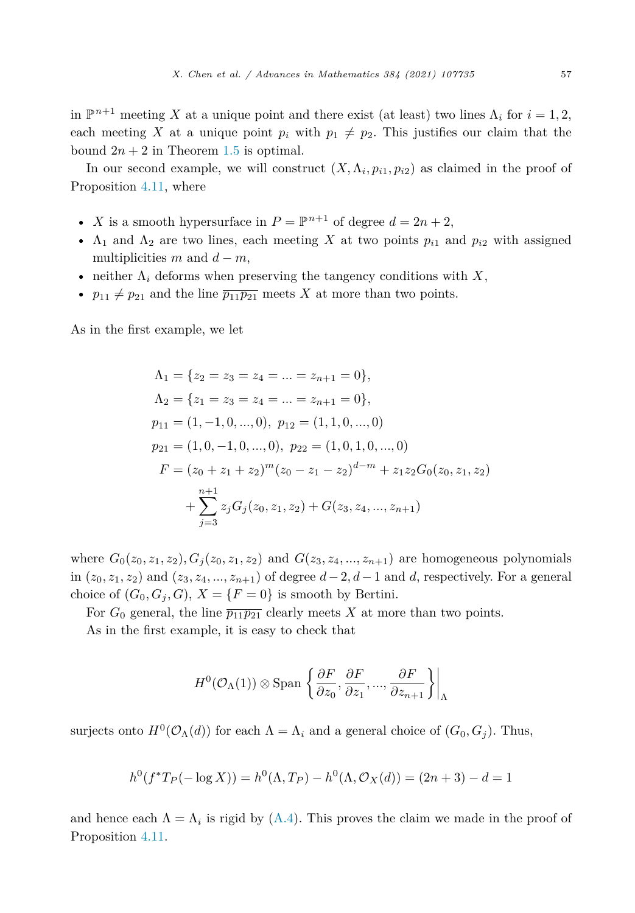in  $\mathbb{P}^{n+1}$  meeting *X* at a unique point and there exist (at least) two lines  $\Lambda_i$  for  $i = 1, 2$ , each meeting X at a unique point  $p_i$  with  $p_1 \neq p_2$ . This justifies our claim that the bound  $2n + 2$  in Theorem [1.5](#page-2-0) is optimal.

In our second example, we will construct  $(X, \Lambda_i, p_{i1}, p_{i2})$  as claimed in the proof of Proposition [4.11](#page-45-0), where

- *X* is a smooth hypersurface in  $P = \mathbb{P}^{n+1}$  of degree  $d = 2n + 2$ ,
- $\Lambda_1$  and  $\Lambda_2$  are two lines, each meeting *X* at two points  $p_{i1}$  and  $p_{i2}$  with assigned multiplicities  $m$  and  $d - m$ ,
- neither  $\Lambda_i$  deforms when preserving the tangency conditions with  $X$ ,
- $p_{11} \neq p_{21}$  and the line  $\overline{p_{11}p_{21}}$  meets X at more than two points.

As in the first example, we let

$$
\Lambda_1 = \{ z_2 = z_3 = z_4 = \dots = z_{n+1} = 0 \},
$$
  
\n
$$
\Lambda_2 = \{ z_1 = z_3 = z_4 = \dots = z_{n+1} = 0 \},
$$
  
\n
$$
p_{11} = (1, -1, 0, \dots, 0), \ p_{12} = (1, 1, 0, \dots, 0)
$$
  
\n
$$
p_{21} = (1, 0, -1, 0, \dots, 0), \ p_{22} = (1, 0, 1, 0, \dots, 0)
$$
  
\n
$$
F = (z_0 + z_1 + z_2)^m (z_0 - z_1 - z_2)^{d-m} + z_1 z_2 G_0(z_0, z_1, z_2)
$$
  
\n
$$
+ \sum_{j=3}^{n+1} z_j G_j(z_0, z_1, z_2) + G(z_3, z_4, \dots, z_{n+1})
$$

where  $G_0(z_0, z_1, z_2), G_1(z_0, z_1, z_2)$  and  $G(z_3, z_4, ..., z_{n+1})$  are homogeneous polynomials in  $(z_0, z_1, z_2)$  and  $(z_3, z_4, ..., z_{n+1})$  of degree  $d-2, d-1$  and  $d$ , respectively. For a general choice of  $(G_0, G_j, G)$ ,  $X = \{F = 0\}$  is smooth by Bertini.

For  $G_0$  general, the line  $\overline{p_{11}p_{21}}$  clearly meets X at more than two points.

As in the first example, it is easy to check that

$$
H^{0}(\mathcal{O}_{\Lambda}(1)) \otimes \text{Span}\left\{\frac{\partial F}{\partial z_{0}}, \frac{\partial F}{\partial z_{1}}, ..., \frac{\partial F}{\partial z_{n+1}}\right\}\bigg|_{\Lambda}
$$

surjects onto  $H^0(\mathcal{O}_\Lambda(d))$  for each  $\Lambda = \Lambda_i$  and a general choice of  $(G_0, G_i)$ . Thus,

$$
h^{0}(f^{*}T_{P}(-\log X)) = h^{0}(\Lambda, T_{P}) - h^{0}(\Lambda, \mathcal{O}_{X}(d)) = (2n + 3) - d = 1
$$

and hence each  $\Lambda = \Lambda_i$  is rigid by [\(A.4\)](#page-54-0). This proves the claim we made in the proof of Proposition [4.11](#page-45-0).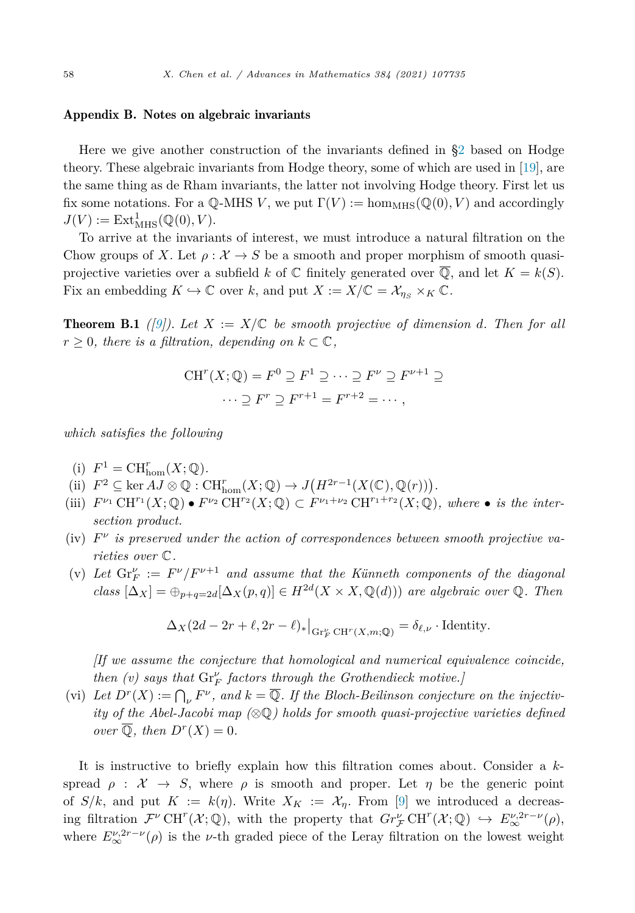#### <span id="page-57-0"></span>Appendix B. Notes on algebraic invariants

Here we give another construction of the invariants defined in [§2](#page-3-0) based on Hodge theory. These algebraic invariants from Hodge theory, some of which are used in [[19\]](#page-63-0), are the same thing as de Rham invariants, the latter not involving Hodge theory. First let us fix some notations. For a  $\mathbb{Q}\text{-MHS } V$ , we put  $\Gamma(V) := \text{hom}_{MHS}(\mathbb{Q}(0), V)$  and accordingly  $J(V) := \text{Ext}_{\text{MHS}}^1(\mathbb{Q}(0), V).$ 

To arrive at the invariants of interest, we must introduce a natural filtration on the Chow groups of X. Let  $\rho: \mathcal{X} \to S$  be a smooth and proper morphism of smooth quasiprojective varieties over a subfield k of  $\mathbb C$  finitely generated over  $\overline{\mathbb Q}$ , and let  $K = k(S)$ . Fix an embedding  $K \hookrightarrow \mathbb{C}$  over k, and put  $X := X/\mathbb{C} = \mathcal{X}_{\eta_S} \times_K \mathbb{C}$ .

**Theorem B.1** *(9)).* Let  $X := X/\mathbb{C}$  be smooth projective of dimension d. Then for all  $r \geq 0$ *, there is a filtration, depending on*  $k \subset \mathbb{C}$ *,* 

$$
CH^{r}(X; \mathbb{Q}) = F^{0} \supseteq F^{1} \supseteq \cdots \supseteq F^{\nu} \supseteq F^{\nu+1} \supseteq
$$

$$
\cdots \supseteq F^{r} \supseteq F^{r+1} = F^{r+2} = \cdots,
$$

*which satisfies the following*

- (i)  $F^1 = \text{CH}^r_{\text{hom}}(X; \mathbb{Q})$ .
- (ii)  $F^2 \subseteq \ker AJ \otimes \mathbb{Q} : \mathrm{CH}^r_{\mathrm{hom}}(X; \mathbb{Q}) \to J(H^{2r-1}(X(\mathbb{C}), \mathbb{Q}(r)))$ .
- (iii)  $F^{\nu_1} \text{CH}^{r_1}(X; \mathbb{Q}) \bullet F^{\nu_2} \text{CH}^{r_2}(X; \mathbb{Q}) \subset F^{\nu_1+\nu_2} \text{CH}^{r_1+r_2}(X; \mathbb{Q})$ *, where*  $\bullet$  *is the intersection product.*
- (iv)  $F^{\nu}$  is preserved under the action of correspondences between smooth projective va*rieties over* C*.*
- (v) Let  $\text{Gr}_F^{\nu} := F^{\nu}/F^{\nu+1}$  and assume that the Künneth components of the diagonal  $class \left[ \Delta_X \right] = \bigoplus_{p+q=2d} [\Delta_X(p,q)] \in H^{2d}(X \times X, \mathbb{Q}(d))$  *are algebraic over* Q. *Then*

$$
\Delta_X(2d - 2r + \ell, 2r - \ell)_*|_{\mathrm{Gr}_F^{\nu} \mathrm{CH}^r(X,m; \mathbb{Q})} = \delta_{\ell, \nu} \cdot \mathrm{Identity}.
$$

*[If we assume the conjecture that homological and numerical equivalence coincide, then (v) says that* Gr*<sup>ν</sup> <sup>F</sup> factors through the Grothendieck motive.]*

(vi) Let  $D^r(X) := \bigcap_{\nu} F^{\nu}$ , and  $k = \overline{\mathbb{Q}}$ . If the Bloch-Beilinson conjecture on the injectiv*ity of the Abel-Jacobi map (*⊗Q*) holds for smooth quasi-projective varieties defined over*  $\overline{Q}$ *, then*  $D^{r}(X) = 0$ *.* 

It is instructive to briefly explain how this filtration comes about. Consider a *k*spread  $\rho : \mathcal{X} \to S$ , where  $\rho$  is smooth and proper. Let  $\eta$  be the generic point of  $S/k$ , and put  $K := k(\eta)$ . Write  $X_K := X_\eta$ . From [[9\]](#page-62-0) we introduced a decreasing filtration  $\mathcal{F}^{\nu}$  CH<sup>r</sup>( $\mathcal{X}; \mathbb{Q}$ ), with the property that  $Gr_{\mathcal{F}}^{\nu}$  CH<sup>r</sup>( $\mathcal{X}; \mathbb{Q}$ )  $\hookrightarrow E_{\infty}^{\nu, 2r-\nu}(\rho)$ , where  $E^{\nu,2r-\nu}_{\infty}(\rho)$  is the *v*-th graded piece of the Leray filtration on the lowest weight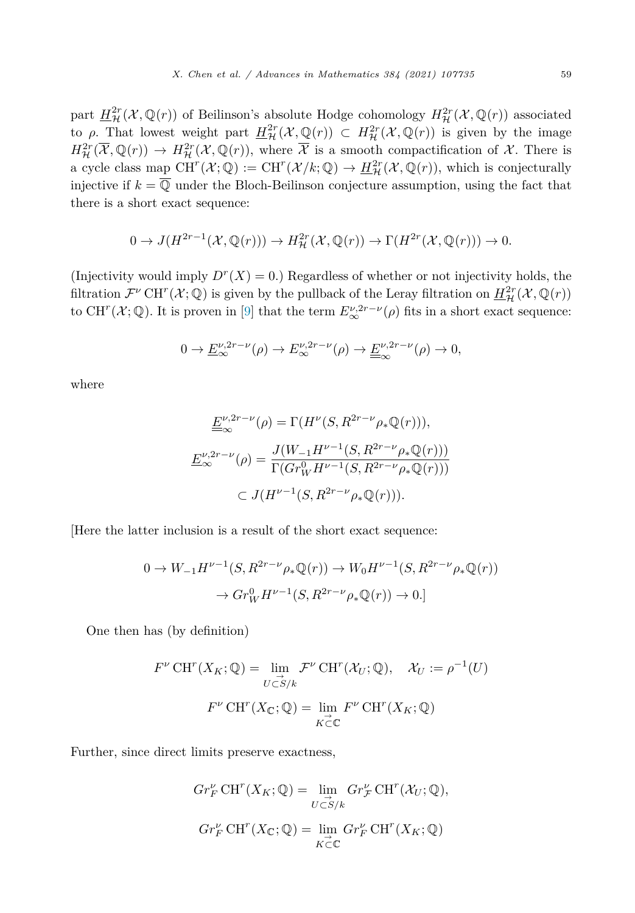part  $H^2_{\mathcal{H}}(\mathcal{X}, \mathbb{Q}(r))$  of Beilinson's absolute Hodge cohomology  $H^2_{\mathcal{H}}(\mathcal{X}, \mathbb{Q}(r))$  associated to *ρ*. That lowest weight part  $H_{\mathcal{H}}^{2r}(\mathcal{X}, \mathbb{Q}(r)) \subset H_{\mathcal{H}}^{2r}(\mathcal{X}, \mathbb{Q}(r))$  is given by the image  $H^{2r}_{\mathcal{H}}(\overline{\mathcal{X}},\mathbb{Q}(r)) \to H^{2r}_{\mathcal{H}}(\mathcal{X},\mathbb{Q}(r)),$  where  $\overline{\mathcal{X}}$  is a smooth compactification of  $\mathcal{X}$ . There is a cycle class map  $CH^{r}(\mathcal{X};\mathbb{Q}) := CH^{r}(\mathcal{X}/k;\mathbb{Q}) \to \underline{H}^{2r}_{\mathcal{H}}(\mathcal{X},\mathbb{Q}(r)),$  which is conjecturally injective if  $k = \overline{Q}$  under the Bloch-Beilinson conjecture assumption, using the fact that there is a short exact sequence:

$$
0 \to J(H^{2r-1}(\mathcal{X}, \mathbb{Q}(r))) \to H^{2r}_{\mathcal{H}}(\mathcal{X}, \mathbb{Q}(r)) \to \Gamma(H^{2r}(\mathcal{X}, \mathbb{Q}(r))) \to 0.
$$

(Injectivity would imply  $D^r(X) = 0$ .) Regardless of whether or not injectivity holds, the filtration  $\mathcal{F}^{\nu}$  CH<sup>*r*</sup>( $\mathcal{X}$ ;  $\mathbb{Q}$ ) is given by the pullback of the Leray filtration on  $H^{2r}_{\mathcal{H}}(\mathcal{X}, \mathbb{Q}(r))$ to CH<sup>r</sup>( $\mathcal{X}$ ;  $\mathbb{Q}$ ). It is proven in [[9\]](#page-62-0) that the term  $E_{\infty}^{\nu,2r-\nu}(\rho)$  fits in a short exact sequence:

$$
0 \to \underline{E}_{\infty}^{\nu,2r-\nu}(\rho) \to E_{\infty}^{\nu,2r-\nu}(\rho) \to \underline{\underline{E}}_{\infty}^{\nu,2r-\nu}(\rho) \to 0,
$$

where

$$
\underline{E}^{\nu,2r-\nu}_{\infty}(\rho) = \Gamma(H^{\nu}(S,R^{2r-\nu}\rho_*\mathbb{Q}(r))),
$$
  

$$
\underline{E}^{\nu,2r-\nu}_{\infty}(\rho) = \frac{J(W_{-1}H^{\nu-1}(S,R^{2r-\nu}\rho_*\mathbb{Q}(r)))}{\Gamma(Gr_W^0H^{\nu-1}(S,R^{2r-\nu}\rho_*\mathbb{Q}(r)))}
$$
  

$$
\subset J(H^{\nu-1}(S,R^{2r-\nu}\rho_*\mathbb{Q}(r))).
$$

[Here the latter inclusion is a result of the short exact sequence:

$$
0 \to W_{-1}H^{\nu-1}(S, R^{2r-\nu}\rho_*\mathbb{Q}(r)) \to W_0H^{\nu-1}(S, R^{2r-\nu}\rho_*\mathbb{Q}(r))
$$

$$
\to Gr_W^0H^{\nu-1}(S, R^{2r-\nu}\rho_*\mathbb{Q}(r)) \to 0.
$$

One then has (by definition)

$$
F^{\nu} \operatorname{CH}^r(X_K; \mathbb{Q}) = \lim_{\substack{U \subset S/k}} \mathcal{F}^{\nu} \operatorname{CH}^r(\mathcal{X}_U; \mathbb{Q}), \quad \mathcal{X}_U := \rho^{-1}(U)
$$

$$
F^{\nu} \operatorname{CH}^r(X_{\mathbb{C}}; \mathbb{Q}) = \lim_{\substack{K \subset \mathbb{C}}} F^{\nu} \operatorname{CH}^r(X_K; \mathbb{Q})
$$

Further, since direct limits preserve exactness,

$$
Gr_F^{\nu} \text{CH}^r(X_K; \mathbb{Q}) = \lim_{\substack{U \subset S/k \\ C \subset \mathbb{Q}}} Gr_{\mathcal{F}}^{\nu} \text{CH}^r(\mathcal{X}_U; \mathbb{Q}),
$$
  

$$
Gr_F^{\nu} \text{CH}^r(X_{\mathbb{C}}; \mathbb{Q}) = \lim_{\substack{K \subset \mathbb{C}}} Gr_F^{\nu} \text{CH}^r(X_K; \mathbb{Q})
$$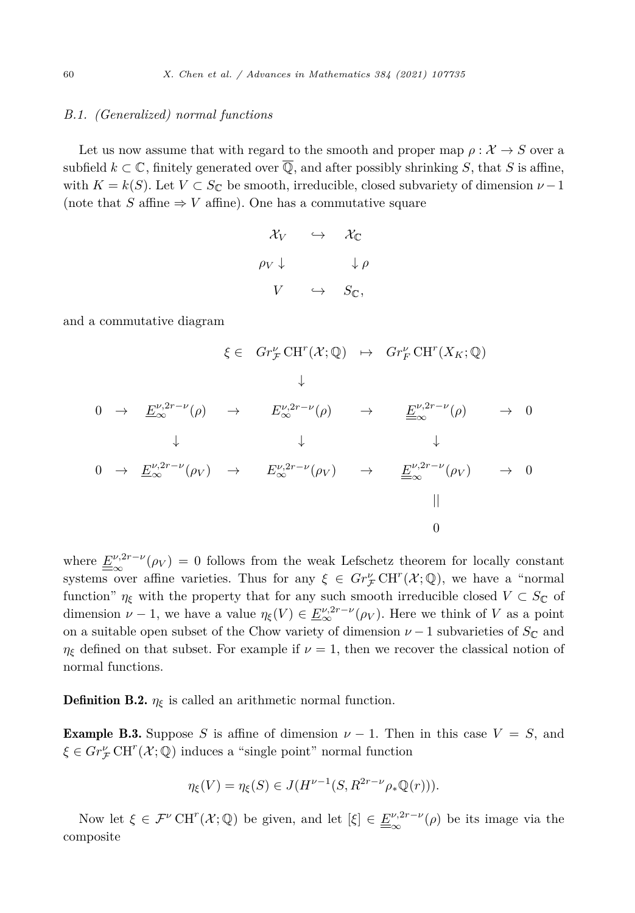#### *B.1. (Generalized) normal functions*

Let us now assume that with regard to the smooth and proper map  $\rho : \mathcal{X} \to S$  over a subfield  $k \subset \mathbb{C}$ , finitely generated over  $\overline{\mathbb{Q}}$ , and after possibly shrinking *S*, that *S* is affine, with  $K = k(S)$ . Let  $V \subset S_{\mathbb{C}}$  be smooth, irreducible, closed subvariety of dimension  $\nu - 1$ (note that  $S$  affine  $\Rightarrow$  *V* affine). One has a commutative square

$$
\begin{array}{ccc}\n\mathcal{X}_V & \hookrightarrow & \mathcal{X}_{\mathbb{C}} \\
\rho_V \downarrow & & \downarrow \rho \\
V & \hookrightarrow & S_{\mathbb{C}},\n\end{array}
$$

and a commutative diagram

$$
\xi \in Gr_{\mathcal{F}}^{\nu} \text{CH}^{r}(\mathcal{X}; \mathbb{Q}) \rightarrow Gr_{F}^{\nu} \text{CH}^{r}(X_{K}; \mathbb{Q})
$$
\n
$$
\downarrow
$$
\n
$$
0 \rightarrow \underline{E}_{\infty}^{\nu, 2r - \nu}(\rho) \rightarrow E_{\infty}^{\nu, 2r - \nu}(\rho) \rightarrow \underline{E}_{\infty}^{\nu, 2r - \nu}(\rho) \rightarrow 0
$$
\n
$$
\downarrow \qquad \downarrow \qquad \downarrow
$$
\n
$$
0 \rightarrow \underline{E}_{\infty}^{\nu, 2r - \nu}(\rho_{V}) \rightarrow E_{\infty}^{\nu, 2r - \nu}(\rho_{V}) \rightarrow \underline{E}_{\infty}^{\nu, 2r - \nu}(\rho_{V}) \rightarrow 0
$$
\n
$$
\parallel
$$
\n
$$
0
$$

where  $\underline{E}^{\nu,2r-\nu}(\rho_V) = 0$  follows from the weak Lefschetz theorem for locally constant systems over affine varieties. Thus for any  $\xi \in Gr^{\nu}_{\mathcal{F}}CH^{r}(\mathcal{X};\mathbb{Q})$ , we have a "normal" function"  $\eta_{\xi}$  with the property that for any such smooth irreducible closed  $V \subset S_{\mathbb{C}}$  of dimension  $\nu$  − 1, we have a value  $\eta_{\xi}(V) \in \underline{E}_{\infty}^{\nu,2r-\nu}(\rho_V)$ . Here we think of *V* as a point on a suitable open subset of the Chow variety of dimension  $\nu - 1$  subvarieties of  $S_{\mathbb{C}}$  and *η*<sub>ξ</sub> defined on that subset. For example if  $\nu = 1$ , then we recover the classical notion of normal functions.

**Definition B.2.**  $\eta_{\xi}$  is called an arithmetic normal function.

**Example B.3.** Suppose *S* is affine of dimension  $\nu - 1$ . Then in this case  $V = S$ , and  $\xi \in Gr^{\nu}_{\mathcal{F}} \operatorname{CH}^r(\mathcal{X};\mathbb{Q})$  induces a "single point" normal function

$$
\eta_{\xi}(V) = \eta_{\xi}(S) \in J(H^{\nu-1}(S, R^{2r-\nu}\rho_*\mathbb{Q}(r))).
$$

Now let  $\xi \in \mathcal{F}^{\nu} \operatorname{CH}^r(\mathcal{X};\mathbb{Q})$  be given, and let  $[\xi] \in \underline{\underline{F}}_{\infty}^{\nu,2r-\nu}(\rho)$  be its image via the composite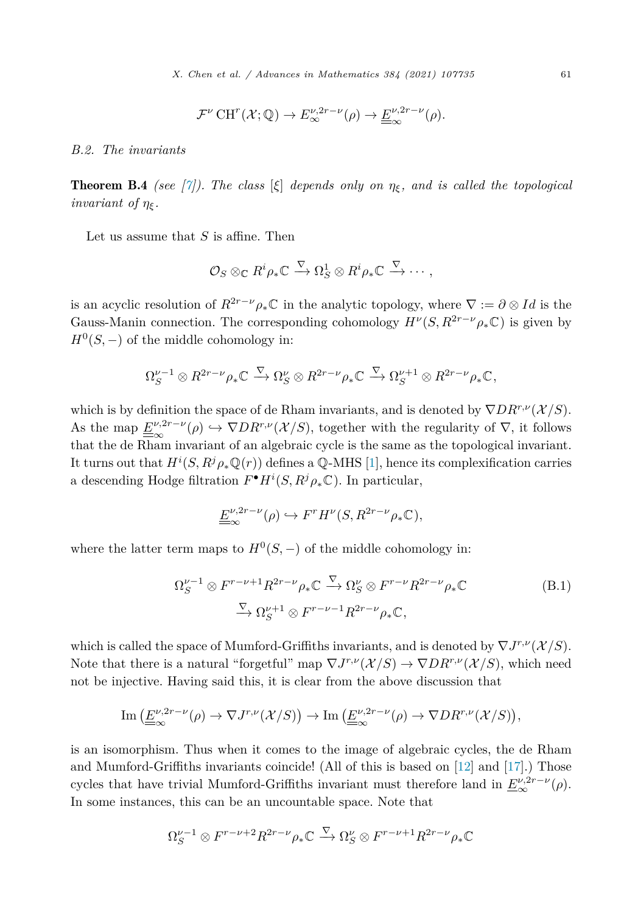$$
\mathcal{F}^{\nu} \operatorname{CH}^r(\mathcal{X};\mathbb{Q}) \to E_{\infty}^{\nu,2r-\nu}(\rho) \to \underline{\underline{F}}_{\infty}^{\nu,2r-\nu}(\rho).
$$

<span id="page-60-0"></span>*B.2. The invariants*

**Theorem B.4** *(see [\[7\]](#page-62-0)).* The class  $[\xi]$  depends only on  $\eta_{\xi}$ , and is called the topological *invariant of*  $\eta_{\epsilon}$ *.* 

Let us assume that *S* is affine. Then

$$
\mathcal{O}_S \otimes_{\mathbb{C}} R^i \rho_* \mathbb{C} \xrightarrow{\nabla} \Omega_S^1 \otimes R^i \rho_* \mathbb{C} \xrightarrow{\nabla} \cdots,
$$

is an acyclic resolution of  $R^{2r-\nu}\rho_*\mathbb{C}$  in the analytic topology, where  $\nabla := \partial \otimes Id$  is the Gauss-Manin connection. The corresponding cohomology  $H^{\nu}(S, R^{2r-\nu}\rho_*\mathbb{C})$  is given by  $H^0(S, -)$  of the middle cohomology in:

$$
\Omega_S^{\nu-1}\otimes R^{2r-\nu}\rho_*\mathbb C \xrightarrow{\nabla} \Omega_S^{\nu}\otimes R^{2r-\nu}\rho_*\mathbb C \xrightarrow{\nabla} \Omega_S^{\nu+1}\otimes R^{2r-\nu}\rho_*\mathbb C,
$$

which is by definition the space of de Rham invariants, and is denoted by  $\nabla DR^{r,\nu}(\mathcal{X}/S)$ . As the map  $\underline{E}^{\nu,2r-\nu}(\rho) \hookrightarrow \nabla DR^{r,\nu}(\mathcal{X}/S)$ , together with the regularity of  $\nabla$ , it follows that the de Rham invariant of an algebraic cycle is the same as the topological invariant. It turns out that  $H^i(S, R^j \rho_* \mathbb{Q}(r))$  defines a  $\mathbb{Q}\text{-MHS}$  [\[1](#page-62-0)], hence its complexification carries a descending Hodge filtration  $F^{\bullet}H^i(S, R^j \rho_* \mathbb{C})$ . In particular,

$$
\underline{\underline{F}}_{\infty}^{\nu,2r-\nu}(\rho) \hookrightarrow F^r H^{\nu}(S,R^{2r-\nu}\rho_*\mathbb{C}),
$$

where the latter term maps to  $H^0(S, -)$  of the middle cohomology in:

$$
\Omega_S^{\nu-1} \otimes F^{r-\nu+1} R^{2r-\nu} \rho_* \mathbb{C} \xrightarrow{\nabla} \Omega_S^{\nu} \otimes F^{r-\nu} R^{2r-\nu} \rho_* \mathbb{C}
$$
\n
$$
\xrightarrow{\nabla} \Omega_S^{\nu+1} \otimes F^{r-\nu-1} R^{2r-\nu} \rho_* \mathbb{C},
$$
\n(B.1)

which is called the space of Mumford-Griffiths invariants, and is denoted by  $\nabla J^{r,\nu}(\mathcal{X}/S)$ . Note that there is a natural "forgetful" map  $\nabla J^{r,\nu}(\mathcal{X}/S) \to \nabla DR^{r,\nu}(\mathcal{X}/S)$ , which need not be injective. Having said this, it is clear from the above discussion that

$$
\operatorname{Im} \left( \underline{E}^{\nu,2r-\nu}_{\infty}(\rho) \to \nabla J^{r,\nu}(\mathcal{X}/S) \right) \to \operatorname{Im} \left( \underline{E}^{\nu,2r-\nu}_{\infty}(\rho) \to \nabla DR^{r,\nu}(\mathcal{X}/S) \right),
$$

is an isomorphism. Thus when it comes to the image of algebraic cycles, the de Rham and Mumford-Griffiths invariants coincide! (All of this is based on [[12\]](#page-62-0) and [\[17](#page-62-0)].) Those cycles that have trivial Mumford-Griffiths invariant must therefore land in  $\underline{E}_{\infty}^{\nu,2r-\nu}(\rho)$ . In some instances, this can be an uncountable space. Note that

$$
\Omega_S^{\nu-1} \otimes F^{r-\nu+2} R^{2r-\nu} \rho_* \mathbb{C} \xrightarrow{\nabla} \Omega_S^{\nu} \otimes F^{r-\nu+1} R^{2r-\nu} \rho_* \mathbb{C}
$$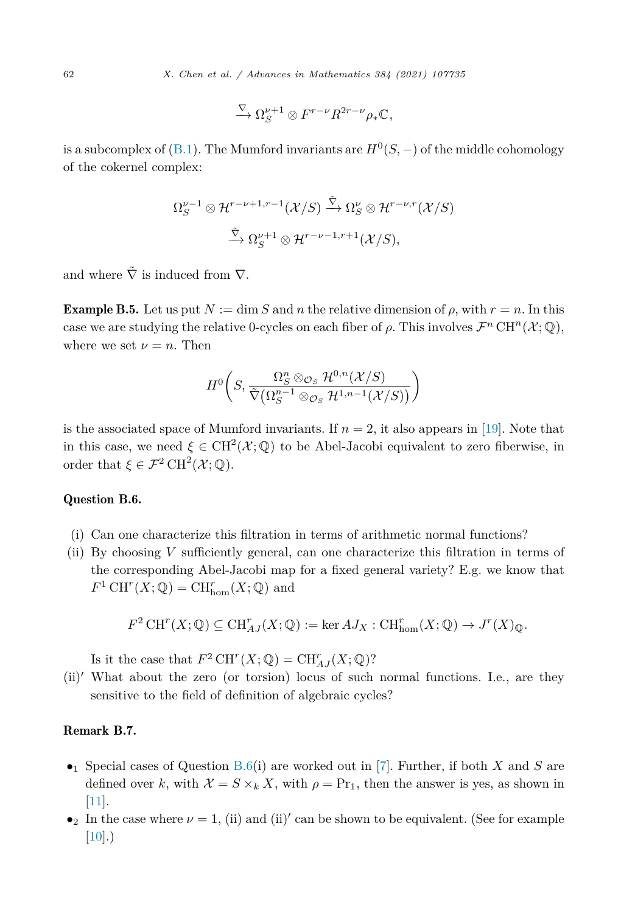$$
\xrightarrow{\nabla} \Omega_S^{\nu+1} \otimes F^{r-\nu} R^{2r-\nu} \rho_* \mathbb{C},
$$

<span id="page-61-0"></span>is a subcomplex of ([B.1\)](#page-60-0). The Mumford invariants are  $H^0(S, -)$  of the middle cohomology of the cokernel complex:

$$
\Omega_S^{\nu-1} \otimes \mathcal{H}^{r-\nu+1,r-1}(\mathcal{X}/S) \xrightarrow{\tilde{\nabla}} \Omega_S^{\nu} \otimes \mathcal{H}^{r-\nu,r}(\mathcal{X}/S)
$$

$$
\xrightarrow{\tilde{\nabla}} \Omega_S^{\nu+1} \otimes \mathcal{H}^{r-\nu-1,r+1}(\mathcal{X}/S),
$$

and where  $\tilde{\nabla}$  is induced from  $\nabla$ .

**Example B.5.** Let us put  $N := \dim S$  and *n* the relative dimension of  $\rho$ , with  $r = n$ . In this case we are studying the relative 0-cycles on each fiber of  $\rho$ . This involves  $\mathcal{F}^n$  CH<sup>n</sup>( $\mathcal{X};\mathbb{Q}$ ), where we set  $\nu = n$ . Then

$$
H^{0}\bigg(S, \frac{\Omega_S^n \otimes_{\mathcal{O}_S} \mathcal{H}^{0,n}(\mathcal{X}/S)}{\tilde{\nabla}\big(\Omega_S^{n-1} \otimes_{\mathcal{O}_S} \mathcal{H}^{1,n-1}(\mathcal{X}/S)\big)}\bigg)
$$

is the associated space of Mumford invariants. If  $n = 2$ , it also appears in [[19\]](#page-63-0). Note that in this case, we need  $\xi \in \text{CH}^2(\mathcal{X};\mathbb{Q})$  to be Abel-Jacobi equivalent to zero fiberwise, in order that  $\xi \in \mathcal{F}^2 \operatorname{CH}^2(\mathcal{X};\mathbb{Q})$ .

### Question B.6.

- (i) Can one characterize this filtration in terms of arithmetic normal functions?
- (ii) By choosing *V* sufficiently general, can one characterize this filtration in terms of the corresponding Abel-Jacobi map for a fixed general variety? E.g. we know that  $F^1 \text{ CH}^r(X; \mathbb{Q}) = \text{CH}^r_{\text{hom}}(X; \mathbb{Q})$  and

$$
F^2 \operatorname{CH}^r(X; \mathbb{Q}) \subseteq \operatorname{CH}^r_{AJ}(X; \mathbb{Q}) := \ker AJ_X : \operatorname{CH}^r_{\text{hom}}(X; \mathbb{Q}) \to J^r(X)_{\mathbb{Q}}.
$$

Is it the case that  $F^2 \text{CH}^r(X; \mathbb{Q}) = \text{CH}^r_{AJ}(X; \mathbb{Q})$ ?

(ii)' What about the zero (or torsion) locus of such normal functions. I.e., are they sensitive to the field of definition of algebraic cycles?

# Remark B.7.

- •<sup>1</sup> Special cases of Question B.6(i) are worked out in [\[7\]](#page-62-0). Further, if both *X* and *S* are defined over k, with  $\mathcal{X} = S \times_k X$ , with  $\rho = \Pr_1$ , then the answer is yes, as shown in [\[11\]](#page-62-0).
- •<sub>2</sub> In the case where  $\nu = 1$ , (ii) and (ii)' can be shown to be equivalent. (See for example  $[10]$ .)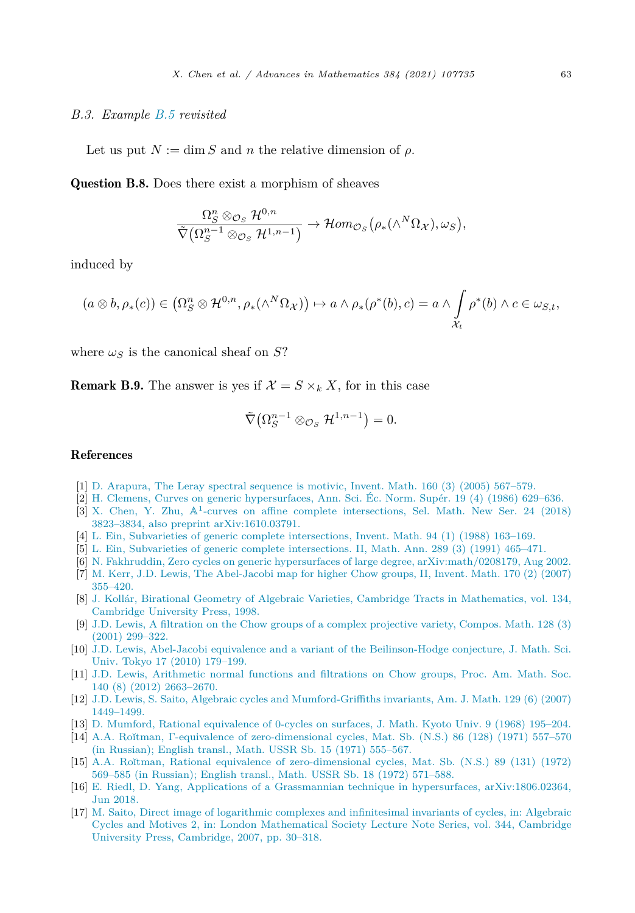#### <span id="page-62-0"></span>*B.3. Example [B.5](#page-61-0) revisited*

Let us put  $N := \dim S$  and *n* the relative dimension of  $\rho$ .

Question B.8. Does there exist a morphism of sheaves

$$
\frac{\Omega_S^n \otimes_{\mathcal{O}_S} \mathcal{H}^{0,n}}{\tilde{\nabla}(\Omega_S^{n-1} \otimes_{\mathcal{O}_S} \mathcal{H}^{1,n-1})} \to \mathcal{H}om_{\mathcal{O}_S}\big(\rho_*(\wedge^N \Omega_{\mathcal{X}}), \omega_S\big),
$$

induced by

$$
(a\otimes b,\rho_*(c))\in (\Omega_S^n\otimes \mathcal{H}^{0,n},\rho_*(\wedge^N\Omega_{\mathcal{X}}))\mapsto a\wedge \rho_*(\rho^*(b),c)=a\wedge \int_{\mathcal{X}_t}\rho^*(b)\wedge c\in \omega_{S,t},
$$

where  $\omega$ <sub>S</sub> is the canonical sheaf on *S*?

**Remark B.9.** The answer is yes if  $\mathcal{X} = S \times_k X$ , for in this case

$$
\tilde{\nabla}(\Omega_S^{n-1} \otimes_{\mathcal{O}_S} \mathcal{H}^{1,n-1}) = 0.
$$

# References

- [1] D. [Arapura,](http://refhub.elsevier.com/S0001-8708(21)00174-2/bib864D72283695E6EDD1FCDCEB473DE77Fs1) The Leray spectral sequence is motivic, Invent. Math. 160 (3) (2005) 567–579.
- [2] H. Clemens, Curves on generic [hypersurfaces,](http://refhub.elsevier.com/S0001-8708(21)00174-2/bib0D61F8370CAD1D412F80B84D143E1257s1) Ann. Sci. Éc. Norm. Supér. 19 (4) (1986) 629–636.
- [3] X. Chen, Y. Zhu, A1-curves on affine complete [intersections,](http://refhub.elsevier.com/S0001-8708(21)00174-2/bibBB4AD35528F42B05D99290D3B2342FBCs1) Sel. Math. New Ser. 24 (2018) 3823–3834, also preprint [arXiv:1610.03791.](http://refhub.elsevier.com/S0001-8708(21)00174-2/bibBB4AD35528F42B05D99290D3B2342FBCs1)
- [4] L. Ein, Subvarieties of generic complete [intersections,](http://refhub.elsevier.com/S0001-8708(21)00174-2/bib734655D7006CB5084E7F8C597C7B0C17s1) Invent. Math. 94 (1) (1988) 163–169.
- [5] L. Ein, Subvarieties of generic complete [intersections.](http://refhub.elsevier.com/S0001-8708(21)00174-2/bib560FCE20ABEF5CD3F8E4D13C94669A46s1) II, Math. Ann. 289 (3) (1991) 465–471.
- [6] N. Fakhruddin, Zero cycles on generic hypersurfaces of large degree, [arXiv:math/0208179,](http://refhub.elsevier.com/S0001-8708(21)00174-2/bib800618943025315F869E4E1F09471012s1) Aug 2002.
- [7] M. Kerr, J.D. Lewis, The [Abel-Jacobi](http://refhub.elsevier.com/S0001-8708(21)00174-2/bib293963D987A6836B57663DEBB90039ABs1) map for higher Chow groups, II, Invent. Math. 170 (2) (2007) [355–420.](http://refhub.elsevier.com/S0001-8708(21)00174-2/bib293963D987A6836B57663DEBB90039ABs1)
- [8] J. Kollár, Birational Geometry of Algebraic Varieties, Cambridge Tracts in [Mathematics,](http://refhub.elsevier.com/S0001-8708(21)00174-2/bibA5F3C6A11B03839D46AF9FB43C97C188s1) vol. 134, [Cambridge](http://refhub.elsevier.com/S0001-8708(21)00174-2/bibA5F3C6A11B03839D46AF9FB43C97C188s1) University Press, 1998.
- [9] J.D. Lewis, A filtration on the Chow groups of a complex [projective](http://refhub.elsevier.com/S0001-8708(21)00174-2/bib26627BB357B9A6DC0C5C4CE8AC80BDEBs1) variety, Compos. Math. 128 (3) (2001) [299–322.](http://refhub.elsevier.com/S0001-8708(21)00174-2/bib26627BB357B9A6DC0C5C4CE8AC80BDEBs1)
- [10] J.D. Lewis, Abel-Jacobi equivalence and a variant of the [Beilinson-Hodge](http://refhub.elsevier.com/S0001-8708(21)00174-2/bibA7E630E4DDA2FDF1AAA55EC75BB2E6FDs1) conjecture, J. Math. Sci. Univ. Tokyo 17 (2010) [179–199.](http://refhub.elsevier.com/S0001-8708(21)00174-2/bibA7E630E4DDA2FDF1AAA55EC75BB2E6FDs1)
- [11] J.D. Lewis, [Arithmetic](http://refhub.elsevier.com/S0001-8708(21)00174-2/bib2E66C7CD3D5E0038B6D2CB6EAAE5D3E2s1) normal functions and filtrations on Chow groups, Proc. Am. Math. Soc. 140 (8) (2012) [2663–2670.](http://refhub.elsevier.com/S0001-8708(21)00174-2/bib2E66C7CD3D5E0038B6D2CB6EAAE5D3E2s1)
- [12] J.D. Lewis, S. Saito, Algebraic cycles and [Mumford-Griffiths](http://refhub.elsevier.com/S0001-8708(21)00174-2/bib86E0E28F4A80F466C1A6E819117BD9ACs1) invariants, Am. J. Math. 129 (6) (2007) [1449–1499.](http://refhub.elsevier.com/S0001-8708(21)00174-2/bib86E0E28F4A80F466C1A6E819117BD9ACs1)
- [13] D. Mumford, Rational [equivalence](http://refhub.elsevier.com/S0001-8708(21)00174-2/bib893B7719713FAAA97B1CAA5603313723s1) of 0-cycles on surfaces, J. Math. Kyoto Univ. 9 (1968) 195–204.
- [14] A.A. Ro˘ıtman, Γ-equivalence of [zero-dimensional](http://refhub.elsevier.com/S0001-8708(21)00174-2/bibCDA522D4353B166CC2DEE84673307B4Es1) cycles, Mat. Sb. (N.S.) 86 (128) (1971) 557–570 (in [Russian\);](http://refhub.elsevier.com/S0001-8708(21)00174-2/bibCDA522D4353B166CC2DEE84673307B4Es1) English transl., Math. USSR Sb. 15 (1971) 555–567.
- [15] A.A. Ro˘ıtman, Rational equivalence of [zero-dimensional](http://refhub.elsevier.com/S0001-8708(21)00174-2/bib8C6D22FF6F63FC6711CFA315CB80B314s1) cycles, Mat. Sb. (N.S.) 89 (131) (1972) 569–585 (in [Russian\);](http://refhub.elsevier.com/S0001-8708(21)00174-2/bib8C6D22FF6F63FC6711CFA315CB80B314s1) English transl., Math. USSR Sb. 18 (1972) 571–588.
- [16] E. Riedl, D. Yang, Applications of a Grassmannian technique in hypersurfaces, [arXiv:1806.02364,](http://refhub.elsevier.com/S0001-8708(21)00174-2/bib110B9983CBCE1A0D6BE9A0DA38146B8Fs1) Jun [2018.](http://refhub.elsevier.com/S0001-8708(21)00174-2/bib110B9983CBCE1A0D6BE9A0DA38146B8Fs1)
- [17] M. Saito, Direct image of logarithmic complexes and [infinitesimal](http://refhub.elsevier.com/S0001-8708(21)00174-2/bib7A663CAEA1B722A63DC2868158ED584Ds1) invariants of cycles, in: Algebraic Cycles and Motives 2, in: London [Mathematical](http://refhub.elsevier.com/S0001-8708(21)00174-2/bib7A663CAEA1B722A63DC2868158ED584Ds1) Society Lecture Note Series, vol. 344, Cambridge University Press, [Cambridge,](http://refhub.elsevier.com/S0001-8708(21)00174-2/bib7A663CAEA1B722A63DC2868158ED584Ds1) 2007, pp. 30–318.